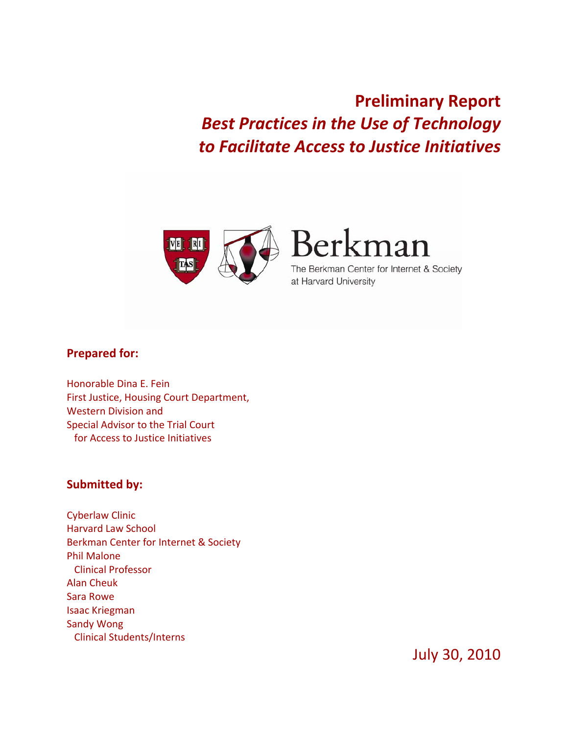**Preliminary Report**  *Best Practices in the Use of Technology to Facilitate Access to Justice Initiatives*



Berkman

The Berkman Center for Internet & Society at Harvard University

# **Prepared for:**

Honorable Dina E. Fein First Justice, Housing Court Department, Western Division and Special Advisor to the Trial Court for Access to Justice Initiatives

#### **Submitted by:**

Cyberlaw Clinic Harvard Law School Berkman Center for Internet & Society Phil Malone Clinical Professor Alan Cheuk Sara Rowe Isaac Kriegman Sandy Wong Clinical Students/Interns

July 30, 2010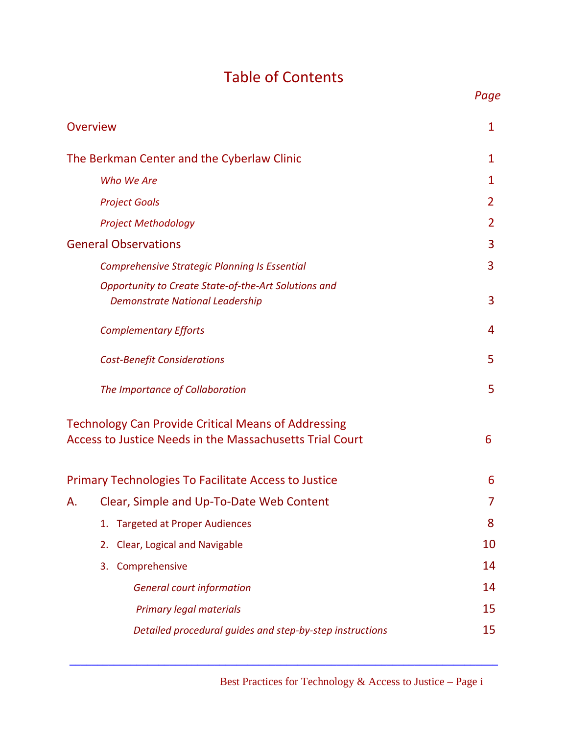# Table of Contents

*Page*

|                                            | Overview                                                                                                               | 1  |
|--------------------------------------------|------------------------------------------------------------------------------------------------------------------------|----|
| The Berkman Center and the Cyberlaw Clinic |                                                                                                                        |    |
|                                            | Who We Are                                                                                                             | 1  |
|                                            | <b>Project Goals</b>                                                                                                   | 2  |
|                                            | <b>Project Methodology</b>                                                                                             | 2  |
| <b>General Observations</b>                |                                                                                                                        | 3  |
|                                            | <b>Comprehensive Strategic Planning Is Essential</b>                                                                   | 3  |
|                                            | Opportunity to Create State-of-the-Art Solutions and<br><b>Demonstrate National Leadership</b>                         | 3  |
|                                            | <b>Complementary Efforts</b>                                                                                           | 4  |
|                                            | 5                                                                                                                      |    |
|                                            | The Importance of Collaboration                                                                                        | 5  |
|                                            | <b>Technology Can Provide Critical Means of Addressing</b><br>Access to Justice Needs in the Massachusetts Trial Court | 6  |
|                                            | <b>Primary Technologies To Facilitate Access to Justice</b>                                                            | 6  |
| А.                                         | Clear, Simple and Up-To-Date Web Content                                                                               |    |
|                                            | <b>Targeted at Proper Audiences</b><br>1.                                                                              | 8  |
|                                            | Clear, Logical and Navigable<br>2.                                                                                     | 10 |
|                                            | Comprehensive<br>3.                                                                                                    | 14 |
|                                            | <b>General court information</b>                                                                                       | 14 |
|                                            | <b>Primary legal materials</b>                                                                                         | 15 |
|                                            | Detailed procedural guides and step-by-step instructions                                                               | 15 |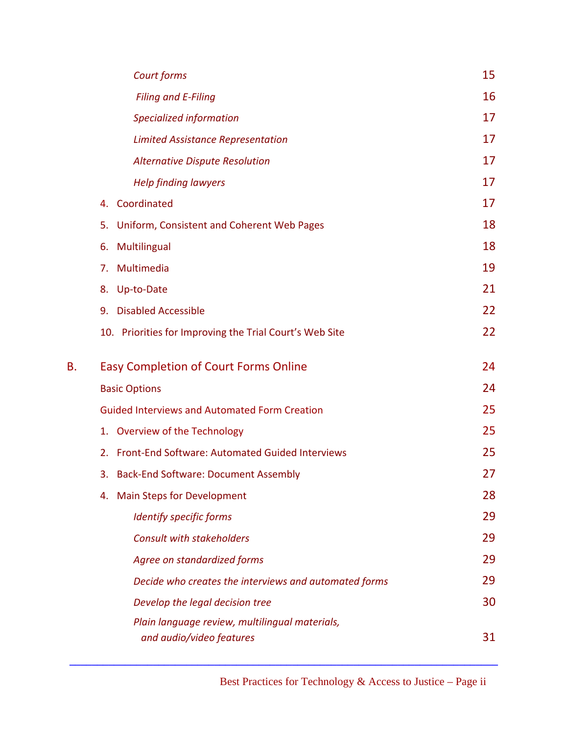|    | Court forms                                                                | 15 |
|----|----------------------------------------------------------------------------|----|
|    | <b>Filing and E-Filing</b>                                                 | 16 |
|    | Specialized information                                                    | 17 |
|    | <b>Limited Assistance Representation</b>                                   | 17 |
|    | <b>Alternative Dispute Resolution</b>                                      | 17 |
|    | <b>Help finding lawyers</b>                                                | 17 |
|    | Coordinated<br>4.                                                          | 17 |
|    | 5.<br>Uniform, Consistent and Coherent Web Pages                           | 18 |
|    | 6.<br>Multilingual                                                         | 18 |
|    | Multimedia<br>7.                                                           | 19 |
|    | 8. Up-to-Date                                                              | 21 |
|    | <b>Disabled Accessible</b><br>9.                                           | 22 |
|    | 10. Priorities for Improving the Trial Court's Web Site                    | 22 |
| В. | <b>Easy Completion of Court Forms Online</b>                               | 24 |
|    | <b>Basic Options</b>                                                       | 24 |
|    | <b>Guided Interviews and Automated Form Creation</b>                       | 25 |
|    | 1. Overview of the Technology                                              | 25 |
|    | Front-End Software: Automated Guided Interviews<br>2.                      | 25 |
|    | <b>Back-End Software: Document Assembly</b><br>3.                          | 27 |
|    | <b>Main Steps for Development</b><br>4.                                    | 28 |
|    | Identify specific forms                                                    | 29 |
|    | <b>Consult with stakeholders</b>                                           | 29 |
|    | Agree on standardized forms                                                | 29 |
|    | Decide who creates the interviews and automated forms                      | 29 |
|    | Develop the legal decision tree                                            | 30 |
|    | Plain language review, multilingual materials,<br>and audio/video features | 31 |
|    |                                                                            |    |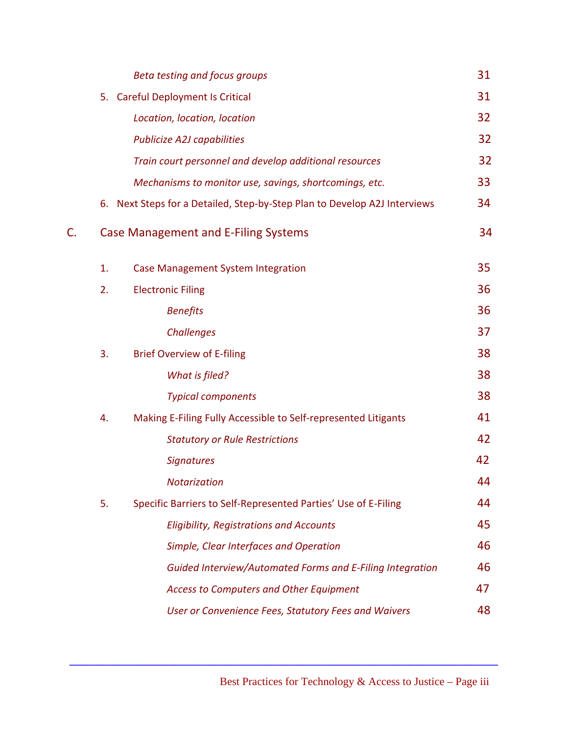|    |    | Beta testing and focus groups                                          | 31 |
|----|----|------------------------------------------------------------------------|----|
|    | 5. | <b>Careful Deployment Is Critical</b>                                  | 31 |
|    |    | Location, location, location                                           | 32 |
|    |    | <b>Publicize A2J capabilities</b>                                      | 32 |
|    |    | Train court personnel and develop additional resources                 | 32 |
|    |    | Mechanisms to monitor use, savings, shortcomings, etc.                 | 33 |
|    | 6. | Next Steps for a Detailed, Step-by-Step Plan to Develop A2J Interviews | 34 |
| C. |    | <b>Case Management and E-Filing Systems</b>                            | 34 |
|    | 1. | <b>Case Management System Integration</b>                              | 35 |
|    | 2. | <b>Electronic Filing</b>                                               | 36 |
|    |    | <b>Benefits</b>                                                        | 36 |
|    |    | <b>Challenges</b>                                                      | 37 |
|    | 3. | <b>Brief Overview of E-filing</b>                                      | 38 |
|    |    | What is filed?                                                         | 38 |
|    |    | <b>Typical components</b>                                              | 38 |
|    | 4. | Making E-Filing Fully Accessible to Self-represented Litigants         | 41 |
|    |    | <b>Statutory or Rule Restrictions</b>                                  | 42 |
|    |    | <b>Signatures</b>                                                      | 42 |
|    |    | <b>Notarization</b>                                                    | 44 |
|    | 5. | Specific Barriers to Self-Represented Parties' Use of E-Filing         | 44 |
|    |    | <b>Eligibility, Registrations and Accounts</b>                         | 45 |
|    |    | Simple, Clear Interfaces and Operation                                 | 46 |
|    |    | Guided Interview/Automated Forms and E-Filing Integration              | 46 |
|    |    | <b>Access to Computers and Other Equipment</b>                         | 47 |
|    |    | <b>User or Convenience Fees, Statutory Fees and Waivers</b>            | 48 |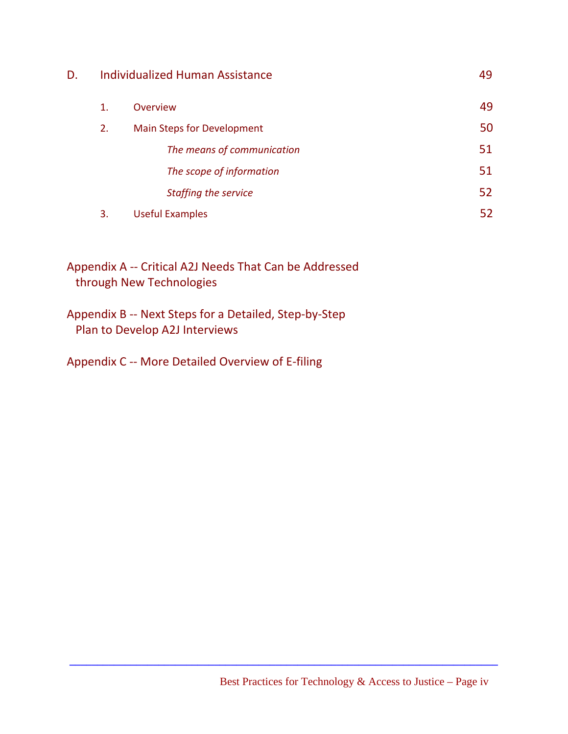| D. | <b>Individualized Human Assistance</b> |                            | 49 |
|----|----------------------------------------|----------------------------|----|
|    | 1.                                     | <b>Overview</b>            | 49 |
|    | 2.                                     | Main Steps for Development | 50 |
|    |                                        | The means of communication | 51 |
|    |                                        | The scope of information   | 51 |
|    |                                        | Staffing the service       | 52 |
|    | 3.                                     | <b>Useful Examples</b>     | 52 |

Appendix A ‐‐ Critical A2J Needs That Can be Addressed through New Technologies

Appendix B ‐‐ Next Steps for a Detailed, Step‐by‐Step Plan to Develop A2J Interviews

Appendix C ‐‐ More Detailed Overview of E‐filing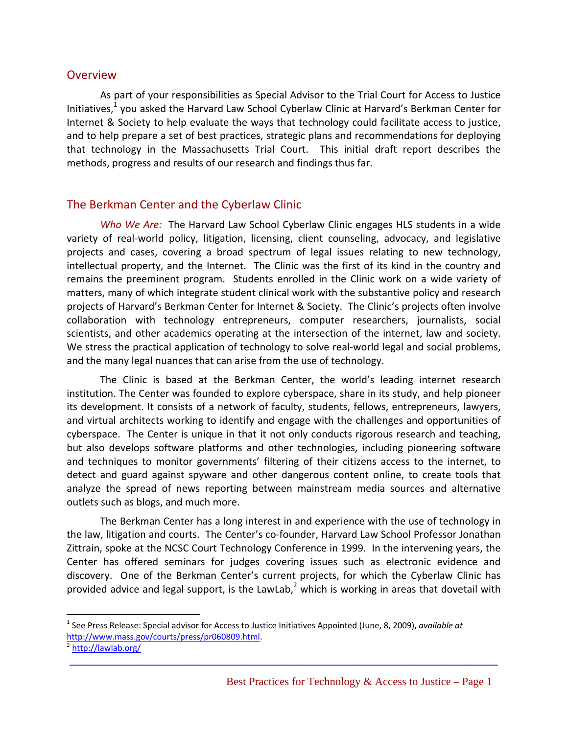#### **Overview**

As part of your responsibilities as Special Advisor to the Trial Court for Access to Justice Initiatives, $<sup>1</sup>$  you asked the Harvard Law School Cyberlaw Clinic at Harvard's Berkman Center for</sup> Internet & Society to help evaluate the ways that technology could facilitate access to justice, and to help prepare a set of best practices, strategic plans and recommendations for deploying that technology in the Massachusetts Trial Court. This initial draft report describes the methods, progress and results of our research and findings thus far.

### The Berkman Center and the Cyberlaw Clinic

*Who We Are:* The Harvard Law School Cyberlaw Clinic engages HLS students in a wide variety of real-world policy, litigation, licensing, client counseling, advocacy, and legislative projects and cases, covering a broad spectrum of legal issues relating to new technology, intellectual property, and the Internet. The Clinic was the first of its kind in the country and remains the preeminent program. Students enrolled in the Clinic work on a wide variety of matters, many of which integrate student clinical work with the substantive policy and research projects of Harvard's Berkman Center for Internet & Society. The Clinic's projects often involve collaboration with technology entrepreneurs, computer researchers, journalists, social scientists, and other academics operating at the intersection of the internet, law and society. We stress the practical application of technology to solve real-world legal and social problems, and the many legal nuances that can arise from the use of technology.

The Clinic is based at the Berkman Center, the world's leading internet research institution. The Center was founded to explore cyberspace, share in its study, and help pioneer its development. It consists of a network of faculty, students, fellows, entrepreneurs, lawyers, and virtual architects working to identify and engage with the challenges and opportunities of cyberspace. The Center is unique in that it not only conducts rigorous research and teaching, but also develops software platforms and other technologies, including pioneering software and techniques to monitor governments' filtering of their citizens access to the internet, to detect and guard against spyware and other dangerous content online, to create tools that analyze the spread of news reporting between mainstream media sources and alternative outlets such as blogs, and much more.

The Berkman Center has a long interest in and experience with the use of technology in the law, litigation and courts. The Center's co-founder, Harvard Law School Professor Jonathan Zittrain, spoke at the NCSC Court Technology Conference in 1999. In the intervening years, the Center has offered seminars for judges covering issues such as electronic evidence and discovery. One of the Berkman Center's current projects, for which the Cyberlaw Clinic has provided advice and legal support, is the LawLab,<sup>2</sup> which is working in areas that dovetail with

**\_\_\_\_\_\_\_\_\_\_\_\_\_\_\_\_\_\_\_\_\_\_\_\_\_\_\_\_\_\_\_\_\_\_\_\_\_\_\_\_\_\_\_\_\_\_\_\_\_\_\_\_\_\_\_\_\_\_\_\_\_\_\_\_\_\_\_\_\_\_\_\_\_\_\_\_\_**

<u>.</u>

<sup>1</sup> See Press Release: Special advisor for Access to Justice Initiatives Appointed (June, 8, 2009), *available at* http://www.mass.gov/courts/press/pr060809.html.<br><sup>2</sup> http://lawlab.org/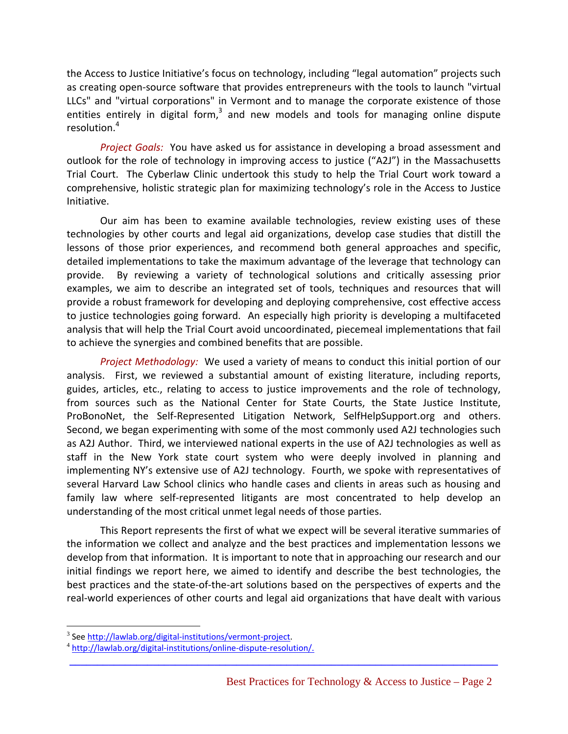the Access to Justice Initiative's focus on technology, including "legal automation" projects such as creating open‐source software that provides entrepreneurs with the tools to launch "virtual LLCs" and "virtual corporations" in Vermont and to manage the corporate existence of those entities entirely in digital form, $3$  and new models and tools for managing online dispute resolution.<sup>4</sup>

*Project Goals:* You have asked us for assistance in developing a broad assessment and outlook for the role of technology in improving access to justice ("A2J") in the Massachusetts Trial Court. The Cyberlaw Clinic undertook this study to help the Trial Court work toward a comprehensive, holistic strategic plan for maximizing technology's role in the Access to Justice Initiative.

Our aim has been to examine available technologies, review existing uses of these technologies by other courts and legal aid organizations, develop case studies that distill the lessons of those prior experiences, and recommend both general approaches and specific, detailed implementations to take the maximum advantage of the leverage that technology can provide. By reviewing a variety of technological solutions and critically assessing prior examples, we aim to describe an integrated set of tools, techniques and resources that will provide a robust framework for developing and deploying comprehensive, cost effective access to justice technologies going forward. An especially high priority is developing a multifaceted analysis that will help the Trial Court avoid uncoordinated, piecemeal implementations that fail to achieve the synergies and combined benefits that are possible.

*Project Methodology:* We used a variety of means to conduct this initial portion of our analysis. First, we reviewed a substantial amount of existing literature, including reports, guides, articles, etc., relating to access to justice improvements and the role of technology, from sources such as the National Center for State Courts, the State Justice Institute, ProBonoNet, the Self‐Represented Litigation Network, SelfHelpSupport.org and others. Second, we began experimenting with some of the most commonly used A2J technologies such as A2J Author. Third, we interviewed national experts in the use of A2J technologies as well as staff in the New York state court system who were deeply involved in planning and implementing NY's extensive use of A2J technology. Fourth, we spoke with representatives of several Harvard Law School clinics who handle cases and clients in areas such as housing and family law where self-represented litigants are most concentrated to help develop an understanding of the most critical unmet legal needs of those parties.

This Report represents the first of what we expect will be several iterative summaries of the information we collect and analyze and the best practices and implementation lessons we develop from that information. It is important to note that in approaching our research and our initial findings we report here, we aimed to identify and describe the best technologies, the best practices and the state‐of‐the‐art solutions based on the perspectives of experts and the real‐world experiences of other courts and legal aid organizations that have dealt with various

**\_\_\_\_\_\_\_\_\_\_\_\_\_\_\_\_\_\_\_\_\_\_\_\_\_\_\_\_\_\_\_\_\_\_\_\_\_\_\_\_\_\_\_\_\_\_\_\_\_\_\_\_\_\_\_\_\_\_\_\_\_\_\_\_\_\_\_\_\_\_\_\_\_\_\_\_\_**

1

<sup>&</sup>lt;sup>3</sup> See <u>http://lawlab.org/digital-institutions/vermont-project</u>.<br><sup>4</sup> http://lawlab.org/digital-institutions/online-dispute-resolution/.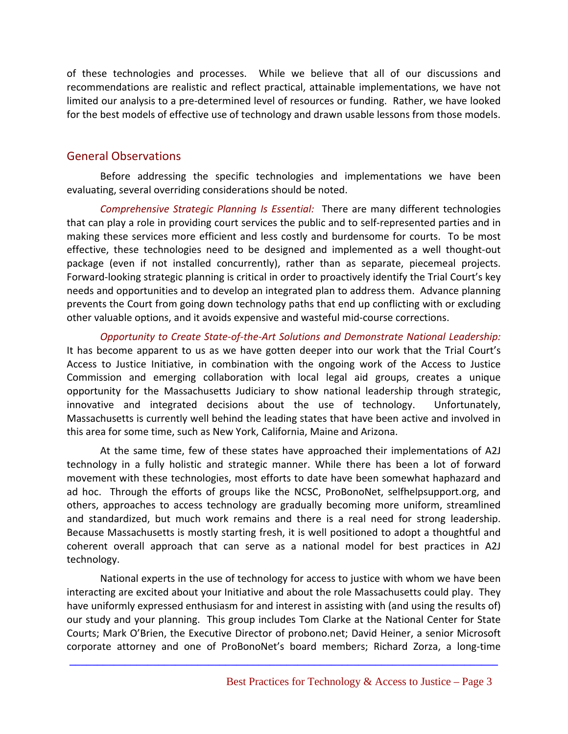of these technologies and processes. While we believe that all of our discussions and recommendations are realistic and reflect practical, attainable implementations, we have not limited our analysis to a pre‐determined level of resources or funding. Rather, we have looked for the best models of effective use of technology and drawn usable lessons from those models.

### General Observations

Before addressing the specific technologies and implementations we have been evaluating, several overriding considerations should be noted.

*Comprehensive Strategic Planning Is Essential:* There are many different technologies that can play a role in providing court services the public and to self‐represented parties and in making these services more efficient and less costly and burdensome for courts. To be most effective, these technologies need to be designed and implemented as a well thought‐out package (even if not installed concurrently), rather than as separate, piecemeal projects. Forward-looking strategic planning is critical in order to proactively identify the Trial Court's key needs and opportunities and to develop an integrated plan to address them. Advance planning prevents the Court from going down technology paths that end up conflicting with or excluding other valuable options, and it avoids expensive and wasteful mid‐course corrections.

*Opportunity to Create State‐of‐the‐Art Solutions and Demonstrate National Leadership:* It has become apparent to us as we have gotten deeper into our work that the Trial Court's Access to Justice Initiative, in combination with the ongoing work of the Access to Justice Commission and emerging collaboration with local legal aid groups, creates a unique opportunity for the Massachusetts Judiciary to show national leadership through strategic, innovative and integrated decisions about the use of technology. Unfortunately, Massachusetts is currently well behind the leading states that have been active and involved in this area for some time, such as New York, California, Maine and Arizona.

At the same time, few of these states have approached their implementations of A2J technology in a fully holistic and strategic manner. While there has been a lot of forward movement with these technologies, most efforts to date have been somewhat haphazard and ad hoc. Through the efforts of groups like the NCSC, ProBonoNet, selfhelpsupport.org, and others, approaches to access technology are gradually becoming more uniform, streamlined and standardized, but much work remains and there is a real need for strong leadership. Because Massachusetts is mostly starting fresh, it is well positioned to adopt a thoughtful and coherent overall approach that can serve as a national model for best practices in A2J technology.

National experts in the use of technology for access to justice with whom we have been interacting are excited about your Initiative and about the role Massachusetts could play. They have uniformly expressed enthusiasm for and interest in assisting with (and using the results of) our study and your planning. This group includes Tom Clarke at the National Center for State Courts; Mark O'Brien, the Executive Director of probono.net; David Heiner, a senior Microsoft corporate attorney and one of ProBonoNet's board members; Richard Zorza, a long‐time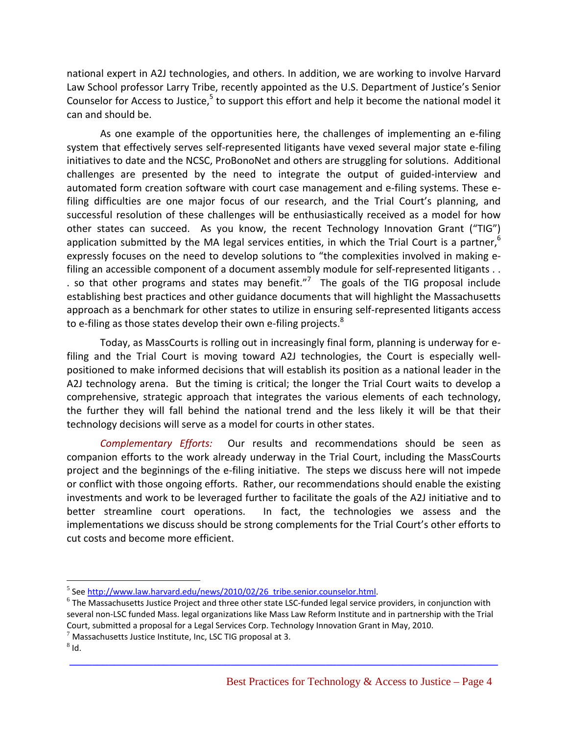national expert in A2J technologies, and others. In addition, we are working to involve Harvard Law School professor Larry Tribe, recently appointed as the U.S. Department of Justice's Senior Counselor for Access to Justice, $5$  to support this effort and help it become the national model it can and should be.

As one example of the opportunities here, the challenges of implementing an e‐filing system that effectively serves self-represented litigants have vexed several major state e-filing initiatives to date and the NCSC, ProBonoNet and others are struggling for solutions. Additional challenges are presented by the need to integrate the output of guided‐interview and automated form creation software with court case management and e‐filing systems. These e‐ filing difficulties are one major focus of our research, and the Trial Court's planning, and successful resolution of these challenges will be enthusiastically received as a model for how other states can succeed. As you know, the recent Technology Innovation Grant ("TIG") application submitted by the MA legal services entities, in which the Trial Court is a partner,<sup>6</sup> expressly focuses on the need to develop solutions to "the complexities involved in making efiling an accessible component of a document assembly module for self-represented litigants . . . so that other programs and states may benefit."<sup>7</sup> The goals of the TIG proposal include establishing best practices and other guidance documents that will highlight the Massachusetts approach as a benchmark for other states to utilize in ensuring self‐represented litigants access to e-filing as those states develop their own e-filing projects. $8<sup>8</sup>$ 

Today, as MassCourts is rolling out in increasingly final form, planning is underway for e‐ filing and the Trial Court is moving toward A2J technologies, the Court is especially wellpositioned to make informed decisions that will establish its position as a national leader in the A2J technology arena. But the timing is critical; the longer the Trial Court waits to develop a comprehensive, strategic approach that integrates the various elements of each technology, the further they will fall behind the national trend and the less likely it will be that their technology decisions will serve as a model for courts in other states.

*Complementary Efforts:* Our results and recommendations should be seen as companion efforts to the work already underway in the Trial Court, including the MassCourts project and the beginnings of the e-filing initiative. The steps we discuss here will not impede or conflict with those ongoing efforts. Rather, our recommendations should enable the existing investments and work to be leveraged further to facilitate the goals of the A2J initiative and to better streamline court operations. In fact, the technologies we assess and the implementations we discuss should be strong complements for the Trial Court's other efforts to cut costs and become more efficient.

**\_\_\_\_\_\_\_\_\_\_\_\_\_\_\_\_\_\_\_\_\_\_\_\_\_\_\_\_\_\_\_\_\_\_\_\_\_\_\_\_\_\_\_\_\_\_\_\_\_\_\_\_\_\_\_\_\_\_\_\_\_\_\_\_\_\_\_\_\_\_\_\_\_\_\_\_\_**

<sup>&</sup>lt;sup>5</sup> See http://www.law.harvard.edu/news/2010/02/26\_tribe.senior.counselor.html.<br><sup>6</sup> The Massachusetts Justice Project and three other state LSC-funded legal service providers, in conjunction with several non‐LSC funded Mass. legal organizations like Mass Law Reform Institute and in partnership with the Trial Court, submitted a proposal for a Legal Services Corp. Technology Innovation Grant in May, 2010.

 $^7$  Massachusetts Justice Institute, Inc, LSC TIG proposal at 3.<br> $^8$ Id.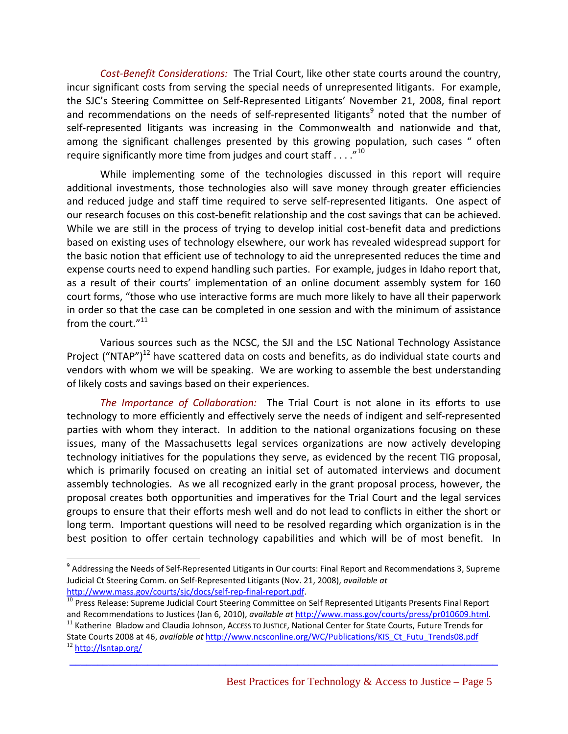*Cost‐Benefit Considerations:* The Trial Court, like other state courts around the country, incur significant costs from serving the special needs of unrepresented litigants. For example, the SJC's Steering Committee on Self‐Represented Litigants' November 21, 2008, final report and recommendations on the needs of self-represented litigants<sup>9</sup> noted that the number of self-represented litigants was increasing in the Commonwealth and nationwide and that, among the significant challenges presented by this growing population, such cases " often require significantly more time from judges and court staff  $\dots$ ."<sup>10</sup>

While implementing some of the technologies discussed in this report will require additional investments, those technologies also will save money through greater efficiencies and reduced judge and staff time required to serve self-represented litigants. One aspect of our research focuses on this cost‐benefit relationship and the cost savings that can be achieved. While we are still in the process of trying to develop initial cost-benefit data and predictions based on existing uses of technology elsewhere, our work has revealed widespread support for the basic notion that efficient use of technology to aid the unrepresented reduces the time and expense courts need to expend handling such parties. For example, judges in Idaho report that, as a result of their courts' implementation of an online document assembly system for 160 court forms, "those who use interactive forms are much more likely to have all their paperwork in order so that the case can be completed in one session and with the minimum of assistance from the court."<sup>11</sup>

Various sources such as the NCSC, the SJI and the LSC National Technology Assistance Project ("NTAP")<sup>12</sup> have scattered data on costs and benefits, as do individual state courts and vendors with whom we will be speaking. We are working to assemble the best understanding of likely costs and savings based on their experiences.

*The Importance of Collaboration:* The Trial Court is not alone in its efforts to use technology to more efficiently and effectively serve the needs of indigent and self‐represented parties with whom they interact. In addition to the national organizations focusing on these issues, many of the Massachusetts legal services organizations are now actively developing technology initiatives for the populations they serve, as evidenced by the recent TIG proposal, which is primarily focused on creating an initial set of automated interviews and document assembly technologies. As we all recognized early in the grant proposal process, however, the proposal creates both opportunities and imperatives for the Trial Court and the legal services groups to ensure that their efforts mesh well and do not lead to conflicts in either the short or long term. Important questions will need to be resolved regarding which organization is in the best position to offer certain technology capabilities and which will be of most benefit. In

**\_\_\_\_\_\_\_\_\_\_\_\_\_\_\_\_\_\_\_\_\_\_\_\_\_\_\_\_\_\_\_\_\_\_\_\_\_\_\_\_\_\_\_\_\_\_\_\_\_\_\_\_\_\_\_\_\_\_\_\_\_\_\_\_\_\_\_\_\_\_\_\_\_\_\_\_\_**

<sup>&</sup>lt;sup>9</sup> Addressing the Needs of Self-Represented Litigants in Our courts: Final Report and Recommendations 3, Supreme Judicial Ct Steering Comm. on Self‐Represented Litigants (Nov. 21, 2008), *available at*

http://www.mass.gov/courts/sjc/docs/self-rep-final-report.pdf.<br><sup>10</sup> Press Release: Supreme Judicial Court Steering Committee on Self Represented Litigants Presents Final Report<br>and Recommendations to Justices (Jan 6, 2010)

<sup>&</sup>lt;sup>11</sup> Katherine Bladow and Claudia Johnson, Access To Justice, National Center for State Courts, Future Trends for State Courts 2008 at 46, *available at* http://www.ncsconline.org/WC/Publications/KIS\_Ct\_Futu\_Trends08.pdf <sup>12</sup> http://lsntap.org/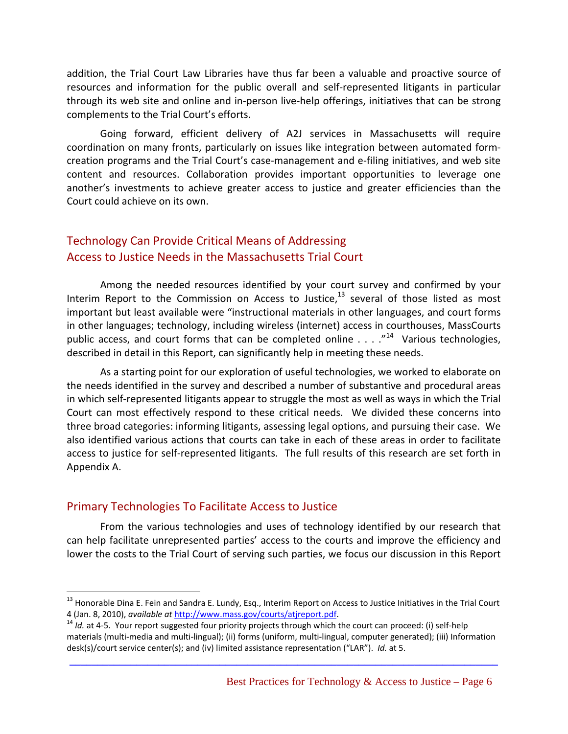addition, the Trial Court Law Libraries have thus far been a valuable and proactive source of resources and information for the public overall and self-represented litigants in particular through its web site and online and in‐person live‐help offerings, initiatives that can be strong complements to the Trial Court's efforts.

Going forward, efficient delivery of A2J services in Massachusetts will require coordination on many fronts, particularly on issues like integration between automated form‐ creation programs and the Trial Court's case‐management and e‐filing initiatives, and web site content and resources. Collaboration provides important opportunities to leverage one another's investments to achieve greater access to justice and greater efficiencies than the Court could achieve on its own.

# Technology Can Provide Critical Means of Addressing Access to Justice Needs in the Massachusetts Trial Court

Among the needed resources identified by your court survey and confirmed by your Interim Report to the Commission on Access to Justice, $13$  several of those listed as most important but least available were "instructional materials in other languages, and court forms in other languages; technology, including wireless (internet) access in courthouses, MassCourts public access, and court forms that can be completed online  $\ldots$  ."<sup>14</sup> Various technologies, described in detail in this Report, can significantly help in meeting these needs.

As a starting point for our exploration of useful technologies, we worked to elaborate on the needs identified in the survey and described a number of substantive and procedural areas in which self‐represented litigants appear to struggle the most as well as ways in which the Trial Court can most effectively respond to these critical needs. We divided these concerns into three broad categories: informing litigants, assessing legal options, and pursuing their case. We also identified various actions that courts can take in each of these areas in order to facilitate access to justice for self‐represented litigants. The full results of this research are set forth in Appendix A.

### Primary Technologies To Facilitate Access to Justice

1

From the various technologies and uses of technology identified by our research that can help facilitate unrepresented parties' access to the courts and improve the efficiency and lower the costs to the Trial Court of serving such parties, we focus our discussion in this Report

<sup>&</sup>lt;sup>13</sup> Honorable Dina E. Fein and Sandra E. Lundy, Esq., Interim Report on Access to Justice Initiatives in the Trial Court 4 (Jan. 8, 2010), *available at* http://www.mass.gov/courts/atjreport.pdf.<br><sup>14</sup> *Id.* at 4-5. Your report suggested four priority projects through which the court can proceed: (i) self-help

materials (multi‐media and multi‐lingual); (ii) forms (uniform, multi‐lingual, computer generated); (iii) Information desk(s)/court service center(s); and (iv) limited assistance representation ("LAR"). *Id.* at 5.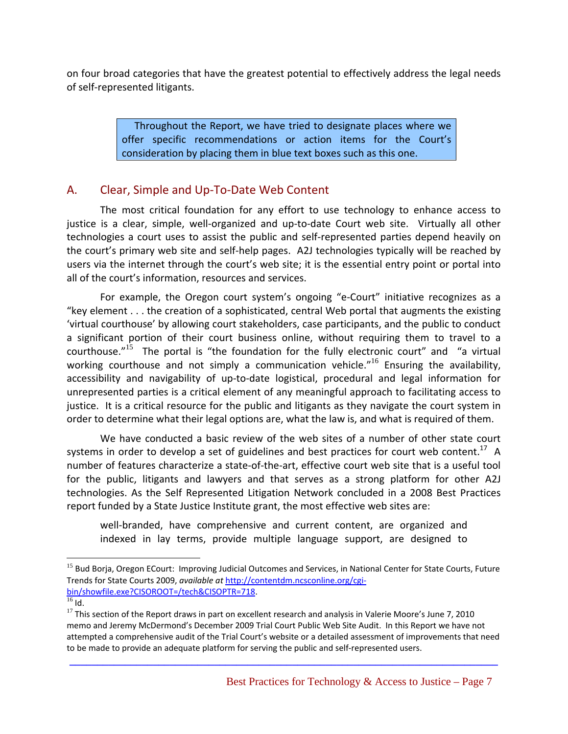on four broad categories that have the greatest potential to effectively address the legal needs of self‐represented litigants.

> Throughout the Report, we have tried to designate places where we offer specific recommendations or action items for the Court's consideration by placing them in blue text boxes such as this one.

# A. Clear, Simple and Up‐To‐Date Web Content

The most critical foundation for any effort to use technology to enhance access to justice is a clear, simple, well-organized and up-to-date Court web site. Virtually all other technologies a court uses to assist the public and self‐represented parties depend heavily on the court's primary web site and self‐help pages. A2J technologies typically will be reached by users via the internet through the court's web site; it is the essential entry point or portal into all of the court's information, resources and services.

For example, the Oregon court system's ongoing "e‐Court" initiative recognizes as a "key element . . . the creation of a sophisticated, central Web portal that augments the existing 'virtual courthouse' by allowing court stakeholders, case participants, and the public to conduct a significant portion of their court business online, without requiring them to travel to a courthouse."<sup>15</sup> The portal is "the foundation for the fully electronic court" and "a virtual working courthouse and not simply a communication vehicle.<sup>"16</sup> Ensuring the availability, accessibility and navigability of up-to-date logistical, procedural and legal information for unrepresented parties is a critical element of any meaningful approach to facilitating access to justice. It is a critical resource for the public and litigants as they navigate the court system in order to determine what their legal options are, what the law is, and what is required of them.

We have conducted a basic review of the web sites of a number of other state court systems in order to develop a set of guidelines and best practices for court web content.<sup>17</sup> A number of features characterize a state‐of‐the‐art, effective court web site that is a useful tool for the public, litigants and lawyers and that serves as a strong platform for other A2J technologies. As the Self Represented Litigation Network concluded in a 2008 Best Practices report funded by a State Justice Institute grant, the most effective web sites are:

well-branded, have comprehensive and current content, are organized and indexed in lay terms, provide multiple language support, are designed to

 $\overline{a}$ 

<sup>&</sup>lt;sup>15</sup> Bud Borja, Oregon ECourt: Improving Judicial Outcomes and Services, in National Center for State Courts, Future Trends for State Courts 2009, *available at* http://contentdm.ncsconline.org/cgi‐ bin/showfile.exe?CISOROOT=/tech&CISOPTR=718.

 $17$  This section of the Report draws in part on excellent research and analysis in Valerie Moore's June 7, 2010 memo and Jeremy McDermond's December 2009 Trial Court Public Web Site Audit. In this Report we have not attempted a comprehensive audit of the Trial Court's website or a detailed assessment of improvements that need to be made to provide an adequate platform for serving the public and self‐represented users.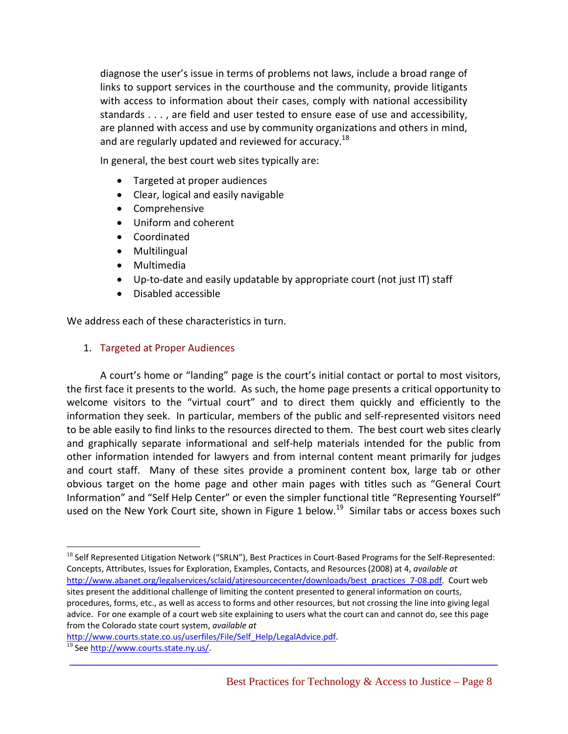diagnose the user's issue in terms of problems not laws, include a broad range of links to support services in the courthouse and the community, provide litigants with access to information about their cases, comply with national accessibility standards . . . , are field and user tested to ensure ease of use and accessibility, are planned with access and use by community organizations and others in mind, and are regularly updated and reviewed for accuracy.<sup>18</sup>

In general, the best court web sites typically are:

- Targeted at proper audiences
- Clear, logical and easily navigable
- Comprehensive
- Uniform and coherent
- Coordinated
- Multilingual
- Multimedia
- Up-to-date and easily updatable by appropriate court (not just IT) staff
- Disabled accessible

We address each of these characteristics in turn.

#### 1. Targeted at Proper Audiences

A court's home or "landing" page is the court's initial contact or portal to most visitors, the first face it presents to the world. As such, the home page presents a critical opportunity to welcome visitors to the "virtual court" and to direct them quickly and efficiently to the information they seek. In particular, members of the public and self‐represented visitors need to be able easily to find links to the resources directed to them. The best court web sites clearly and graphically separate informational and self‐help materials intended for the public from other information intended for lawyers and from internal content meant primarily for judges and court staff. Many of these sites provide a prominent content box, large tab or other obvious target on the home page and other main pages with titles such as "General Court Information" and "Self Help Center" or even the simpler functional title "Representing Yourself" used on the New York Court site, shown in Figure 1 below.<sup>19</sup> Similar tabs or access boxes such

**\_\_\_\_\_\_\_\_\_\_\_\_\_\_\_\_\_\_\_\_\_\_\_\_\_\_\_\_\_\_\_\_\_\_\_\_\_\_\_\_\_\_\_\_\_\_\_\_\_\_\_\_\_\_\_\_\_\_\_\_\_\_\_\_\_\_\_\_\_\_\_\_\_\_\_\_\_**

http://www.courts.state.co.us/userfiles/File/Self\_Help/LegalAdvice.pdf.<br><sup>19</sup> See http://www.courts.state.ny.us/.

 $18$  Self Represented Litigation Network ("SRLN"), Best Practices in Court-Based Programs for the Self-Represented: Concepts, Attributes, Issues for Exploration, Examples, Contacts, and Resources (2008) at 4, *available at* http://www.abanet.org/legalservices/sclaid/atjresourcecenter/downloads/best\_practices\_7-08.pdf. Court web sites present the additional challenge of limiting the content presented to general information on courts, procedures, forms, etc., as well as access to forms and other resources, but not crossing the line into giving legal advice. For one example of a court web site explaining to users what the court can and cannot do, see this page from the Colorado state court system, *available at*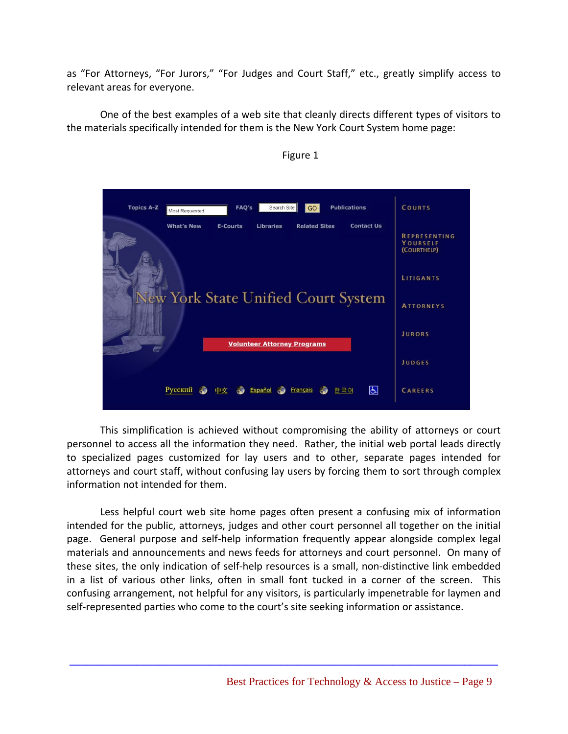as "For Attorneys, "For Jurors," "For Judges and Court Staff," etc., greatly simplify access to relevant areas for everyone.

One of the best examples of a web site that cleanly directs different types of visitors to the materials specifically intended for them is the New York Court System home page:

| FAQ's<br>Search Site<br><b>Publications</b><br><b>Topics A-Z</b><br>GO<br>Most Requested              | <b>COURTS</b>                                  |
|-------------------------------------------------------------------------------------------------------|------------------------------------------------|
| <b>What's New</b><br><b>Libraries</b><br><b>Related Sites</b><br><b>Contact Us</b><br><b>E-Courts</b> | <b>REPRESENTING</b><br>YOURSELF<br>(COURTHELP) |
| <b>New York State Unified Court System</b>                                                            | <b>LITIGANTS</b><br><b>ATTORNEYS</b>           |
| <b>Volunteer Attorney Programs</b>                                                                    | <b>JURORS</b>                                  |
|                                                                                                       | <b>JUDGES</b>                                  |
| $ \mathcal{L} $<br>Русский<br>Español<br>Français<br>中文<br>한국어                                        | <b>CAREERS</b>                                 |

Figure 1

This simplification is achieved without compromising the ability of attorneys or court personnel to access all the information they need. Rather, the initial web portal leads directly to specialized pages customized for lay users and to other, separate pages intended for attorneys and court staff, without confusing lay users by forcing them to sort through complex information not intended for them.

Less helpful court web site home pages often present a confusing mix of information intended for the public, attorneys, judges and other court personnel all together on the initial page. General purpose and self-help information frequently appear alongside complex legal materials and announcements and news feeds for attorneys and court personnel. On many of these sites, the only indication of self‐help resources is a small, non‐distinctive link embedded in a list of various other links, often in small font tucked in a corner of the screen. This confusing arrangement, not helpful for any visitors, is particularly impenetrable for laymen and self-represented parties who come to the court's site seeking information or assistance.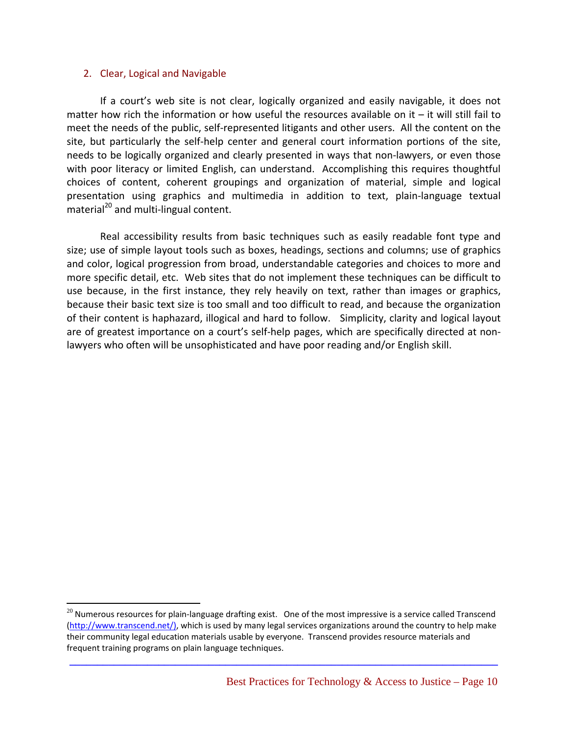#### 2. Clear, Logical and Navigable

 $\overline{a}$ 

If a court's web site is not clear, logically organized and easily navigable, it does not matter how rich the information or how useful the resources available on it – it will still fail to meet the needs of the public, self‐represented litigants and other users. All the content on the site, but particularly the self‐help center and general court information portions of the site, needs to be logically organized and clearly presented in ways that non-lawyers, or even those with poor literacy or limited English, can understand. Accomplishing this requires thoughtful choices of content, coherent groupings and organization of material, simple and logical presentation using graphics and multimedia in addition to text, plain‐language textual material<sup>20</sup> and multi-lingual content.

Real accessibility results from basic techniques such as easily readable font type and size; use of simple layout tools such as boxes, headings, sections and columns; use of graphics and color, logical progression from broad, understandable categories and choices to more and more specific detail, etc. Web sites that do not implement these techniques can be difficult to use because, in the first instance, they rely heavily on text, rather than images or graphics, because their basic text size is too small and too difficult to read, and because the organization of their content is haphazard, illogical and hard to follow. Simplicity, clarity and logical layout are of greatest importance on a court's self-help pages, which are specifically directed at nonlawyers who often will be unsophisticated and have poor reading and/or English skill.

 $20$  Numerous resources for plain-language drafting exist. One of the most impressive is a service called Transcend (http://www.transcend.net/), which is used by many legal services organizations around the country to help make their community legal education materials usable by everyone. Transcend provides resource materials and frequent training programs on plain language techniques.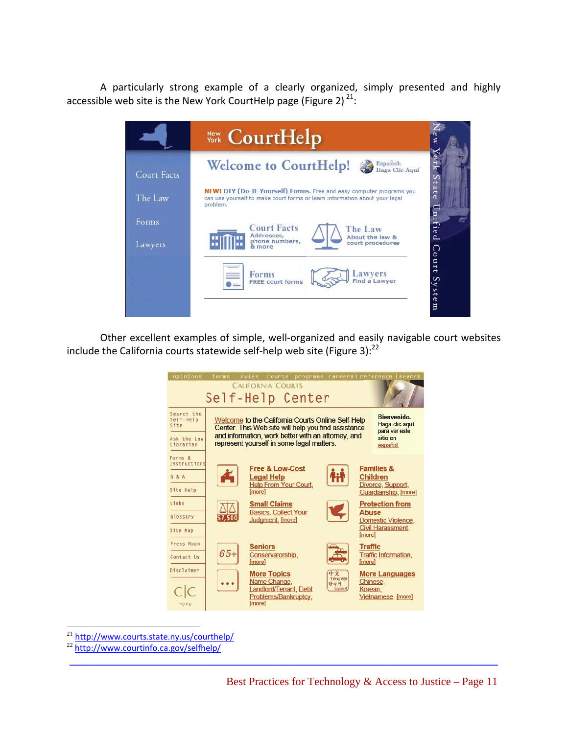A particularly strong example of a clearly organized, simply presented and highly accessible web site is the New York CourtHelp page (Figure 2)  $^{21}$ :



Other excellent examples of simple, well‐organized and easily navigable court websites include the California courts statewide self-help web site (Figure 3):<sup>22</sup>



**\_\_\_\_\_\_\_\_\_\_\_\_\_\_\_\_\_\_\_\_\_\_\_\_\_\_\_\_\_\_\_\_\_\_\_\_\_\_\_\_\_\_\_\_\_\_\_\_\_\_\_\_\_\_\_\_\_\_\_\_\_\_\_\_\_\_\_\_\_\_\_\_\_\_\_\_\_**

 $^{21}$  http://www.courts.state.ny.us/courthelp/<br> $^{22}$  http://www.courtinfo.ca.gov/selfhelp/

1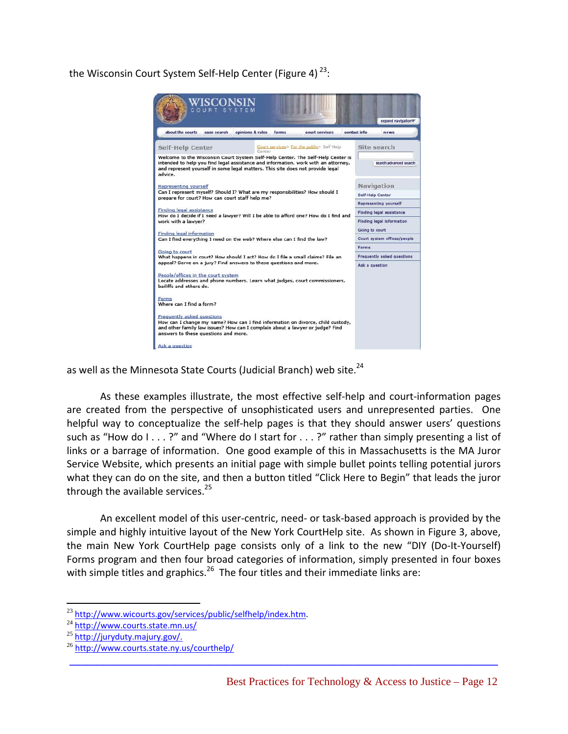the Wisconsin Court System Self-Help Center (Figure 4)  $^{23}$ :



as well as the Minnesota State Courts (Judicial Branch) web site.<sup>24</sup>

As these examples illustrate, the most effective self‐help and court‐information pages are created from the perspective of unsophisticated users and unrepresented parties. One helpful way to conceptualize the self-help pages is that they should answer users' questions such as "How do I . . . ?" and "Where do I start for . . . ?" rather than simply presenting a list of links or a barrage of information. One good example of this in Massachusetts is the MA Juror Service Website, which presents an initial page with simple bullet points telling potential jurors what they can do on the site, and then a button titled "Click Here to Begin" that leads the juror through the available services. $^{25}$ 

An excellent model of this user‐centric, need‐ or task‐based approach is provided by the simple and highly intuitive layout of the New York CourtHelp site. As shown in Figure 3, above, the main New York CourtHelp page consists only of a link to the new "DIY (Do‐It‐Yourself) Forms program and then four broad categories of information, simply presented in four boxes with simple titles and graphics.<sup>26</sup> The four titles and their immediate links are:

**\_\_\_\_\_\_\_\_\_\_\_\_\_\_\_\_\_\_\_\_\_\_\_\_\_\_\_\_\_\_\_\_\_\_\_\_\_\_\_\_\_\_\_\_\_\_\_\_\_\_\_\_\_\_\_\_\_\_\_\_\_\_\_\_\_\_\_\_\_\_\_\_\_\_\_\_\_**

 $^{23}$  http://www.wicourts.gov/services/public/selfhelp/index.htm.<br> $^{24}$  http://www.courts.state.mn.us/

<sup>&</sup>lt;sup>25</sup> http://juryduty.majury.gov/.<br><sup>26</sup> http://www.courts.state.ny.us/courthelp/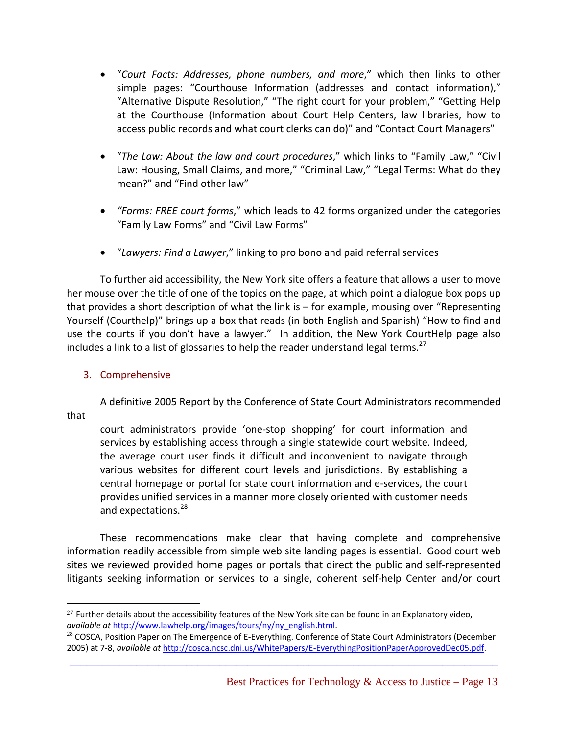- "*Court Facts: Addresses, phone numbers, and more*," which then links to other simple pages: "Courthouse Information (addresses and contact information)," "Alternative Dispute Resolution," "The right court for your problem," "Getting Help at the Courthouse (Information about Court Help Centers, law libraries, how to access public records and what court clerks can do)" and "Contact Court Managers"
- "*The Law: About the law and court procedures*," which links to "Family Law," "Civil Law: Housing, Small Claims, and more," "Criminal Law," "Legal Terms: What do they mean?" and "Find other law"
- *"Forms: FREE court forms*," which leads to 42 forms organized under the categories "Family Law Forms" and "Civil Law Forms"
- "*Lawyers: Find a Lawyer*," linking to pro bono and paid referral services

To further aid accessibility, the New York site offers a feature that allows a user to move her mouse over the title of one of the topics on the page, at which point a dialogue box pops up that provides a short description of what the link is – for example, mousing over "Representing Yourself (Courthelp)" brings up a box that reads (in both English and Spanish) "How to find and use the courts if you don't have a lawyer." In addition, the New York CourtHelp page also includes a link to a list of glossaries to help the reader understand legal terms.<sup>27</sup>

### 3. Comprehensive

A definitive 2005 Report by the Conference of State Court Administrators recommended

that

court administrators provide 'one‐stop shopping' for court information and services by establishing access through a single statewide court website. Indeed, the average court user finds it difficult and inconvenient to navigate through various websites for different court levels and jurisdictions. By establishing a central homepage or portal for state court information and e‐services, the court provides unified services in a manner more closely oriented with customer needs and expectations.<sup>28</sup>

These recommendations make clear that having complete and comprehensive information readily accessible from simple web site landing pages is essential. Good court web sites we reviewed provided home pages or portals that direct the public and self‐represented litigants seeking information or services to a single, coherent self-help Center and/or court

 $\overline{a}$  $27$  Further details about the accessibility features of the New York site can be found in an Explanatory video, *available at* http://www.lawhelp.org/images/tours/ny/ny\_english.html.

<sup>&</sup>lt;sup>28</sup> COSCA, Position Paper on The Emergence of E-Everything. Conference of State Court Administrators (December 2005) at 7‐8, *available at* http://cosca.ncsc.dni.us/WhitePapers/E‐EverythingPositionPaperApprovedDec05.pdf.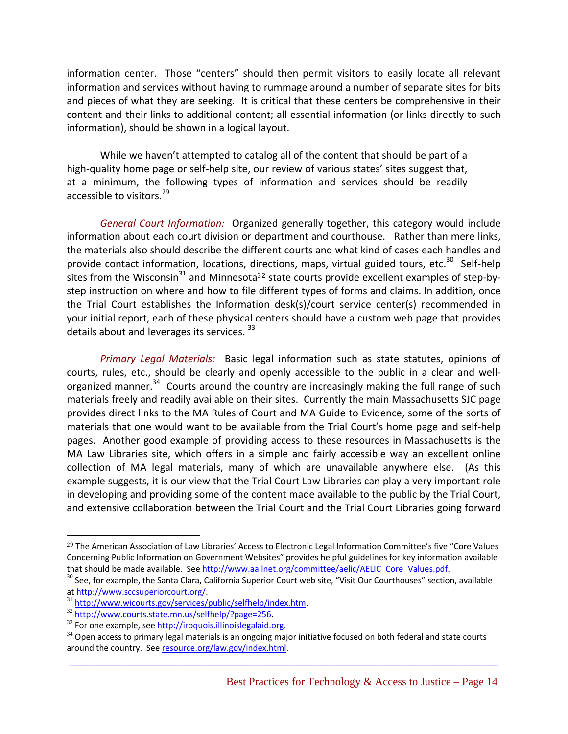information center. Those "centers" should then permit visitors to easily locate all relevant information and services without having to rummage around a number of separate sites for bits and pieces of what they are seeking. It is critical that these centers be comprehensive in their content and their links to additional content; all essential information (or links directly to such information), should be shown in a logical layout.

While we haven't attempted to catalog all of the content that should be part of a high-quality home page or self-help site, our review of various states' sites suggest that, at a minimum, the following types of information and services should be readily accessible to visitors.<sup>29</sup>

*General Court Information:* Organized generally together, this category would include information about each court division or department and courthouse. Rather than mere links, the materials also should describe the different courts and what kind of cases each handles and provide contact information, locations, directions, maps, virtual guided tours, etc.<sup>30</sup> Self-help sites from the Wisconsin<sup>31</sup> and Minnesota<sup>32</sup> state courts provide excellent examples of step-bystep instruction on where and how to file different types of forms and claims. In addition, once the Trial Court establishes the Information desk(s)/court service center(s) recommended in your initial report, each of these physical centers should have a custom web page that provides details about and leverages its services.<sup>33</sup>

*Primary Legal Materials:* Basic legal information such as state statutes, opinions of courts, rules, etc., should be clearly and openly accessible to the public in a clear and well‐ organized manner.<sup>34</sup> Courts around the country are increasingly making the full range of such materials freely and readily available on their sites. Currently the main Massachusetts SJC page provides direct links to the MA Rules of Court and MA Guide to Evidence, some of the sorts of materials that one would want to be available from the Trial Court's home page and self‐help pages. Another good example of providing access to these resources in Massachusetts is the MA Law Libraries site, which offers in a simple and fairly accessible way an excellent online collection of MA legal materials, many of which are unavailable anywhere else. (As this example suggests, it is our view that the Trial Court Law Libraries can play a very important role in developing and providing some of the content made available to the public by the Trial Court, and extensive collaboration between the Trial Court and the Trial Court Libraries going forward

 $\overline{a}$ 

<sup>&</sup>lt;sup>29</sup> The American Association of Law Libraries' Access to Electronic Legal Information Committee's five "Core Values Concerning Public Information on Government Websites" provides helpful guidelines for key information available<br>that should be made available. See http://www.aallnet.org/committee/aelic/AELIC Core Values.pdf.

<sup>&</sup>lt;sup>30</sup> See, for example, the Santa Clara, California Superior Court web site, "Visit Our Courthouses" section, available at http://www.sccsuperiorcourt.org/<br><sup>31</sup> http://www.wicourts.gov/services/public/selfhelp/index.htm.<br><sup>32</sup> http://www.courts.state.mn.us/selfhelp/?page=256.

 $33$  For one example, see http://iroquois.illinoislegalaid.org.

 $34$  Open access to primary legal materials is an ongoing major initiative focused on both federal and state courts around the country. See resource.org/law.gov/index.html.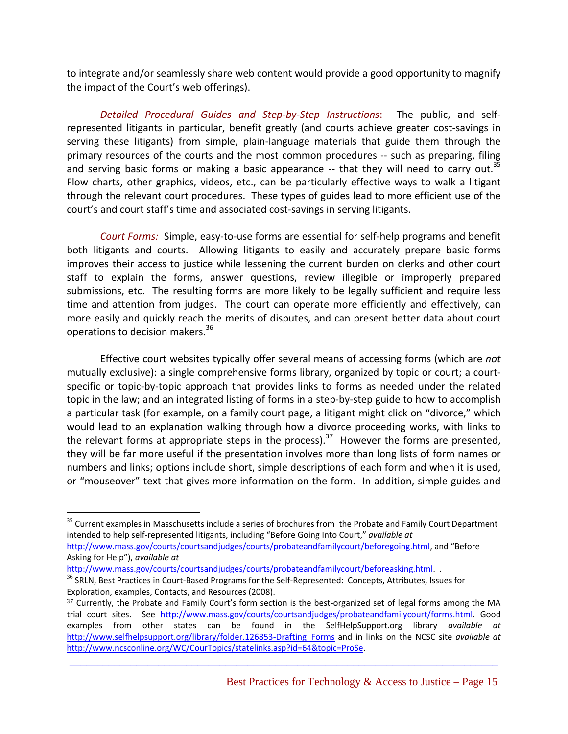to integrate and/or seamlessly share web content would provide a good opportunity to magnify the impact of the Court's web offerings).

*Detailed Procedural Guides and Step‐by‐Step Instructions*: The public, and self‐ represented litigants in particular, benefit greatly (and courts achieve greater cost-savings in serving these litigants) from simple, plain‐language materials that guide them through the primary resources of the courts and the most common procedures ‐‐ such as preparing, filing and serving basic forms or making a basic appearance  $-$  that they will need to carry out.<sup>35</sup> Flow charts, other graphics, videos, etc., can be particularly effective ways to walk a litigant through the relevant court procedures. These types of guides lead to more efficient use of the court's and court staff's time and associated cost‐savings in serving litigants.

*Court Forms:* Simple, easy‐to‐use forms are essential for self‐help programs and benefit both litigants and courts. Allowing litigants to easily and accurately prepare basic forms improves their access to justice while lessening the current burden on clerks and other court staff to explain the forms, answer questions, review illegible or improperly prepared submissions, etc. The resulting forms are more likely to be legally sufficient and require less time and attention from judges. The court can operate more efficiently and effectively, can more easily and quickly reach the merits of disputes, and can present better data about court operations to decision makers.<sup>36</sup>

Effective court websites typically offer several means of accessing forms (which are *not* mutually exclusive): a single comprehensive forms library, organized by topic or court; a court‐ specific or topic-by-topic approach that provides links to forms as needed under the related topic in the law; and an integrated listing of forms in a step‐by‐step guide to how to accomplish a particular task (for example, on a family court page, a litigant might click on "divorce," which would lead to an explanation walking through how a divorce proceeding works, with links to the relevant forms at appropriate steps in the process).<sup>37</sup> However the forms are presented, they will be far more useful if the presentation involves more than long lists of form names or numbers and links; options include short, simple descriptions of each form and when it is used, or "mouseover" text that gives more information on the form. In addition, simple guides and

http://www.mass.gov/courts/courtsandjudges/courts/probateandfamilycourt/beforeasking.html. .

 $\overline{a}$ 

<sup>&</sup>lt;sup>35</sup> Current examples in Masschusetts include a series of brochures from the Probate and Family Court Department intended to help self‐represented litigants, including "Before Going Into Court," *available at*

http://www.mass.gov/courts/courtsandjudges/courts/probateandfamilycourt/beforegoing.html, and "Before Asking for Help"), *available at*

<sup>&</sup>lt;sup>36</sup> SRLN, Best Practices in Court-Based Programs for the Self-Represented: Concepts, Attributes, Issues for Exploration, examples, Contacts, and Resources (2008).

<sup>37</sup> Currently, the Probate and Family Court's form section is the best-organized set of legal forms among the MA trial court sites. See http://www.mass.gov/courts/courtsandjudges/probateandfamilycourt/forms.html. Good examples from other states can be found in the SelfHelpSupport.org library *available at* http://www.selfhelpsupport.org/library/folder.126853‐Drafting\_Forms and in links on the NCSC site *available at* http://www.ncsconline.org/WC/CourTopics/statelinks.asp?id=64&topic=ProSe.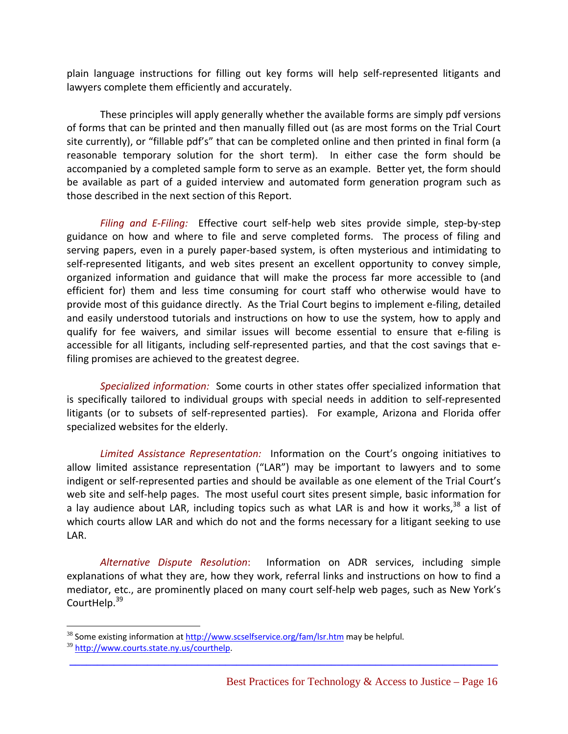plain language instructions for filling out key forms will help self‐represented litigants and lawyers complete them efficiently and accurately.

These principles will apply generally whether the available forms are simply pdf versions of forms that can be printed and then manually filled out (as are most forms on the Trial Court site currently), or "fillable pdf's" that can be completed online and then printed in final form (a reasonable temporary solution for the short term). In either case the form should be accompanied by a completed sample form to serve as an example. Better yet, the form should be available as part of a guided interview and automated form generation program such as those described in the next section of this Report.

*Filing and E‐Filing:* Effective court self‐help web sites provide simple, step‐by‐step guidance on how and where to file and serve completed forms. The process of filing and serving papers, even in a purely paper‐based system, is often mysterious and intimidating to self-represented litigants, and web sites present an excellent opportunity to convey simple, organized information and guidance that will make the process far more accessible to (and efficient for) them and less time consuming for court staff who otherwise would have to provide most of this guidance directly. As the Trial Court begins to implement e‐filing, detailed and easily understood tutorials and instructions on how to use the system, how to apply and qualify for fee waivers, and similar issues will become essential to ensure that e-filing is accessible for all litigants, including self-represented parties, and that the cost savings that efiling promises are achieved to the greatest degree.

*Specialized information:* Some courts in other states offer specialized information that is specifically tailored to individual groups with special needs in addition to self‐represented litigants (or to subsets of self‐represented parties). For example, Arizona and Florida offer specialized websites for the elderly.

*Limited Assistance Representation:* Information on the Court's ongoing initiatives to allow limited assistance representation ("LAR") may be important to lawyers and to some indigent or self-represented parties and should be available as one element of the Trial Court's web site and self-help pages. The most useful court sites present simple, basic information for a lay audience about LAR, including topics such as what LAR is and how it works,  $38$  a list of which courts allow LAR and which do not and the forms necessary for a litigant seeking to use LAR.

*Alternative Dispute Resolution*: Information on ADR services, including simple explanations of what they are, how they work, referral links and instructions on how to find a mediator, etc., are prominently placed on many court self‐help web pages, such as New York's CourtHelp.<sup>39</sup>

**\_\_\_\_\_\_\_\_\_\_\_\_\_\_\_\_\_\_\_\_\_\_\_\_\_\_\_\_\_\_\_\_\_\_\_\_\_\_\_\_\_\_\_\_\_\_\_\_\_\_\_\_\_\_\_\_\_\_\_\_\_\_\_\_\_\_\_\_\_\_\_\_\_\_\_\_\_**

 $38$  Some existing information at  $\frac{http://www.scselfservice.org/fam/lsr.htm}{http://www.scselfservice.org/fam/lsr.htm}$  may be helpful.

<sup>39</sup> http://www.courts.state.ny.us/courthelp.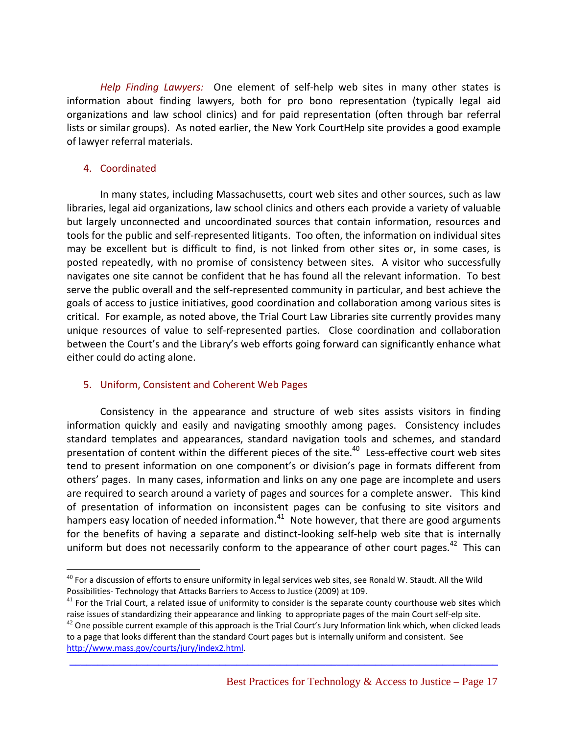*Help Finding Lawyers:* One element of self‐help web sites in many other states is information about finding lawyers, both for pro bono representation (typically legal aid organizations and law school clinics) and for paid representation (often through bar referral lists or similar groups). As noted earlier, the New York CourtHelp site provides a good example of lawyer referral materials.

#### 4. Coordinated

1

In many states, including Massachusetts, court web sites and other sources, such as law libraries, legal aid organizations, law school clinics and others each provide a variety of valuable but largely unconnected and uncoordinated sources that contain information, resources and tools for the public and self‐represented litigants. Too often, the information on individual sites may be excellent but is difficult to find, is not linked from other sites or, in some cases, is posted repeatedly, with no promise of consistency between sites. A visitor who successfully navigates one site cannot be confident that he has found all the relevant information. To best serve the public overall and the self-represented community in particular, and best achieve the goals of access to justice initiatives, good coordination and collaboration among various sites is critical. For example, as noted above, the Trial Court Law Libraries site currently provides many unique resources of value to self-represented parties. Close coordination and collaboration between the Court's and the Library's web efforts going forward can significantly enhance what either could do acting alone.

#### 5. Uniform, Consistent and Coherent Web Pages

Consistency in the appearance and structure of web sites assists visitors in finding information quickly and easily and navigating smoothly among pages. Consistency includes standard templates and appearances, standard navigation tools and schemes, and standard presentation of content within the different pieces of the site.<sup>40</sup> Less-effective court web sites tend to present information on one component's or division's page in formats different from others' pages. In many cases, information and links on any one page are incomplete and users are required to search around a variety of pages and sources for a complete answer. This kind of presentation of information on inconsistent pages can be confusing to site visitors and hampers easy location of needed information. $41$  Note however, that there are good arguments for the benefits of having a separate and distinct-looking self-help web site that is internally uniform but does not necessarily conform to the appearance of other court pages.<sup>42</sup> This can

 $40$  For a discussion of efforts to ensure uniformity in legal services web sites, see Ronald W. Staudt. All the Wild Possibilities‐ Technology that Attacks Barriers to Access to Justice (2009) at 109.

 $41$  For the Trial Court, a related issue of uniformity to consider is the separate county courthouse web sites which raise issues of standardizing their appearance and linking to appropriate pages of the main Court self‐elp site.

 $^{42}$  One possible current example of this approach is the Trial Court's Jury Information link which, when clicked leads to a page that looks different than the standard Court pages but is internally uniform and consistent. See http://www.mass.gov/courts/jury/index2.html.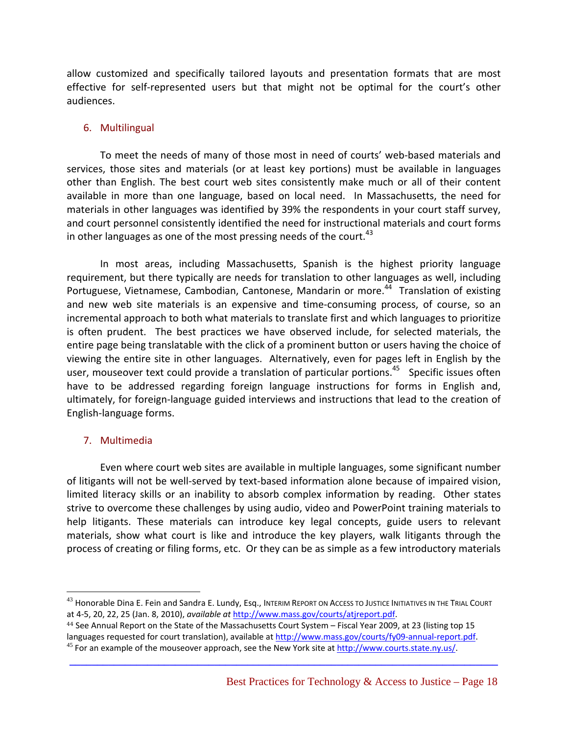allow customized and specifically tailored layouts and presentation formats that are most effective for self-represented users but that might not be optimal for the court's other audiences.

#### 6. Multilingual

To meet the needs of many of those most in need of courts' web‐based materials and services, those sites and materials (or at least key portions) must be available in languages other than English. The best court web sites consistently make much or all of their content available in more than one language, based on local need. In Massachusetts, the need for materials in other languages was identified by 39% the respondents in your court staff survey, and court personnel consistently identified the need for instructional materials and court forms in other languages as one of the most pressing needs of the court. $43$ 

In most areas, including Massachusetts, Spanish is the highest priority language requirement, but there typically are needs for translation to other languages as well, including Portuguese, Vietnamese, Cambodian, Cantonese, Mandarin or more.<sup>44</sup> Translation of existing and new web site materials is an expensive and time‐consuming process, of course, so an incremental approach to both what materials to translate first and which languages to prioritize is often prudent. The best practices we have observed include, for selected materials, the entire page being translatable with the click of a prominent button or users having the choice of viewing the entire site in other languages. Alternatively, even for pages left in English by the user, mouseover text could provide a translation of particular portions.<sup>45</sup> Specific issues often have to be addressed regarding foreign language instructions for forms in English and, ultimately, for foreign‐language guided interviews and instructions that lead to the creation of English‐language forms.

#### 7. Multimedia

1

Even where court web sites are available in multiple languages, some significant number of litigants will not be well‐served by text‐based information alone because of impaired vision, limited literacy skills or an inability to absorb complex information by reading. Other states strive to overcome these challenges by using audio, video and PowerPoint training materials to help litigants. These materials can introduce key legal concepts, guide users to relevant materials, show what court is like and introduce the key players, walk litigants through the process of creating or filing forms, etc. Or they can be as simple as a few introductory materials

<sup>&</sup>lt;sup>43</sup> Honorable Dina E. Fein and Sandra E. Lundy, Esq., INTERIM REPORT ON ACCESS TO JUSTICE INITIATIVES IN THE TRIAL COURT at 4‐5, 20, 22, 25 (Jan. 8, 2010), *available at* http://www.mass.gov/courts/atjreport.pdf.

<sup>44</sup> See Annual Report on the State of the Massachusetts Court System – Fiscal Year 2009, at 23 (listing top 15 languages requested for court translation), available at http://www.mass.gov/courts/fy09-annual-report.pdf. 45<br>
 45 For an example of the mouseover approach, see the New York site at http://www.courts.state.ny.us/.

**\_\_\_\_\_\_\_\_\_\_\_\_\_\_\_\_\_\_\_\_\_\_\_\_\_\_\_\_\_\_\_\_\_\_\_\_\_\_\_\_\_\_\_\_\_\_\_\_\_\_\_\_\_\_\_\_\_\_\_\_\_\_\_\_\_\_\_\_\_\_\_\_\_\_\_\_\_**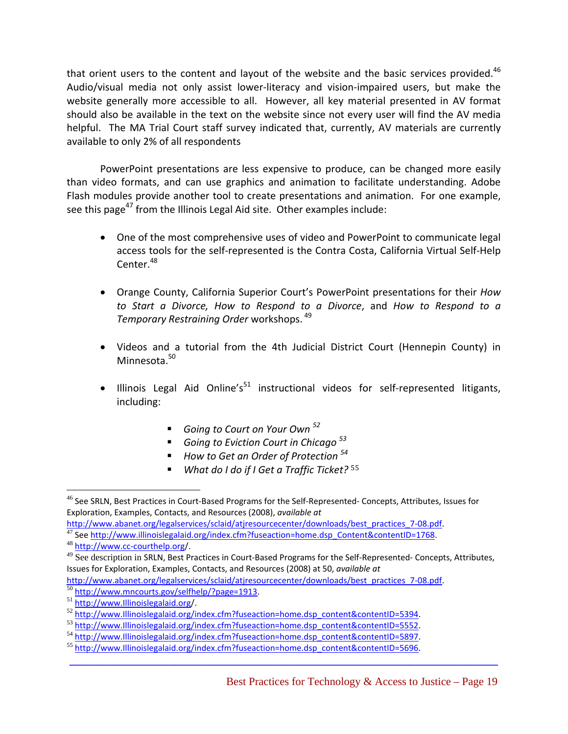that orient users to the content and layout of the website and the basic services provided. $46$ Audio/visual media not only assist lower‐literacy and vision‐impaired users, but make the website generally more accessible to all. However, all key material presented in AV format should also be available in the text on the website since not every user will find the AV media helpful. The MA Trial Court staff survey indicated that, currently, AV materials are currently available to only 2% of all respondents

PowerPoint presentations are less expensive to produce, can be changed more easily than video formats, and can use graphics and animation to facilitate understanding. Adobe Flash modules provide another tool to create presentations and animation. For one example, see this page<sup>47</sup> from the Illinois Legal Aid site. Other examples include:

- One of the most comprehensive uses of video and PowerPoint to communicate legal access tools for the self‐represented is the Contra Costa, California Virtual Self‐Help Center.<sup>48</sup>
- Orange County, California Superior Court's PowerPoint presentations for their *How to Start a Divorce, How to Respond to a Divorce*, and *How to Respond to a Temporary Restraining Order* workshops. <sup>49</sup>
- Videos and a tutorial from the 4th Judicial District Court (Hennepin County) in Minnesota.<sup>50</sup>
- Illinois Legal Aid Online's<sup>51</sup> instructional videos for self-represented litigants, including:
	- *Going to Court on Your Own <sup>52</sup>*
	- *Going to Eviction Court in Chicago <sup>53</sup>*
	- *How to Get an Order of Protection <sup>54</sup>*
	- *What do I do if I Get a Traffic Ticket?* <sup>55</sup>

http://www.abanet.org/legalservices/sclaid/atjresourcecenter/downloads/best\_practices\_7-08.pdf.

 $\overline{a}$ <sup>46</sup> See SRLN, Best Practices in Court-Based Programs for the Self-Represented- Concepts, Attributes, Issues for Exploration, Examples, Contacts, and Resources (2008), *available at*

 $\frac{47}{47}$  See http://www.illinoislegalaid.org/index.cfm?fuseaction=home.dsp\_Content&contentID=1768.<br><sup>48</sup> http://www.cc-courthelp.org/.

 $49$  See description in SRLN, Best Practices in Court-Based Programs for the Self-Represented-Concepts, Attributes, Issues for Exploration, Examples, Contacts, and Resources (2008) at 50, *available at*

http://www.abanet.org/legalservices/sclaid/atjresourcecenter/downloads/best\_practices\_7-08.pdf.<br>
<sup>50</sup> http://www.mncourts.gov/selfhelp/?page=1913.<br>
<sup>51</sup> http://www.Illinoislegalaid.org/index.cfm?fuseaction=home.dsp\_content

 $53$  http://www.Illinoislegalaid.org/index.cfm?fuseaction=home.dsp\_content&contentID=5552.<br>54 http://www.Illinoislegalaid.org/index.cfm?fuseaction=home.dsp\_content&contentID=5897.

<sup>54</sup> http://www.Illinoislegalaid.org/index.cfm?fuseaction=home.dsp\_content&contentID=5897. <sup>55</sup> http://www.Illinoislegalaid.org/index.cfm?fuseaction=home.dsp\_content&contentID=5696.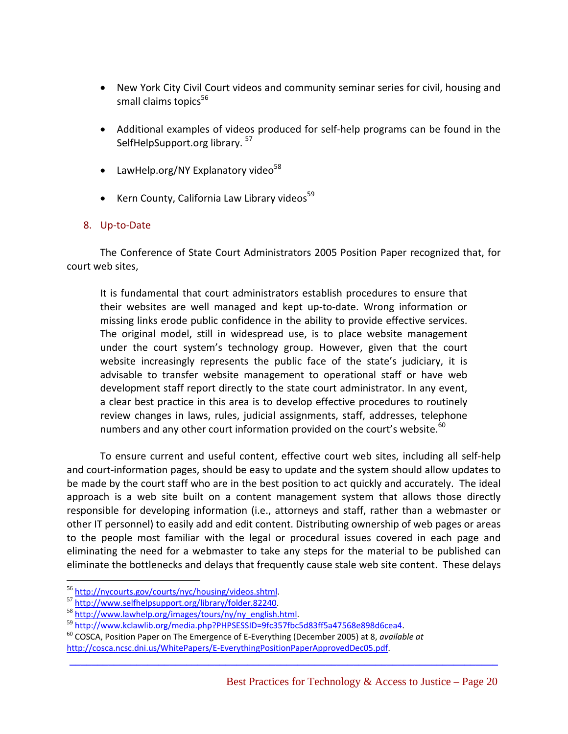- New York City Civil Court videos and community seminar series for civil, housing and small claims topics<sup>56</sup>
- Additional examples of videos produced for self‐help programs can be found in the SelfHelpSupport.org library. 57
- LawHelp.org/NY Explanatory video $58$
- Kern County, California Law Library videos $59$

#### 8. Up‐to‐Date

The Conference of State Court Administrators 2005 Position Paper recognized that, for court web sites,

It is fundamental that court administrators establish procedures to ensure that their websites are well managed and kept up‐to‐date. Wrong information or missing links erode public confidence in the ability to provide effective services. The original model, still in widespread use, is to place website management under the court system's technology group. However, given that the court website increasingly represents the public face of the state's judiciary, it is advisable to transfer website management to operational staff or have web development staff report directly to the state court administrator. In any event, a clear best practice in this area is to develop effective procedures to routinely review changes in laws, rules, judicial assignments, staff, addresses, telephone numbers and any other court information provided on the court's website. $^{60}$ 

To ensure current and useful content, effective court web sites, including all self‐help and court‐information pages, should be easy to update and the system should allow updates to be made by the court staff who are in the best position to act quickly and accurately. The ideal approach is a web site built on a content management system that allows those directly responsible for developing information (i.e., attorneys and staff, rather than a webmaster or other IT personnel) to easily add and edit content. Distributing ownership of web pages or areas to the people most familiar with the legal or procedural issues covered in each page and eliminating the need for a webmaster to take any steps for the material to be published can eliminate the bottlenecks and delays that frequently cause stale web site content. These delays

**\_\_\_\_\_\_\_\_\_\_\_\_\_\_\_\_\_\_\_\_\_\_\_\_\_\_\_\_\_\_\_\_\_\_\_\_\_\_\_\_\_\_\_\_\_\_\_\_\_\_\_\_\_\_\_\_\_\_\_\_\_\_\_\_\_\_\_\_\_\_\_\_\_\_\_\_\_**

1

<sup>&</sup>lt;sup>56</sup> http://nycourts.gov/courts/nyc/housing/videos.shtml.<br>
<sup>57</sup> http://www.selfhelpsupport.org/library/folder.82240.<br>
<sup>58</sup> http://www.lawhelp.org/images/tours/ny/ny\_english.html.

<sup>&</sup>lt;sup>59</sup> http://www.kclawlib.org/media.php?PHPSESSID=9fc357fbc5d83ff5a47568e898d6cea4.

<sup>60</sup> COSCA, Position Paper on The Emergence of E‐Everything (December 2005) at 8, *available at* http://cosca.ncsc.dni.us/WhitePapers/E‐EverythingPositionPaperApprovedDec05.pdf.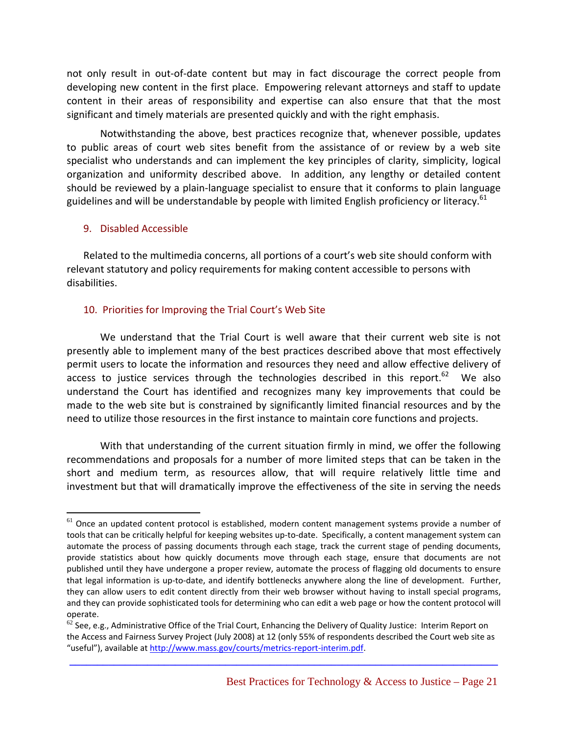not only result in out‐of‐date content but may in fact discourage the correct people from developing new content in the first place. Empowering relevant attorneys and staff to update content in their areas of responsibility and expertise can also ensure that that the most significant and timely materials are presented quickly and with the right emphasis.

Notwithstanding the above, best practices recognize that, whenever possible, updates to public areas of court web sites benefit from the assistance of or review by a web site specialist who understands and can implement the key principles of clarity, simplicity, logical organization and uniformity described above. In addition, any lengthy or detailed content should be reviewed by a plain‐language specialist to ensure that it conforms to plain language guidelines and will be understandable by people with limited English proficiency or literacy.<sup>61</sup>

#### 9. Disabled Accessible

 $\overline{a}$ 

Related to the multimedia concerns, all portions of a court's web site should conform with relevant statutory and policy requirements for making content accessible to persons with disabilities.

#### 10. Priorities for Improving the Trial Court's Web Site

We understand that the Trial Court is well aware that their current web site is not presently able to implement many of the best practices described above that most effectively permit users to locate the information and resources they need and allow effective delivery of access to justice services through the technologies described in this report.<sup>62</sup> We also understand the Court has identified and recognizes many key improvements that could be made to the web site but is constrained by significantly limited financial resources and by the need to utilize those resources in the first instance to maintain core functions and projects.

With that understanding of the current situation firmly in mind, we offer the following recommendations and proposals for a number of more limited steps that can be taken in the short and medium term, as resources allow, that will require relatively little time and investment but that will dramatically improve the effectiveness of the site in serving the needs

 $61$  Once an updated content protocol is established, modern content management systems provide a number of tools that can be critically helpful for keeping websites up-to-date. Specifically, a content management system can automate the process of passing documents through each stage, track the current stage of pending documents, provide statistics about how quickly documents move through each stage, ensure that documents are not published until they have undergone a proper review, automate the process of flagging old documents to ensure that legal information is up-to-date, and identify bottlenecks anywhere along the line of development. Further, they can allow users to edit content directly from their web browser without having to install special programs, and they can provide sophisticated tools for determining who can edit a web page or how the content protocol will operate.<br>  $\frac{1}{62}$  See, e.g., Administrative Office of the Trial Court, Enhancing the Delivery of Quality Justice: Interim Report on

the Access and Fairness Survey Project (July 2008) at 12 (only 55% of respondents described the Court web site as "useful"), available at http://www.mass.gov/courts/metrics‐report‐interim.pdf.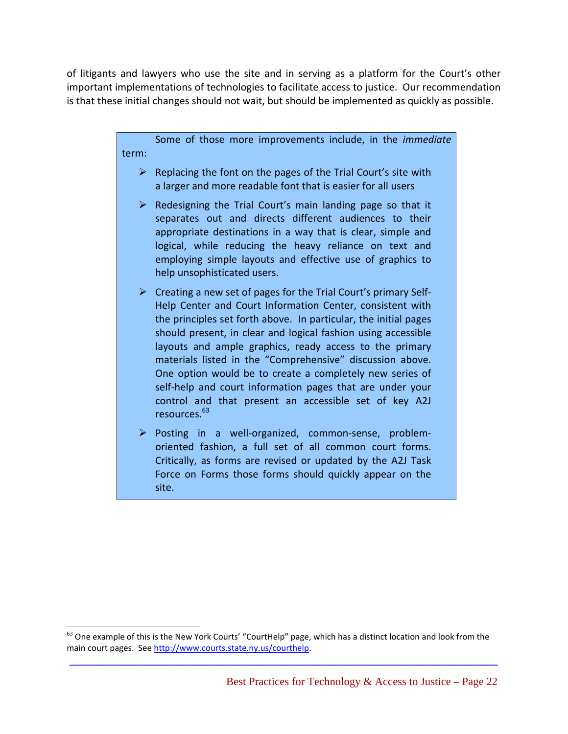of litigants and lawyers who use the site and in serving as a platform for the Court's other important implementations of technologies to facilitate access to justice. Our recommendation is that these initial changes should not wait, but should be implemented as quickly as possible.

> Some of those more improvements include, in the *immediate* term:

- $\triangleright$  Replacing the font on the pages of the Trial Court's site with a larger and more readable font that is easier for all users
- $\triangleright$  Redesigning the Trial Court's main landing page so that it separates out and directs different audiences to their appropriate destinations in a way that is clear, simple and logical, while reducing the heavy reliance on text and employing simple layouts and effective use of graphics to help unsophisticated users.
- $\triangleright$  Creating a new set of pages for the Trial Court's primary Self-Help Center and Court Information Center, consistent with the principles set forth above. In particular, the initial pages should present, in clear and logical fashion using accessible layouts and ample graphics, ready access to the primary materials listed in the "Comprehensive" discussion above. One option would be to create a completely new series of self-help and court information pages that are under your control and that present an accessible set of key A2J resources.63
- ¾ Posting in a well‐organized, common‐sense, problem‐ oriented fashion, a full set of all common court forms. Critically, as forms are revised or updated by the A2J Task Force on Forms those forms should quickly appear on the site.

 $\overline{a}$ 

 $63$  One example of this is the New York Courts' "CourtHelp" page, which has a distinct location and look from the main court pages. See http://www.courts.state.ny.us/courthelp.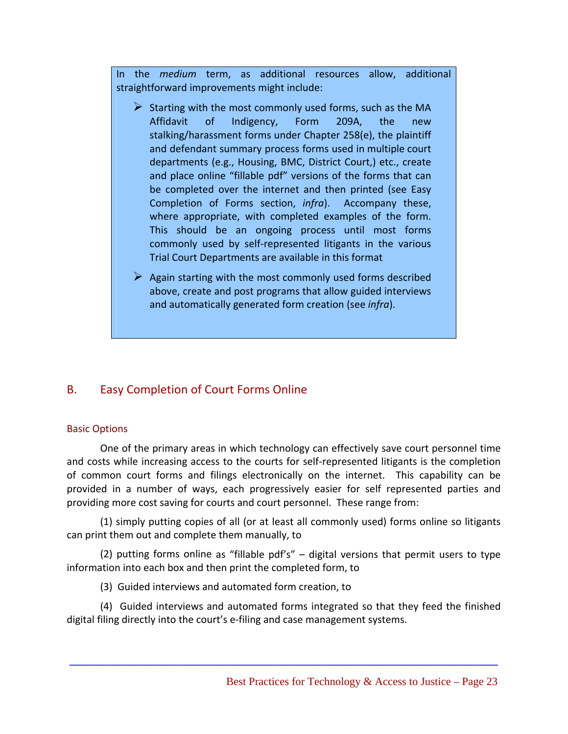In the *medium* term, as additional resources allow, additional straightforward improvements might include:

- $\triangleright$  Starting with the most commonly used forms, such as the MA Affidavit of Indigency, Form 209A, the new stalking/harassment forms under Chapter 258(e), the plaintiff and defendant summary process forms used in multiple court departments (e.g., Housing, BMC, District Court,) etc., create and place online "fillable pdf" versions of the forms that can be completed over the internet and then printed (see Easy Completion of Forms section, *infra*). Accompany these, where appropriate, with completed examples of the form. This should be an ongoing process until most forms commonly used by self‐represented litigants in the various Trial Court Departments are available in this format
- $\triangleright$  Again starting with the most commonly used forms described above, create and post programs that allow guided interviews and automatically generated form creation (see *infra*).

# B. Easy Completion of Court Forms Online

#### Basic Options

One of the primary areas in which technology can effectively save court personnel time and costs while increasing access to the courts for self-represented litigants is the completion of common court forms and filings electronically on the internet. This capability can be provided in a number of ways, each progressively easier for self represented parties and providing more cost saving for courts and court personnel. These range from:

(1) simply putting copies of all (or at least all commonly used) forms online so litigants can print them out and complete them manually, to

(2) putting forms online as "fillable pdf's" – digital versions that permit users to type information into each box and then print the completed form, to

(3) Guided interviews and automated form creation, to

(4) Guided interviews and automated forms integrated so that they feed the finished digital filing directly into the court's e‐filing and case management systems.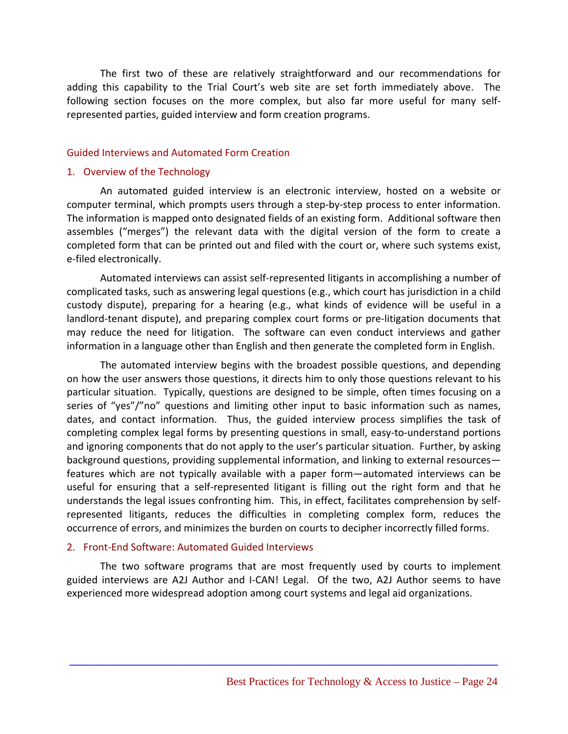The first two of these are relatively straightforward and our recommendations for adding this capability to the Trial Court's web site are set forth immediately above. The following section focuses on the more complex, but also far more useful for many self‐ represented parties, guided interview and form creation programs.

#### Guided Interviews and Automated Form Creation

#### 1. Overview of the Technology

An automated guided interview is an electronic interview, hosted on a website or computer terminal, which prompts users through a step‐by‐step process to enter information. The information is mapped onto designated fields of an existing form. Additional software then assembles ("merges") the relevant data with the digital version of the form to create a completed form that can be printed out and filed with the court or, where such systems exist, e‐filed electronically.

Automated interviews can assist self‐represented litigants in accomplishing a number of complicated tasks, such as answering legal questions (e.g., which court has jurisdiction in a child custody dispute), preparing for a hearing (e.g., what kinds of evidence will be useful in a landlord-tenant dispute), and preparing complex court forms or pre-litigation documents that may reduce the need for litigation. The software can even conduct interviews and gather information in a language other than English and then generate the completed form in English.

The automated interview begins with the broadest possible questions, and depending on how the user answers those questions, it directs him to only those questions relevant to his particular situation. Typically, questions are designed to be simple, often times focusing on a series of "yes"/"no" questions and limiting other input to basic information such as names, dates, and contact information. Thus, the guided interview process simplifies the task of completing complex legal forms by presenting questions in small, easy-to-understand portions and ignoring components that do not apply to the user's particular situation. Further, by asking background questions, providing supplemental information, and linking to external resources features which are not typically available with a paper form—automated interviews can be useful for ensuring that a self‐represented litigant is filling out the right form and that he understands the legal issues confronting him. This, in effect, facilitates comprehension by self‐ represented litigants, reduces the difficulties in completing complex form, reduces the occurrence of errors, and minimizes the burden on courts to decipher incorrectly filled forms.

#### 2. Front‐End Software: Automated Guided Interviews

The two software programs that are most frequently used by courts to implement guided interviews are A2J Author and I‐CAN! Legal. Of the two, A2J Author seems to have experienced more widespread adoption among court systems and legal aid organizations.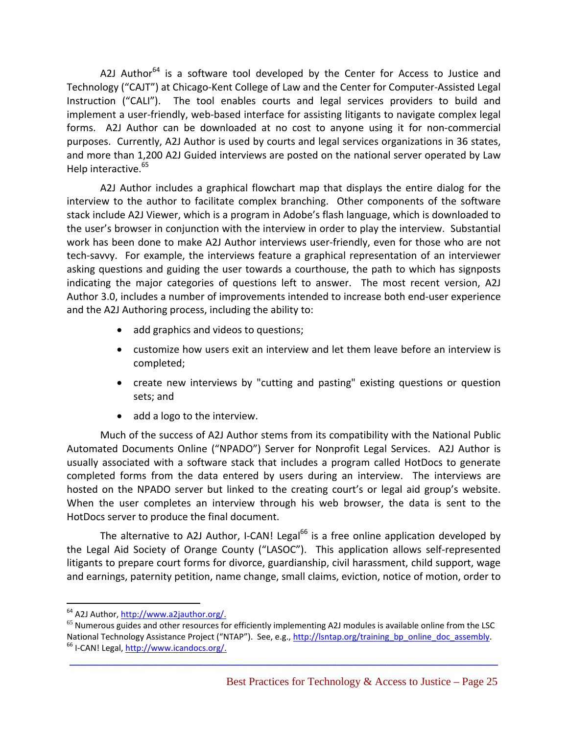A2J Author<sup>64</sup> is a software tool developed by the Center for Access to Justice and Technology ("CAJT") at Chicago‐Kent College of Law and the Center for Computer‐Assisted Legal Instruction ("CALI"). The tool enables courts and legal services providers to build and implement a user-friendly, web-based interface for assisting litigants to navigate complex legal forms. A2J Author can be downloaded at no cost to anyone using it for non-commercial purposes. Currently, A2J Author is used by courts and legal services organizations in 36 states, and more than 1,200 A2J Guided interviews are posted on the national server operated by Law Help interactive.<sup>65</sup>

A2J Author includes a graphical flowchart map that displays the entire dialog for the interview to the author to facilitate complex branching. Other components of the software stack include A2J Viewer, which is a program in Adobe's flash language, which is downloaded to the user's browser in conjunction with the interview in order to play the interview. Substantial work has been done to make A2J Author interviews user-friendly, even for those who are not tech-savvy. For example, the interviews feature a graphical representation of an interviewer asking questions and guiding the user towards a courthouse, the path to which has signposts indicating the major categories of questions left to answer. The most recent version, A2J Author 3.0, includes a number of improvements intended to increase both end‐user experience and the A2J Authoring process, including the ability to:

- add graphics and videos to questions;
- customize how users exit an interview and let them leave before an interview is completed;
- create new interviews by "cutting and pasting" existing questions or question sets; and
- add a logo to the interview.

Much of the success of A2J Author stems from its compatibility with the National Public Automated Documents Online ("NPADO") Server for Nonprofit Legal Services. A2J Author is usually associated with a software stack that includes a program called HotDocs to generate completed forms from the data entered by users during an interview. The interviews are hosted on the NPADO server but linked to the creating court's or legal aid group's website. When the user completes an interview through his web browser, the data is sent to the HotDocs server to produce the final document.

The alternative to A2J Author, I-CAN! Legal<sup>66</sup> is a free online application developed by the Legal Aid Society of Orange County ("LASOC"). This application allows self‐represented litigants to prepare court forms for divorce, guardianship, civil harassment, child support, wage and earnings, paternity petition, name change, small claims, eviction, notice of motion, order to

 $\overline{a}$ 

<sup>&</sup>lt;sup>64</sup> A2J Author, http://www.a2jauthor.org/.<br><sup>65</sup> Numerous guides and other resources for efficiently implementing A2J modules is available online from the LSC National Technology Assistance Project ("NTAP"). See, e.g., http://lsntap.org/training\_bp\_online\_doc\_assembly.<br><sup>66</sup> I‐CAN! Legal, http://www.icandocs.org/.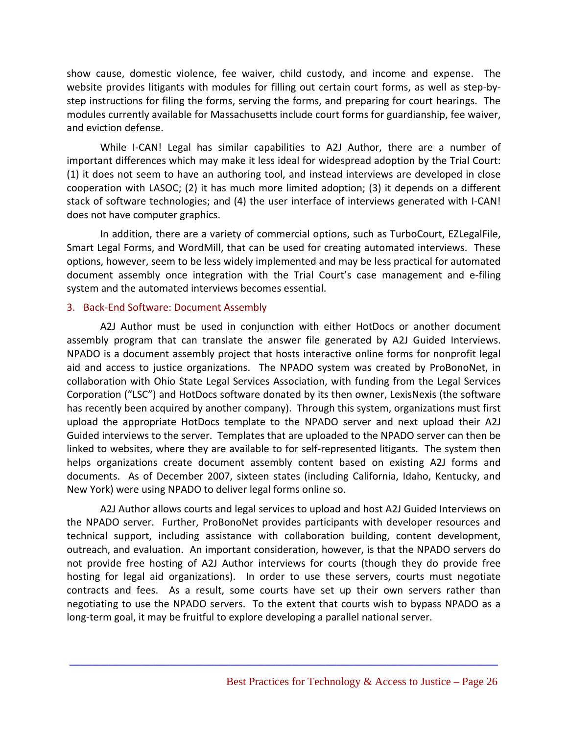show cause, domestic violence, fee waiver, child custody, and income and expense. The website provides litigants with modules for filling out certain court forms, as well as step-bystep instructions for filing the forms, serving the forms, and preparing for court hearings. The modules currently available for Massachusetts include court forms for guardianship, fee waiver, and eviction defense.

While I-CAN! Legal has similar capabilities to A2J Author, there are a number of important differences which may make it less ideal for widespread adoption by the Trial Court: (1) it does not seem to have an authoring tool, and instead interviews are developed in close cooperation with LASOC; (2) it has much more limited adoption; (3) it depends on a different stack of software technologies; and (4) the user interface of interviews generated with I‐CAN! does not have computer graphics.

In addition, there are a variety of commercial options, such as TurboCourt, EZLegalFile, Smart Legal Forms, and WordMill, that can be used for creating automated interviews. These options, however, seem to be less widely implemented and may be less practical for automated document assembly once integration with the Trial Court's case management and e-filing system and the automated interviews becomes essential.

#### 3. Back‐End Software: Document Assembly

A2J Author must be used in conjunction with either HotDocs or another document assembly program that can translate the answer file generated by A2J Guided Interviews. NPADO is a document assembly project that hosts interactive online forms for nonprofit legal aid and access to justice organizations. The NPADO system was created by ProBonoNet, in collaboration with Ohio State Legal Services Association, with funding from the Legal Services Corporation ("LSC") and HotDocs software donated by its then owner, LexisNexis (the software has recently been acquired by another company). Through this system, organizations must first upload the appropriate HotDocs template to the NPADO server and next upload their A2J Guided interviews to the server. Templates that are uploaded to the NPADO server can then be linked to websites, where they are available to for self-represented litigants. The system then helps organizations create document assembly content based on existing A2J forms and documents. As of December 2007, sixteen states (including California, Idaho, Kentucky, and New York) were using NPADO to deliver legal forms online so.

A2J Author allows courts and legal services to upload and host A2J Guided Interviews on the NPADO server. Further, ProBonoNet provides participants with developer resources and technical support, including assistance with collaboration building, content development, outreach, and evaluation. An important consideration, however, is that the NPADO servers do not provide free hosting of A2J Author interviews for courts (though they do provide free hosting for legal aid organizations). In order to use these servers, courts must negotiate contracts and fees. As a result, some courts have set up their own servers rather than negotiating to use the NPADO servers. To the extent that courts wish to bypass NPADO as a long-term goal, it may be fruitful to explore developing a parallel national server.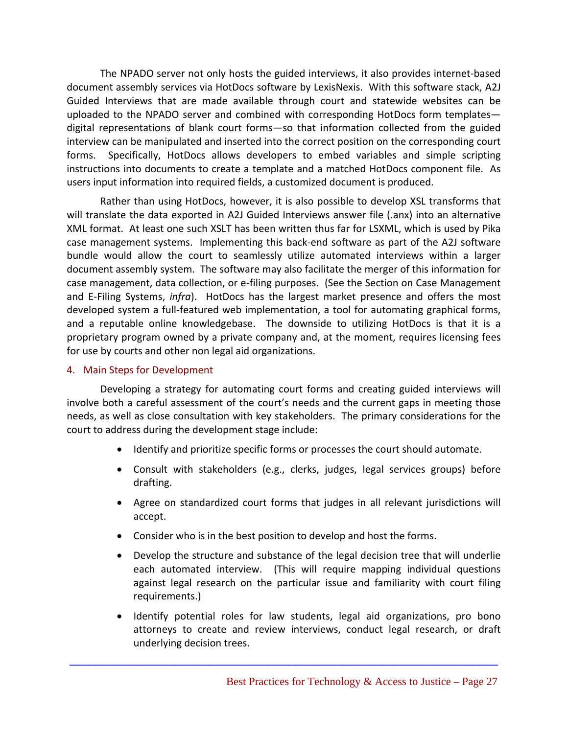The NPADO server not only hosts the guided interviews, it also provides internet‐based document assembly services via HotDocs software by LexisNexis. With this software stack, A2J Guided Interviews that are made available through court and statewide websites can be uploaded to the NPADO server and combined with corresponding HotDocs form templates digital representations of blank court forms—so that information collected from the guided interview can be manipulated and inserted into the correct position on the corresponding court forms. Specifically, HotDocs allows developers to embed variables and simple scripting instructions into documents to create a template and a matched HotDocs component file. As users input information into required fields, a customized document is produced.

Rather than using HotDocs, however, it is also possible to develop XSL transforms that will translate the data exported in A2J Guided Interviews answer file (.anx) into an alternative XML format. At least one such XSLT has been written thus far for LSXML, which is used by Pika case management systems. Implementing this back‐end software as part of the A2J software bundle would allow the court to seamlessly utilize automated interviews within a larger document assembly system. The software may also facilitate the merger of this information for case management, data collection, or e‐filing purposes. (See the Section on Case Management and E-Filing Systems, *infra*). HotDocs has the largest market presence and offers the most developed system a full‐featured web implementation, a tool for automating graphical forms, and a reputable online knowledgebase. The downside to utilizing HotDocs is that it is a proprietary program owned by a private company and, at the moment, requires licensing fees for use by courts and other non legal aid organizations.

#### 4. Main Steps for Development

Developing a strategy for automating court forms and creating guided interviews will involve both a careful assessment of the court's needs and the current gaps in meeting those needs, as well as close consultation with key stakeholders. The primary considerations for the court to address during the development stage include:

- Identify and prioritize specific forms or processes the court should automate.
- Consult with stakeholders (e.g., clerks, judges, legal services groups) before drafting.
- Agree on standardized court forms that judges in all relevant jurisdictions will accept.
- Consider who is in the best position to develop and host the forms.

- Develop the structure and substance of the legal decision tree that will underlie each automated interview. (This will require mapping individual questions against legal research on the particular issue and familiarity with court filing requirements.)
- Identify potential roles for law students, legal aid organizations, pro bono attorneys to create and review interviews, conduct legal research, or draft underlying decision trees.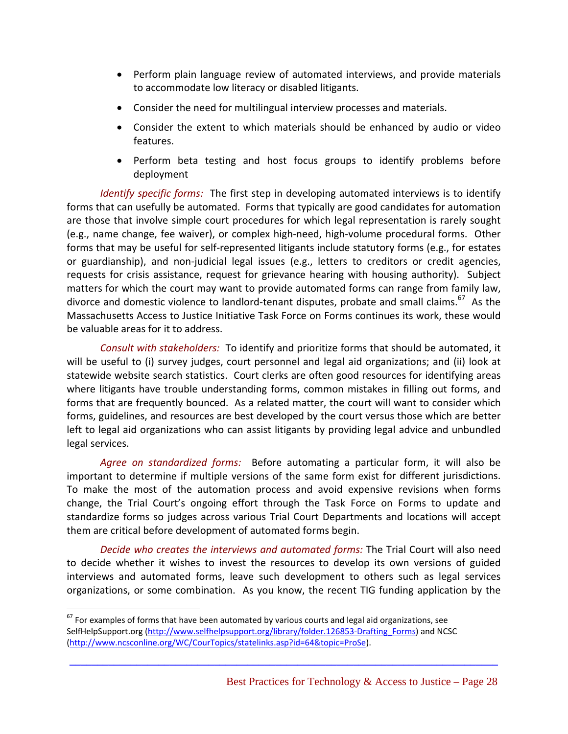- Perform plain language review of automated interviews, and provide materials to accommodate low literacy or disabled litigants.
- Consider the need for multilingual interview processes and materials.
- Consider the extent to which materials should be enhanced by audio or video features.
- Perform beta testing and host focus groups to identify problems before deployment

*Identify specific forms:* The first step in developing automated interviews is to identify forms that can usefully be automated. Forms that typically are good candidates for automation are those that involve simple court procedures for which legal representation is rarely sought (e.g., name change, fee waiver), or complex high‐need, high‐volume procedural forms. Other forms that may be useful for self‐represented litigants include statutory forms (e.g., for estates or guardianship), and non‐judicial legal issues (e.g., letters to creditors or credit agencies, requests for crisis assistance, request for grievance hearing with housing authority). Subject matters for which the court may want to provide automated forms can range from family law, divorce and domestic violence to landlord-tenant disputes, probate and small claims.<sup>67</sup> As the Massachusetts Access to Justice Initiative Task Force on Forms continues its work, these would be valuable areas for it to address.

*Consult with stakeholders:* To identify and prioritize forms that should be automated, it will be useful to (i) survey judges, court personnel and legal aid organizations; and (ii) look at statewide website search statistics. Court clerks are often good resources for identifying areas where litigants have trouble understanding forms, common mistakes in filling out forms, and forms that are frequently bounced. As a related matter, the court will want to consider which forms, guidelines, and resources are best developed by the court versus those which are better left to legal aid organizations who can assist litigants by providing legal advice and unbundled legal services.

*Agree on standardized forms:* Before automating a particular form, it will also be important to determine if multiple versions of the same form exist for different jurisdictions. To make the most of the automation process and avoid expensive revisions when forms change, the Trial Court's ongoing effort through the Task Force on Forms to update and standardize forms so judges across various Trial Court Departments and locations will accept them are critical before development of automated forms begin.

*Decide who creates the interviews and automated forms:* The Trial Court will also need to decide whether it wishes to invest the resources to develop its own versions of guided interviews and automated forms, leave such development to others such as legal services organizations, or some combination. As you know, the recent TIG funding application by the

**\_\_\_\_\_\_\_\_\_\_\_\_\_\_\_\_\_\_\_\_\_\_\_\_\_\_\_\_\_\_\_\_\_\_\_\_\_\_\_\_\_\_\_\_\_\_\_\_\_\_\_\_\_\_\_\_\_\_\_\_\_\_\_\_\_\_\_\_\_\_\_\_\_\_\_\_\_**

 $67$  For examples of forms that have been automated by various courts and legal aid organizations, see SelfHelpSupport.org (http://www.selfhelpsupport.org/library/folder.126853‐Drafting\_Forms) and NCSC (http://www.ncsconline.org/WC/CourTopics/statelinks.asp?id=64&topic=ProSe).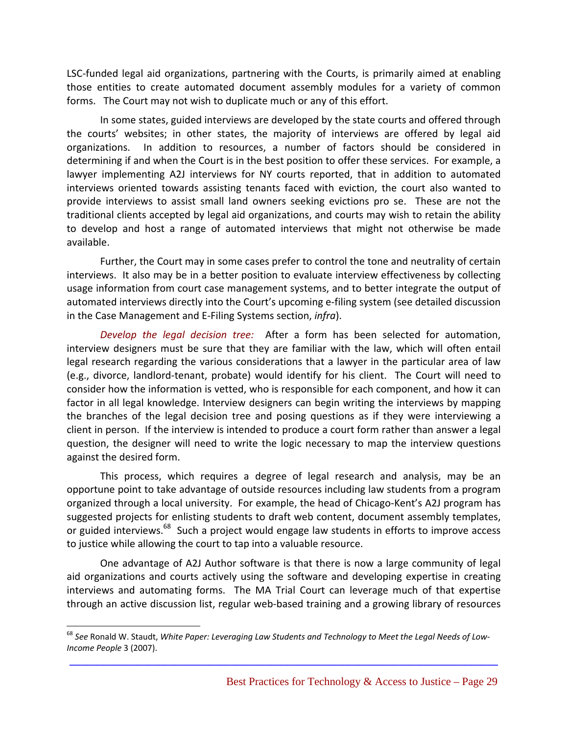LSC‐funded legal aid organizations, partnering with the Courts, is primarily aimed at enabling those entities to create automated document assembly modules for a variety of common forms. The Court may not wish to duplicate much or any of this effort.

In some states, guided interviews are developed by the state courts and offered through the courts' websites; in other states, the majority of interviews are offered by legal aid organizations. In addition to resources, a number of factors should be considered in determining if and when the Court is in the best position to offer these services. For example, a lawyer implementing A2J interviews for NY courts reported, that in addition to automated interviews oriented towards assisting tenants faced with eviction, the court also wanted to provide interviews to assist small land owners seeking evictions pro se. These are not the traditional clients accepted by legal aid organizations, and courts may wish to retain the ability to develop and host a range of automated interviews that might not otherwise be made available.

Further, the Court may in some cases prefer to control the tone and neutrality of certain interviews. It also may be in a better position to evaluate interview effectiveness by collecting usage information from court case management systems, and to better integrate the output of automated interviews directly into the Court's upcoming e-filing system (see detailed discussion in the Case Management and E‐Filing Systems section, *infra*).

*Develop the legal decision tree:* After a form has been selected for automation, interview designers must be sure that they are familiar with the law, which will often entail legal research regarding the various considerations that a lawyer in the particular area of law (e.g., divorce, landlord‐tenant, probate) would identify for his client. The Court will need to consider how the information is vetted, who is responsible for each component, and how it can factor in all legal knowledge. Interview designers can begin writing the interviews by mapping the branches of the legal decision tree and posing questions as if they were interviewing a client in person. If the interview is intended to produce a court form rather than answer a legal question, the designer will need to write the logic necessary to map the interview questions against the desired form.

This process, which requires a degree of legal research and analysis, may be an opportune point to take advantage of outside resources including law students from a program organized through a local university. For example, the head of Chicago‐Kent's A2J program has suggested projects for enlisting students to draft web content, document assembly templates, or guided interviews.<sup>68</sup> Such a project would engage law students in efforts to improve access to justice while allowing the court to tap into a valuable resource.

One advantage of A2J Author software is that there is now a large community of legal aid organizations and courts actively using the software and developing expertise in creating interviews and automating forms. The MA Trial Court can leverage much of that expertise through an active discussion list, regular web‐based training and a growing library of resources

 $\overline{a}$ 

<sup>68</sup> *See* Ronald W. Staudt, *White Paper: Leveraging Law Students and Technology to Meet the Legal Needs of Low‐ Income People* 3 (2007).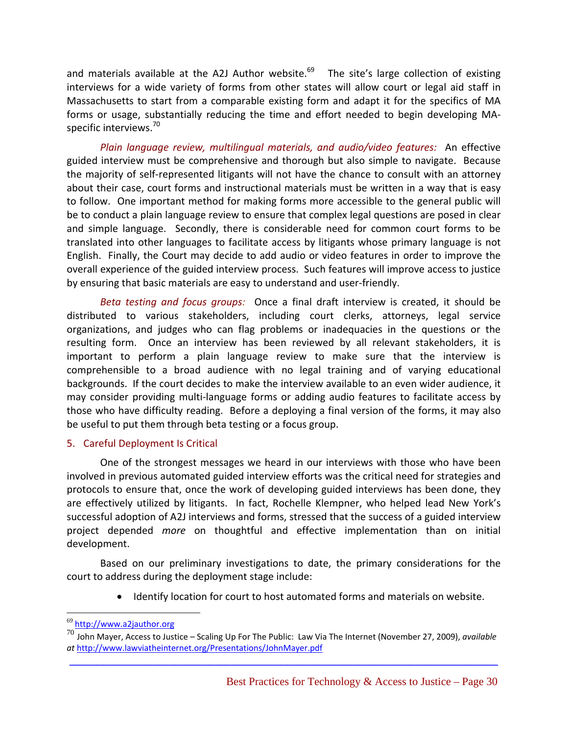and materials available at the A2J Author website.<sup>69</sup> The site's large collection of existing interviews for a wide variety of forms from other states will allow court or legal aid staff in Massachusetts to start from a comparable existing form and adapt it for the specifics of MA forms or usage, substantially reducing the time and effort needed to begin developing MA‐ specific interviews.<sup>70</sup>

*Plain language review, multilingual materials, and audio/video features:* An effective guided interview must be comprehensive and thorough but also simple to navigate. Because the majority of self‐represented litigants will not have the chance to consult with an attorney about their case, court forms and instructional materials must be written in a way that is easy to follow. One important method for making forms more accessible to the general public will be to conduct a plain language review to ensure that complex legal questions are posed in clear and simple language. Secondly, there is considerable need for common court forms to be translated into other languages to facilitate access by litigants whose primary language is not English. Finally, the Court may decide to add audio or video features in order to improve the overall experience of the guided interview process. Such features will improve access to justice by ensuring that basic materials are easy to understand and user‐friendly.

*Beta testing and focus groups:* Once a final draft interview is created, it should be distributed to various stakeholders, including court clerks, attorneys, legal service organizations, and judges who can flag problems or inadequacies in the questions or the resulting form. Once an interview has been reviewed by all relevant stakeholders, it is important to perform a plain language review to make sure that the interview is comprehensible to a broad audience with no legal training and of varying educational backgrounds. If the court decides to make the interview available to an even wider audience, it may consider providing multi‐language forms or adding audio features to facilitate access by those who have difficulty reading. Before a deploying a final version of the forms, it may also be useful to put them through beta testing or a focus group.

#### 5. Careful Deployment Is Critical

One of the strongest messages we heard in our interviews with those who have been involved in previous automated guided interview efforts was the critical need for strategies and protocols to ensure that, once the work of developing guided interviews has been done, they are effectively utilized by litigants. In fact, Rochelle Klempner, who helped lead New York's successful adoption of A2J interviews and forms, stressed that the success of a guided interview project depended *more* on thoughtful and effective implementation than on initial development.

Based on our preliminary investigations to date, the primary considerations for the court to address during the deployment stage include:

• Identify location for court to host automated forms and materials on website.

<sup>69</sup> http://www.a2jauthor.org

**\_\_\_\_\_\_\_\_\_\_\_\_\_\_\_\_\_\_\_\_\_\_\_\_\_\_\_\_\_\_\_\_\_\_\_\_\_\_\_\_\_\_\_\_\_\_\_\_\_\_\_\_\_\_\_\_\_\_\_\_\_\_\_\_\_\_\_\_\_\_\_\_\_\_\_\_\_** <sup>70</sup> John Mayer, Access to Justice – Scaling Up For The Public: Law Via The Internet (November 27, 2009), *available at* http://www.lawviatheinternet.org/Presentations/JohnMayer.pdf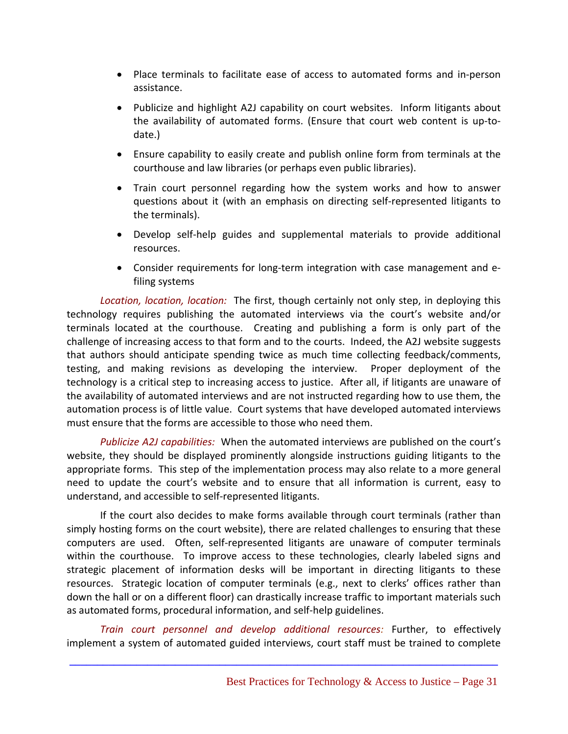- Place terminals to facilitate ease of access to automated forms and in‐person assistance.
- Publicize and highlight A2J capability on court websites. Inform litigants about the availability of automated forms. (Ensure that court web content is up-todate.)
- Ensure capability to easily create and publish online form from terminals at the courthouse and law libraries (or perhaps even public libraries).
- Train court personnel regarding how the system works and how to answer questions about it (with an emphasis on directing self‐represented litigants to the terminals).
- Develop self‐help guides and supplemental materials to provide additional resources.
- Consider requirements for long-term integration with case management and efiling systems

*Location, location, location:* The first, though certainly not only step, in deploying this technology requires publishing the automated interviews via the court's website and/or terminals located at the courthouse. Creating and publishing a form is only part of the challenge of increasing access to that form and to the courts. Indeed, the A2J website suggests that authors should anticipate spending twice as much time collecting feedback/comments, testing, and making revisions as developing the interview. Proper deployment of the technology is a critical step to increasing access to justice. After all, if litigants are unaware of the availability of automated interviews and are not instructed regarding how to use them, the automation process is of little value. Court systems that have developed automated interviews must ensure that the forms are accessible to those who need them.

*Publicize A2J capabilities:* When the automated interviews are published on the court's website, they should be displayed prominently alongside instructions guiding litigants to the appropriate forms. This step of the implementation process may also relate to a more general need to update the court's website and to ensure that all information is current, easy to understand, and accessible to self‐represented litigants.

If the court also decides to make forms available through court terminals (rather than simply hosting forms on the court website), there are related challenges to ensuring that these computers are used. Often, self‐represented litigants are unaware of computer terminals within the courthouse. To improve access to these technologies, clearly labeled signs and strategic placement of information desks will be important in directing litigants to these resources. Strategic location of computer terminals (e.g., next to clerks' offices rather than down the hall or on a different floor) can drastically increase traffic to important materials such as automated forms, procedural information, and self‐help guidelines.

*Train court personnel and develop additional resources:* Further, to effectively implement a system of automated guided interviews, court staff must be trained to complete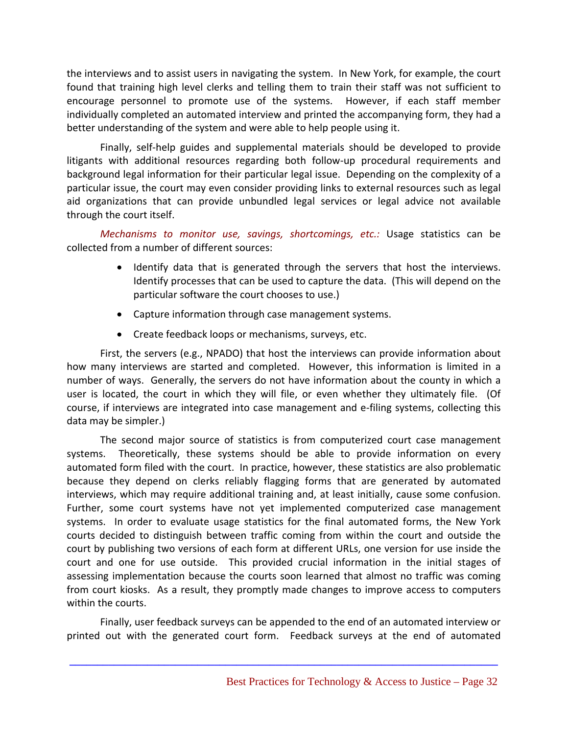the interviews and to assist users in navigating the system. In New York, for example, the court found that training high level clerks and telling them to train their staff was not sufficient to encourage personnel to promote use of the systems. However, if each staff member individually completed an automated interview and printed the accompanying form, they had a better understanding of the system and were able to help people using it.

Finally, self-help guides and supplemental materials should be developed to provide litigants with additional resources regarding both follow‐up procedural requirements and background legal information for their particular legal issue. Depending on the complexity of a particular issue, the court may even consider providing links to external resources such as legal aid organizations that can provide unbundled legal services or legal advice not available through the court itself.

*Mechanisms to monitor use, savings, shortcomings, etc.:* Usage statistics can be collected from a number of different sources:

- Identify data that is generated through the servers that host the interviews. Identify processes that can be used to capture the data. (This will depend on the particular software the court chooses to use.)
- Capture information through case management systems.
- Create feedback loops or mechanisms, surveys, etc.

First, the servers (e.g., NPADO) that host the interviews can provide information about how many interviews are started and completed. However, this information is limited in a number of ways. Generally, the servers do not have information about the county in which a user is located, the court in which they will file, or even whether they ultimately file. (Of course, if interviews are integrated into case management and e‐filing systems, collecting this data may be simpler.)

The second major source of statistics is from computerized court case management systems. Theoretically, these systems should be able to provide information on every automated form filed with the court. In practice, however, these statistics are also problematic because they depend on clerks reliably flagging forms that are generated by automated interviews, which may require additional training and, at least initially, cause some confusion. Further, some court systems have not yet implemented computerized case management systems. In order to evaluate usage statistics for the final automated forms, the New York courts decided to distinguish between traffic coming from within the court and outside the court by publishing two versions of each form at different URLs, one version for use inside the court and one for use outside. This provided crucial information in the initial stages of assessing implementation because the courts soon learned that almost no traffic was coming from court kiosks. As a result, they promptly made changes to improve access to computers within the courts.

Finally, user feedback surveys can be appended to the end of an automated interview or printed out with the generated court form. Feedback surveys at the end of automated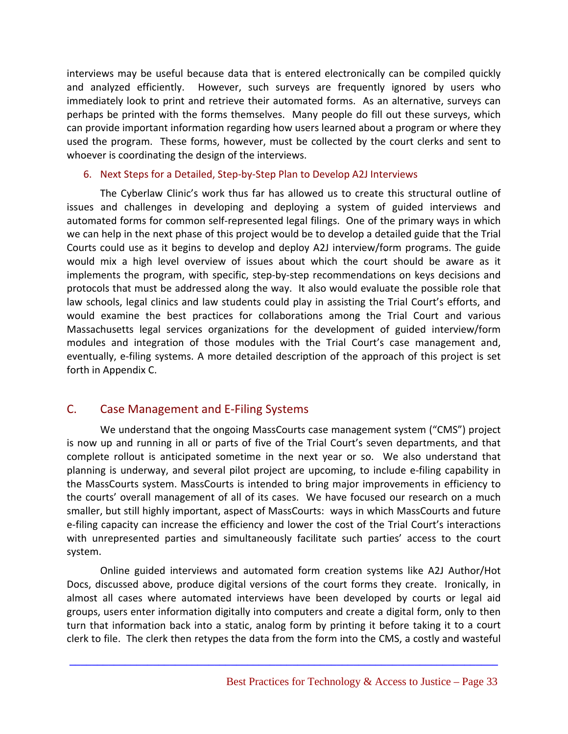interviews may be useful because data that is entered electronically can be compiled quickly and analyzed efficiently. However, such surveys are frequently ignored by users who immediately look to print and retrieve their automated forms. As an alternative, surveys can perhaps be printed with the forms themselves. Many people do fill out these surveys, which can provide important information regarding how users learned about a program or where they used the program. These forms, however, must be collected by the court clerks and sent to whoever is coordinating the design of the interviews.

#### 6. Next Steps for a Detailed, Step‐by‐Step Plan to Develop A2J Interviews

The Cyberlaw Clinic's work thus far has allowed us to create this structural outline of issues and challenges in developing and deploying a system of guided interviews and automated forms for common self-represented legal filings. One of the primary ways in which we can help in the next phase of this project would be to develop a detailed guide that the Trial Courts could use as it begins to develop and deploy A2J interview/form programs. The guide would mix a high level overview of issues about which the court should be aware as it implements the program, with specific, step-by-step recommendations on keys decisions and protocols that must be addressed along the way. It also would evaluate the possible role that law schools, legal clinics and law students could play in assisting the Trial Court's efforts, and would examine the best practices for collaborations among the Trial Court and various Massachusetts legal services organizations for the development of guided interview/form modules and integration of those modules with the Trial Court's case management and, eventually, e-filing systems. A more detailed description of the approach of this project is set forth in Appendix C.

# C. Case Management and E‐Filing Systems

We understand that the ongoing MassCourts case management system ("CMS") project is now up and running in all or parts of five of the Trial Court's seven departments, and that complete rollout is anticipated sometime in the next year or so. We also understand that planning is underway, and several pilot project are upcoming, to include e‐filing capability in the MassCourts system. MassCourts is intended to bring major improvements in efficiency to the courts' overall management of all of its cases. We have focused our research on a much smaller, but still highly important, aspect of MassCourts: ways in which MassCourts and future e-filing capacity can increase the efficiency and lower the cost of the Trial Court's interactions with unrepresented parties and simultaneously facilitate such parties' access to the court system.

Online guided interviews and automated form creation systems like A2J Author/Hot Docs, discussed above, produce digital versions of the court forms they create. Ironically, in almost all cases where automated interviews have been developed by courts or legal aid groups, users enter information digitally into computers and create a digital form, only to then turn that information back into a static, analog form by printing it before taking it to a court clerk to file. The clerk then retypes the data from the form into the CMS, a costly and wasteful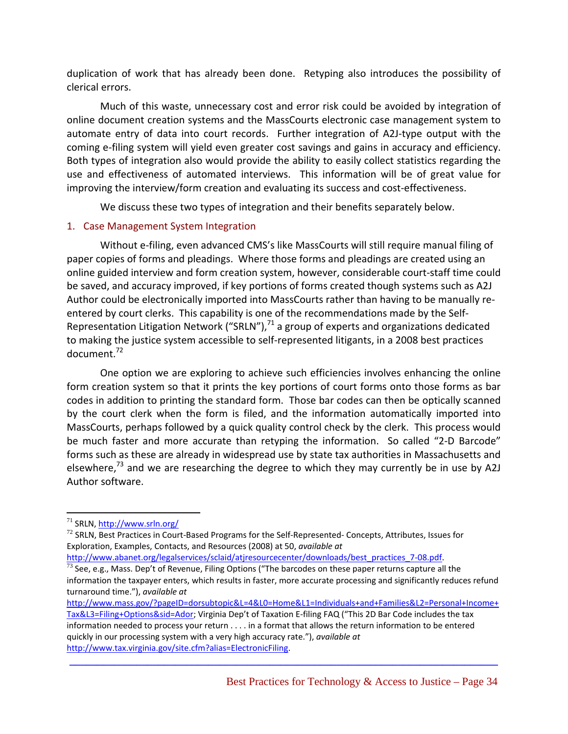duplication of work that has already been done. Retyping also introduces the possibility of clerical errors.

Much of this waste, unnecessary cost and error risk could be avoided by integration of online document creation systems and the MassCourts electronic case management system to automate entry of data into court records. Further integration of A2J-type output with the coming e‐filing system will yield even greater cost savings and gains in accuracy and efficiency. Both types of integration also would provide the ability to easily collect statistics regarding the use and effectiveness of automated interviews. This information will be of great value for improving the interview/form creation and evaluating its success and cost-effectiveness.

We discuss these two types of integration and their benefits separately below.

#### 1. Case Management System Integration

Without e‐filing, even advanced CMS's like MassCourts will still require manual filing of paper copies of forms and pleadings. Where those forms and pleadings are created using an online guided interview and form creation system, however, considerable court‐staff time could be saved, and accuracy improved, if key portions of forms created though systems such as A2J Author could be electronically imported into MassCourts rather than having to be manually re‐ entered by court clerks. This capability is one of the recommendations made by the Self‐ Representation Litigation Network ("SRLN"), $71$  a group of experts and organizations dedicated to making the justice system accessible to self‐represented litigants, in a 2008 best practices document.72

One option we are exploring to achieve such efficiencies involves enhancing the online form creation system so that it prints the key portions of court forms onto those forms as bar codes in addition to printing the standard form. Those bar codes can then be optically scanned by the court clerk when the form is filed, and the information automatically imported into MassCourts, perhaps followed by a quick quality control check by the clerk. This process would be much faster and more accurate than retyping the information. So called "2-D Barcode" forms such as these are already in widespread use by state tax authorities in Massachusetts and elsewhere, $73$  and we are researching the degree to which they may currently be in use by A2J Author software.

1

http://www.abanet.org/legalservices/sclaid/atjresourcecenter/downloads/best\_practices\_7-08.pdf. 73 See, e.g., Mass. Dep't of Revenue, Filing Options ("The barcodes on these paper returns capture all the

<sup>71</sup> SRLN, http://www.srln.org/

 $72$  SRLN, Best Practices in Court-Based Programs for the Self-Represented-Concepts, Attributes, Issues for Exploration, Examples, Contacts, and Resources (2008) at 50, *available at*

information the taxpayer enters, which results in faster, more accurate processing and significantly reduces refund turnaround time."), *available at*

http://www.mass.gov/?pageID=dorsubtopic&L=4&L0=Home&L1=Individuals+and+Families&L2=Personal+Income+ Tax&L3=Filing+Options&sid=Ador; Virginia Dep't of Taxation E‐filing FAQ ("This 2D Bar Code includes the tax information needed to process your return . . . . in a format that allows the return information to be entered quickly in our processing system with a very high accuracy rate."), *available at* http://www.tax.virginia.gov/site.cfm?alias=ElectronicFiling.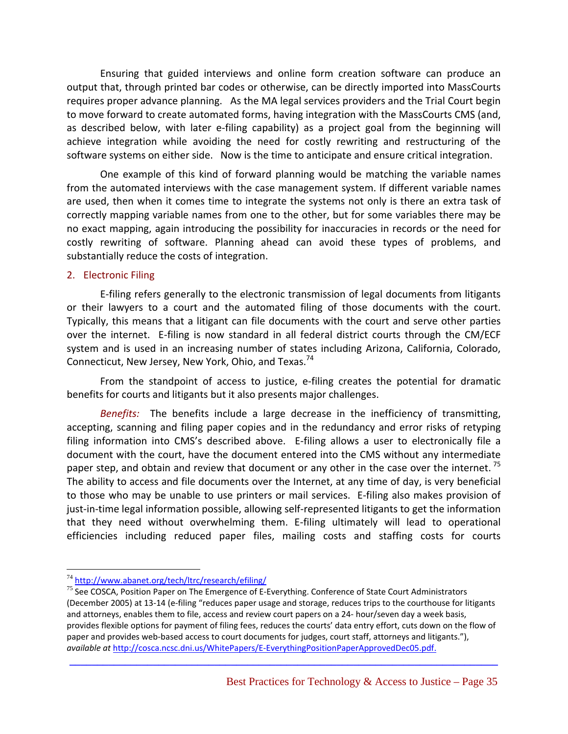Ensuring that guided interviews and online form creation software can produce an output that, through printed bar codes or otherwise, can be directly imported into MassCourts requires proper advance planning. As the MA legal services providers and the Trial Court begin to move forward to create automated forms, having integration with the MassCourts CMS (and, as described below, with later e-filing capability) as a project goal from the beginning will achieve integration while avoiding the need for costly rewriting and restructuring of the software systems on either side. Now is the time to anticipate and ensure critical integration.

One example of this kind of forward planning would be matching the variable names from the automated interviews with the case management system. If different variable names are used, then when it comes time to integrate the systems not only is there an extra task of correctly mapping variable names from one to the other, but for some variables there may be no exact mapping, again introducing the possibility for inaccuracies in records or the need for costly rewriting of software. Planning ahead can avoid these types of problems, and substantially reduce the costs of integration.

#### 2. Electronic Filing

E‐filing refers generally to the electronic transmission of legal documents from litigants or their lawyers to a court and the automated filing of those documents with the court. Typically, this means that a litigant can file documents with the court and serve other parties over the internet. E-filing is now standard in all federal district courts through the CM/ECF system and is used in an increasing number of states including Arizona, California, Colorado, Connecticut, New Jersey, New York, Ohio, and Texas.<sup>74</sup>

From the standpoint of access to justice, e‐filing creates the potential for dramatic benefits for courts and litigants but it also presents major challenges.

*Benefits:* The benefits include a large decrease in the inefficiency of transmitting, accepting, scanning and filing paper copies and in the redundancy and error risks of retyping filing information into CMS's described above. E-filing allows a user to electronically file a document with the court, have the document entered into the CMS without any intermediate paper step, and obtain and review that document or any other in the case over the internet.<sup>75</sup> The ability to access and file documents over the Internet, at any time of day, is very beneficial to those who may be unable to use printers or mail services. E‐filing also makes provision of just-in-time legal information possible, allowing self-represented litigants to get the information that they need without overwhelming them. E‐filing ultimately will lead to operational efficiencies including reduced paper files, mailing costs and staffing costs for courts

<sup>&</sup>lt;sup>74</sup> http://www.abanet.org/tech/ltrc/research/efiling/

 $75$  See COSCA, Position Paper on The Emergence of E-Everything. Conference of State Court Administrators (December 2005) at 13‐14 (e‐filing "reduces paper usage and storage, reduces trips to the courthouse for litigants and attorneys, enables them to file, access and review court papers on a 24‐ hour/seven day a week basis, provides flexible options for payment of filing fees, reduces the courts' data entry effort, cuts down on the flow of paper and provides web-based access to court documents for judges, court staff, attorneys and litigants."), *available at* http://cosca.ncsc.dni.us/WhitePapers/E‐EverythingPositionPaperApprovedDec05.pdf.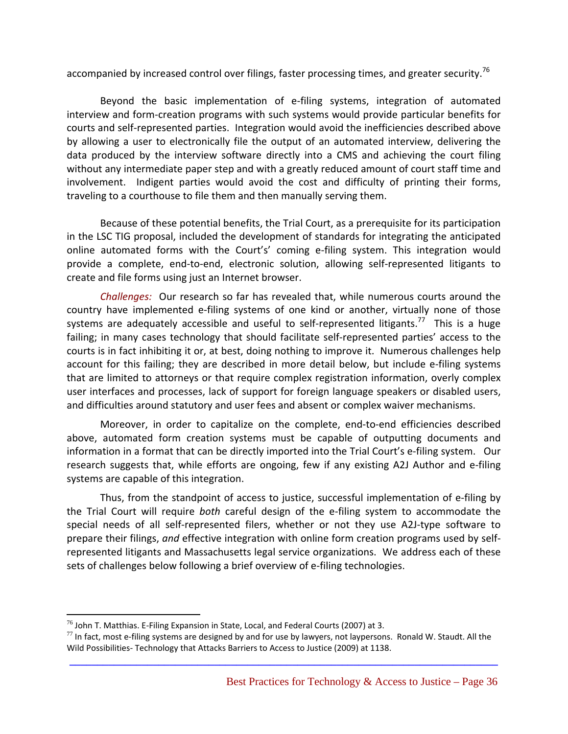accompanied by increased control over filings, faster processing times, and greater security.<sup>76</sup>

Beyond the basic implementation of e‐filing systems, integration of automated interview and form‐creation programs with such systems would provide particular benefits for courts and self‐represented parties. Integration would avoid the inefficiencies described above by allowing a user to electronically file the output of an automated interview, delivering the data produced by the interview software directly into a CMS and achieving the court filing without any intermediate paper step and with a greatly reduced amount of court staff time and involvement. Indigent parties would avoid the cost and difficulty of printing their forms, traveling to a courthouse to file them and then manually serving them.

Because of these potential benefits, the Trial Court, as a prerequisite for its participation in the LSC TIG proposal, included the development of standards for integrating the anticipated online automated forms with the Court's' coming e‐filing system. This integration would provide a complete, end-to-end, electronic solution, allowing self-represented litigants to create and file forms using just an Internet browser.

*Challenges:* Our research so far has revealed that, while numerous courts around the country have implemented e-filing systems of one kind or another, virtually none of those systems are adequately accessible and useful to self-represented litigants.<sup>77</sup> This is a huge failing; in many cases technology that should facilitate self-represented parties' access to the courts is in fact inhibiting it or, at best, doing nothing to improve it. Numerous challenges help account for this failing; they are described in more detail below, but include e-filing systems that are limited to attorneys or that require complex registration information, overly complex user interfaces and processes, lack of support for foreign language speakers or disabled users, and difficulties around statutory and user fees and absent or complex waiver mechanisms.

Moreover, in order to capitalize on the complete, end-to-end efficiencies described above, automated form creation systems must be capable of outputting documents and information in a format that can be directly imported into the Trial Court's e-filing system. Our research suggests that, while efforts are ongoing, few if any existing A2J Author and e-filing systems are capable of this integration.

Thus, from the standpoint of access to justice, successful implementation of e‐filing by the Trial Court will require *both* careful design of the e‐filing system to accommodate the special needs of all self-represented filers, whether or not they use A2J-type software to prepare their filings, *and* effective integration with online form creation programs used by self‐ represented litigants and Massachusetts legal service organizations. We address each of these sets of challenges below following a brief overview of e-filing technologies.

 $\overline{a}$ 

 $^{76}$  John T. Matthias. E-Filing Expansion in State, Local, and Federal Courts (2007) at 3.

 $77$  In fact, most e-filing systems are designed by and for use by lawyers, not laypersons. Ronald W. Staudt. All the Wild Possibilities-Technology that Attacks Barriers to Access to Justice (2009) at 1138.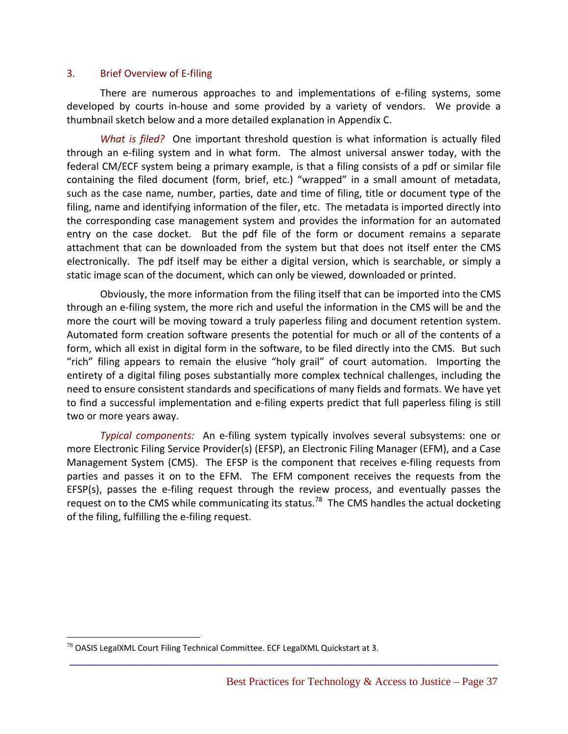#### 3. Brief Overview of E‐filing

There are numerous approaches to and implementations of e‐filing systems, some developed by courts in‐house and some provided by a variety of vendors. We provide a thumbnail sketch below and a more detailed explanation in Appendix C.

*What is filed?* One important threshold question is what information is actually filed through an e-filing system and in what form. The almost universal answer today, with the federal CM/ECF system being a primary example, is that a filing consists of a pdf or similar file containing the filed document (form, brief, etc.) "wrapped" in a small amount of metadata, such as the case name, number, parties, date and time of filing, title or document type of the filing, name and identifying information of the filer, etc. The metadata is imported directly into the corresponding case management system and provides the information for an automated entry on the case docket. But the pdf file of the form or document remains a separate attachment that can be downloaded from the system but that does not itself enter the CMS electronically. The pdf itself may be either a digital version, which is searchable, or simply a static image scan of the document, which can only be viewed, downloaded or printed.

Obviously, the more information from the filing itself that can be imported into the CMS through an e‐filing system, the more rich and useful the information in the CMS will be and the more the court will be moving toward a truly paperless filing and document retention system. Automated form creation software presents the potential for much or all of the contents of a form, which all exist in digital form in the software, to be filed directly into the CMS. But such "rich" filing appears to remain the elusive "holy grail" of court automation. Importing the entirety of a digital filing poses substantially more complex technical challenges, including the need to ensure consistent standards and specifications of many fields and formats. We have yet to find a successful implementation and e-filing experts predict that full paperless filing is still two or more years away.

*Typical components:* An e‐filing system typically involves several subsystems: one or more Electronic Filing Service Provider(s) (EFSP), an Electronic Filing Manager (EFM), and a Case Management System (CMS). The EFSP is the component that receives e-filing requests from parties and passes it on to the EFM. The EFM component receives the requests from the EFSP(s), passes the e-filing request through the review process, and eventually passes the request on to the CMS while communicating its status.<sup>78</sup> The CMS handles the actual docketing of the filing, fulfilling the e‐filing request.

**\_\_\_\_\_\_\_\_\_\_\_\_\_\_\_\_\_\_\_\_\_\_\_\_\_\_\_\_\_\_\_\_\_\_\_\_\_\_\_\_\_\_\_\_\_\_\_\_\_\_\_\_\_\_\_\_\_\_\_\_\_\_\_\_\_\_\_\_\_\_\_\_\_\_\_\_\_**

 $^{78}$  OASIS LegalXML Court Filing Technical Committee. ECF LegalXML Quickstart at 3.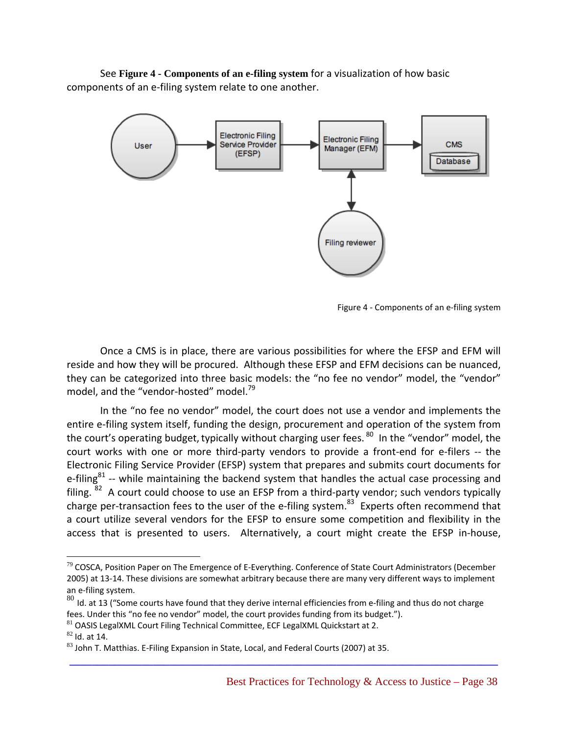See **Figure 4 - Components of an e-filing system** for a visualization of how basic components of an e‐filing system relate to one another.



Figure 4 ‐ Components of an e‐filing system

Once a CMS is in place, there are various possibilities for where the EFSP and EFM will reside and how they will be procured. Although these EFSP and EFM decisions can be nuanced, they can be categorized into three basic models: the "no fee no vendor" model, the "vendor" model, and the "vendor-hosted" model.<sup>79</sup>

In the "no fee no vendor" model, the court does not use a vendor and implements the entire e-filing system itself, funding the design, procurement and operation of the system from the court's operating budget, typically without charging user fees. <sup>80</sup> In the "vendor" model, the court works with one or more third-party vendors to provide a front-end for e-filers -- the Electronic Filing Service Provider (EFSP) system that prepares and submits court documents for e-filing $81$  -- while maintaining the backend system that handles the actual case processing and filing. <sup>82</sup> A court could choose to use an EFSP from a third-party vendor; such vendors typically charge per-transaction fees to the user of the e-filing system.<sup>83</sup> Experts often recommend that a court utilize several vendors for the EFSP to ensure some competition and flexibility in the access that is presented to users. Alternatively, a court might create the EFSP in-house,

**\_\_\_\_\_\_\_\_\_\_\_\_\_\_\_\_\_\_\_\_\_\_\_\_\_\_\_\_\_\_\_\_\_\_\_\_\_\_\_\_\_\_\_\_\_\_\_\_\_\_\_\_\_\_\_\_\_\_\_\_\_\_\_\_\_\_\_\_\_\_\_\_\_\_\_\_\_**

<u>.</u>

 $79$  COSCA, Position Paper on The Emergence of E-Everything. Conference of State Court Administrators (December 2005) at 13‐14. These divisions are somewhat arbitrary because there are many very different ways to implement an e-filing system.

<sup>80</sup> Id. at 13 ("Some courts have found that they derive internal efficiencies from e-filing and thus do not charge fees. Under this "no fee no vendor" model, the court provides funding from its budget.").

 $81$  OASIS LegalXML Court Filing Technical Committee, ECF LegalXML Quickstart at 2.

 $\frac{82}{3}$  Id. at 14.<br> $\frac{83}{3}$  John T. Matthias. E-Filing Expansion in State, Local, and Federal Courts (2007) at 35.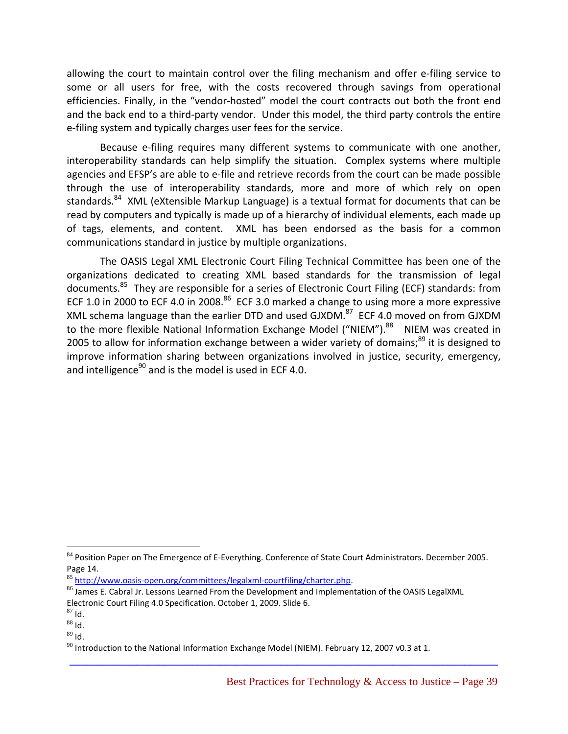allowing the court to maintain control over the filing mechanism and offer e‐filing service to some or all users for free, with the costs recovered through savings from operational efficiencies. Finally, in the "vendor‐hosted" model the court contracts out both the front end and the back end to a third-party vendor. Under this model, the third party controls the entire e-filing system and typically charges user fees for the service.

Because e-filing requires many different systems to communicate with one another, interoperability standards can help simplify the situation. Complex systems where multiple agencies and EFSP's are able to e-file and retrieve records from the court can be made possible through the use of interoperability standards, more and more of which rely on open standards.<sup>84</sup> XML (eXtensible Markup Language) is a textual format for documents that can be read by computers and typically is made up of a hierarchy of individual elements, each made up of tags, elements, and content. XML has been endorsed as the basis for a common communications standard in justice by multiple organizations.

The OASIS Legal XML Electronic Court Filing Technical Committee has been one of the organizations dedicated to creating XML based standards for the transmission of legal documents.<sup>85</sup> They are responsible for a series of Electronic Court Filing (ECF) standards: from ECF 1.0 in 2000 to ECF 4.0 in 2008. $86$  ECF 3.0 marked a change to using more a more expressive XML schema language than the earlier DTD and used GJXDM.<sup>87</sup> ECF 4.0 moved on from GJXDM to the more flexible National Information Exchange Model ("NIEM").<sup>88</sup> NIEM was created in 2005 to allow for information exchange between a wider variety of domains; $^{89}$  it is designed to improve information sharing between organizations involved in justice, security, emergency, and intelligence $90$  and is the model is used in ECF 4.0.

**\_\_\_\_\_\_\_\_\_\_\_\_\_\_\_\_\_\_\_\_\_\_\_\_\_\_\_\_\_\_\_\_\_\_\_\_\_\_\_\_\_\_\_\_\_\_\_\_\_\_\_\_\_\_\_\_\_\_\_\_\_\_\_\_\_\_\_\_\_\_\_\_\_\_\_\_\_**

<sup>84</sup> Position Paper on The Emergence of E-Everything. Conference of State Court Administrators. December 2005. Page 14.<br><sup>85</sup> http://www.oasis-open.org/committees/legalxml-courtfiling/charter.php.

<sup>&</sup>lt;sup>86</sup> James E. Cabral Jr. Lessons Learned From the Development and Implementation of the OASIS LegalXML

Electronic Court Filing 4.0 Specification. October 1, 2009. Slide 6.<br><sup>87</sup> ld.

 $88$  Id.

 $89$  Id.

 $^{90}$  Introduction to the National Information Exchange Model (NIEM). February 12, 2007 v0.3 at 1.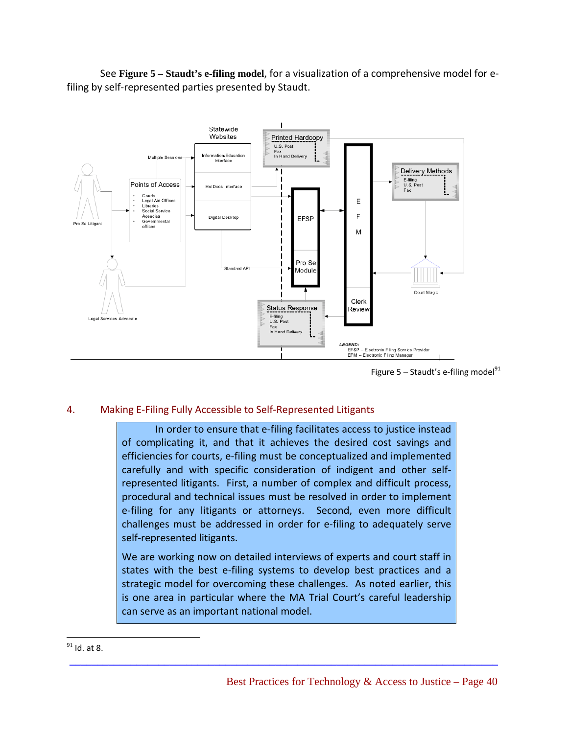See **Figure 5 – Staudt's e-filing model**, for a visualization of a comprehensive model for e‐ filing by self-represented parties presented by Staudt.



Figure  $5 -$  Staudt's e-filing model<sup>91</sup>

#### 4. Making E‐Filing Fully Accessible to Self‐Represented Litigants

In order to ensure that e‐filing facilitates access to justice instead of complicating it, and that it achieves the desired cost savings and efficiencies for courts, e‐filing must be conceptualized and implemented carefully and with specific consideration of indigent and other self‐ represented litigants. First, a number of complex and difficult process, procedural and technical issues must be resolved in order to implement e-filing for any litigants or attorneys. Second, even more difficult challenges must be addressed in order for e‐filing to adequately serve self‐represented litigants.

We are working now on detailed interviews of experts and court staff in states with the best e-filing systems to develop best practices and a strategic model for overcoming these challenges. As noted earlier, this is one area in particular where the MA Trial Court's careful leadership can serve as an important national model.

**\_\_\_\_\_\_\_\_\_\_\_\_\_\_\_\_\_\_\_\_\_\_\_\_\_\_\_\_\_\_\_\_\_\_\_\_\_\_\_\_\_\_\_\_\_\_\_\_\_\_\_\_\_\_\_\_\_\_\_\_\_\_\_\_\_\_\_\_\_\_\_\_\_\_\_\_\_**

 $^{91}$  Id. at 8.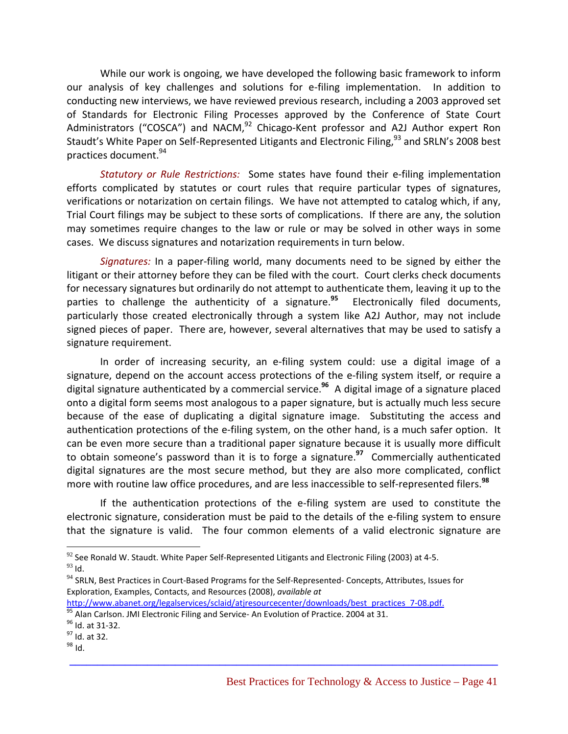While our work is ongoing, we have developed the following basic framework to inform our analysis of key challenges and solutions for e‐filing implementation. In addition to conducting new interviews, we have reviewed previous research, including a 2003 approved set of Standards for Electronic Filing Processes approved by the Conference of State Court Administrators ("COSCA") and NACM, $92$  Chicago-Kent professor and A2J Author expert Ron Staudt's White Paper on Self-Represented Litigants and Electronic Filing,<sup>93</sup> and SRLN's 2008 best practices document.94

*Statutory or Rule Restrictions:* Some states have found their e‐filing implementation efforts complicated by statutes or court rules that require particular types of signatures, verifications or notarization on certain filings. We have not attempted to catalog which, if any, Trial Court filings may be subject to these sorts of complications. If there are any, the solution may sometimes require changes to the law or rule or may be solved in other ways in some cases. We discuss signatures and notarization requirements in turn below.

*Signatures:* In a paper‐filing world, many documents need to be signed by either the litigant or their attorney before they can be filed with the court. Court clerks check documents for necessary signatures but ordinarily do not attempt to authenticate them, leaving it up to the parties to challenge the authenticity of a signature.**<sup>95</sup>** Electronically filed documents, particularly those created electronically through a system like A2J Author, may not include signed pieces of paper. There are, however, several alternatives that may be used to satisfy a signature requirement.

In order of increasing security, an e-filing system could: use a digital image of a signature, depend on the account access protections of the e-filing system itself, or require a digital signature authenticated by a commercial service.**<sup>96</sup>** A digital image of a signature placed onto a digital form seems most analogous to a paper signature, but is actually much less secure because of the ease of duplicating a digital signature image. Substituting the access and authentication protections of the e‐filing system, on the other hand, is a much safer option. It can be even more secure than a traditional paper signature because it is usually more difficult to obtain someone's password than it is to forge a signature.**<sup>97</sup>** Commercially authenticated digital signatures are the most secure method, but they are also more complicated, conflict more with routine law office procedures, and are less inaccessible to self‐represented filers.**<sup>98</sup>**

If the authentication protections of the e-filing system are used to constitute the electronic signature, consideration must be paid to the details of the e‐filing system to ensure that the signature is valid. The four common elements of a valid electronic signature are

**\_\_\_\_\_\_\_\_\_\_\_\_\_\_\_\_\_\_\_\_\_\_\_\_\_\_\_\_\_\_\_\_\_\_\_\_\_\_\_\_\_\_\_\_\_\_\_\_\_\_\_\_\_\_\_\_\_\_\_\_\_\_\_\_\_\_\_\_\_\_\_\_\_\_\_\_\_**

 $92$  See Ronald W. Staudt. White Paper Self-Represented Litigants and Electronic Filing (2003) at 4-5.  $93$  Id.

 $94$  SRLN, Best Practices in Court-Based Programs for the Self-Represented-Concepts, Attributes, Issues for Exploration, Examples, Contacts, and Resources (2008), *available at*

http://www.abanet.org/legalservices/sclaid/atjresourcecenter/downloads/best\_practices\_7-08.pdf. 95 Alan Carlson. JMI Electronic Filing and Service‐ An Evolution of Practice. 2004 at 31. 96 Id. at 31‐32. 98 Id. at 32. 98 Id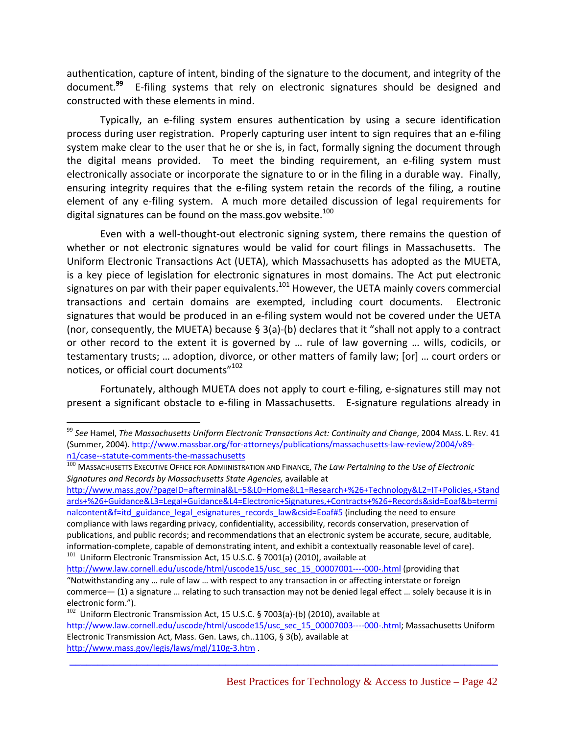authentication, capture of intent, binding of the signature to the document, and integrity of the document.<sup>99</sup> E-filing systems that rely on electronic signatures should be designed and constructed with these elements in mind.

Typically, an e‐filing system ensures authentication by using a secure identification process during user registration. Properly capturing user intent to sign requires that an e‐filing system make clear to the user that he or she is, in fact, formally signing the document through the digital means provided. To meet the binding requirement, an e-filing system must electronically associate or incorporate the signature to or in the filing in a durable way. Finally, ensuring integrity requires that the e-filing system retain the records of the filing, a routine element of any e‐filing system. A much more detailed discussion of legal requirements for digital signatures can be found on the mass.gov website. $100$ 

Even with a well-thought-out electronic signing system, there remains the question of whether or not electronic signatures would be valid for court filings in Massachusetts. The Uniform Electronic Transactions Act (UETA), which Massachusetts has adopted as the MUETA, is a key piece of legislation for electronic signatures in most domains. The Act put electronic signatures on par with their paper equivalents.<sup>101</sup> However, the UETA mainly covers commercial transactions and certain domains are exempted, including court documents. Electronic signatures that would be produced in an e-filing system would not be covered under the UETA (nor, consequently, the MUETA) because § 3(a)-(b) declares that it "shall not apply to a contract or other record to the extent it is governed by … rule of law governing … wills, codicils, or testamentary trusts; … adoption, divorce, or other matters of family law; [or] … court orders or notices, or official court documents"<sup>102</sup>

Fortunately, although MUETA does not apply to court e‐filing, e‐signatures still may not present a significant obstacle to e-filing in Massachusetts. E-signature regulations already in

http://www.mass.gov/?pageID=afterminal&L=5&L0=Home&L1=Research+%26+Technology&L2=IT+Policies,+Stand ards+%26+Guidance&L3=Legal+Guidance&L4=Electronic+Signatures,+Contracts+%26+Records&sid=Eoaf&b=termi nalcontent&f=itd\_guidance\_legal\_esignatures\_records\_law&csid=Eoaf#5 (including the need to ensure compliance with laws regarding privacy, confidentiality, accessibility, records conservation, preservation of publications, and public records; and recommendations that an electronic system be accurate, secure, auditable, information‐complete, capable of demonstrating intent, and exhibit a contextually reasonable level of care).  $101$  Uniform Electronic Transmission Act, 15 U.S.C. § 7001(a) (2010), available at

http://www.law.cornell.edu/uscode/html/uscode15/usc\_sec\_15\_00007001----000-.html (providing that "Notwithstanding any … rule of law … with respect to any transaction in or affecting interstate or foreign commerce— (1) a signature … relating to such transaction may not be denied legal effect … solely because it is in electronic form.").

 $\overline{a}$ 

<sup>99</sup> *See* Hamel, *The Massachusetts Uniform Electronic Transactions Act: Continuity and Change*, 2004 MASS. L. REV. 41 (Summer, 2004). http://www.massbar.org/for-attorneys/publications/massachusetts-law-review/2004/v89-<br>n1/case--statute-comments-the-massachusetts

<sup>100</sup> MASSACHUSETTS EXECUTIVE OFFICE FOR ADMIINISTRATION AND FINANCE, *The Law Pertaining to the Use of Electronic Signatures and Records by Massachusetts State Agencies,* available at

 $102$  Uniform Electronic Transmission Act, 15 U.S.C. § 7003(a)-(b) (2010), available at

http://www.law.cornell.edu/uscode/html/uscode15/usc\_sec\_15\_00007003----000-.html; Massachusetts Uniform Electronic Transmission Act, Mass. Gen. Laws, ch..110G, § 3(b), available at http://www.mass.gov/legis/laws/mgl/110g-3.htm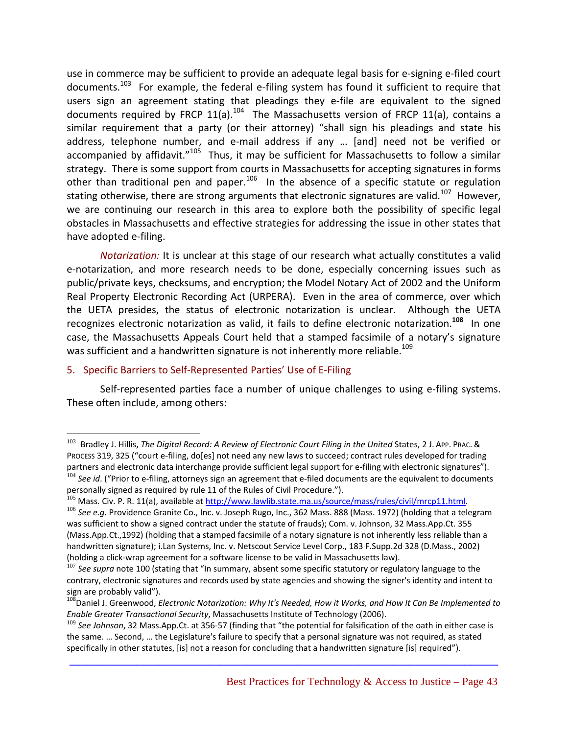use in commerce may be sufficient to provide an adequate legal basis for e‐signing e‐filed court documents.<sup>103</sup> For example, the federal e-filing system has found it sufficient to require that users sign an agreement stating that pleadings they e-file are equivalent to the signed documents required by FRCP  $11(a)$ .<sup>104</sup> The Massachusetts version of FRCP  $11(a)$ , contains a similar requirement that a party (or their attorney) "shall sign his pleadings and state his address, telephone number, and e‐mail address if any … [and] need not be verified or accompanied by affidavit."<sup>105</sup> Thus, it may be sufficient for Massachusetts to follow a similar strategy. There is some support from courts in Massachusetts for accepting signatures in forms other than traditional pen and paper.<sup>106</sup> In the absence of a specific statute or regulation stating otherwise, there are strong arguments that electronic signatures are valid.<sup>107</sup> However, we are continuing our research in this area to explore both the possibility of specific legal obstacles in Massachusetts and effective strategies for addressing the issue in other states that have adopted e-filing.

 *Notarization:* It is unclear at this stage of our research what actually constitutes a valid e-notarization, and more research needs to be done, especially concerning issues such as public/private keys, checksums, and encryption; the Model Notary Act of 2002 and the Uniform Real Property Electronic Recording Act (URPERA). Even in the area of commerce, over which the UETA presides, the status of electronic notarization is unclear. Although the UETA recognizes electronic notarization as valid, it fails to define electronic notarization.**<sup>108</sup>** In one case, the Massachusetts Appeals Court held that a stamped facsimile of a notary's signature was sufficient and a handwritten signature is not inherently more reliable.<sup>109</sup>

#### 5. Specific Barriers to Self‐Represented Parties' Use of E‐Filing

 $\overline{a}$ 

Self-represented parties face a number of unique challenges to using e-filing systems. These often include, among others:

<sup>103</sup> Bradley J. Hillis, *The Digital Record: A Review of Electronic Court Filing in the United* States, 2 J. APP. PRAC. & PROCESS 319, 325 ("court e‐filing, do[es] not need any new laws to succeed; contract rules developed for trading partners and electronic data interchange provide sufficient legal support for e-filing with electronic signatures"). <sup>104</sup> *See id*. ("Prior to e-filing, attorneys sign an agreement that e-filed documents are the equivalent to documents personally signed as required by rule 11 of the Rules of Civil Procedure.").

<sup>&</sup>lt;sup>105</sup> Mass. Civ. P. R. 11(a), available at http://www.lawlib.state.ma.us/source/mass/rules/civil/mrcp11.html.

<sup>106</sup> *See e.g.* Providence Granite Co., Inc. v. Joseph Rugo, Inc., 362 Mass. 888 (Mass. 1972) (holding that a telegram was sufficient to show a signed contract under the statute of frauds); Com. v. Johnson, 32 Mass.App.Ct. 355 (Mass.App.Ct.,1992) (holding that a stamped facsimile of a notary signature is not inherently less reliable than a handwritten signature); i.Lan Systems, Inc. v. Netscout Service Level Corp., 183 F.Supp.2d 328 (D.Mass., 2002) (holding a click-wrap agreement for a software license to be valid in Massachusetts law).<br><sup>107</sup> *See supra* note 100 (stating that "In summary, absent some specific statutory or regulatory language to the

contrary, electronic signatures and records used by state agencies and showing the signer's identity and intent to sign are probably valid").<br><sup>108</sup>Daniel J. Greenwood, *Electronic Notarization: Why It's Needed, How it Works, and How It Can Be Implemented to* 

*Enable Greater Transactional Security*, Massachusetts Institute of Technology (2006).

<sup>109</sup> *See Johnson*, 32 Mass.App.Ct. at 356‐57 (finding that "the potential for falsification of the oath in either case is the same. … Second, … the Legislature's failure to specify that a personal signature was not required, as stated specifically in other statutes, [is] not a reason for concluding that a handwritten signature [is] required").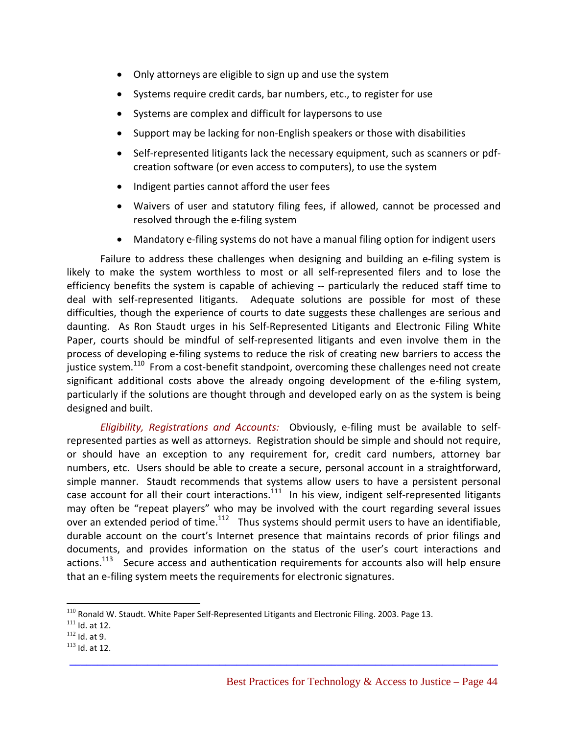- Only attorneys are eligible to sign up and use the system
- Systems require credit cards, bar numbers, etc., to register for use
- Systems are complex and difficult for laypersons to use
- Support may be lacking for non‐English speakers or those with disabilities
- Self-represented litigants lack the necessary equipment, such as scanners or pdfcreation software (or even access to computers), to use the system
- Indigent parties cannot afford the user fees
- Waivers of user and statutory filing fees, if allowed, cannot be processed and resolved through the e‐filing system
- Mandatory e-filing systems do not have a manual filing option for indigent users

Failure to address these challenges when designing and building an e-filing system is likely to make the system worthless to most or all self‐represented filers and to lose the efficiency benefits the system is capable of achieving -- particularly the reduced staff time to deal with self‐represented litigants. Adequate solutions are possible for most of these difficulties, though the experience of courts to date suggests these challenges are serious and daunting. As Ron Staudt urges in his Self‐Represented Litigants and Electronic Filing White Paper, courts should be mindful of self-represented litigants and even involve them in the process of developing e-filing systems to reduce the risk of creating new barriers to access the justice system.<sup>110</sup> From a cost-benefit standpoint, overcoming these challenges need not create significant additional costs above the already ongoing development of the e-filing system, particularly if the solutions are thought through and developed early on as the system is being designed and built.

*Eligibility, Registrations and Accounts:* Obviously, e‐filing must be available to self‐ represented parties as well as attorneys. Registration should be simple and should not require, or should have an exception to any requirement for, credit card numbers, attorney bar numbers, etc. Users should be able to create a secure, personal account in a straightforward, simple manner. Staudt recommends that systems allow users to have a persistent personal case account for all their court interactions. $111$  In his view, indigent self-represented litigants may often be "repeat players" who may be involved with the court regarding several issues over an extended period of time.<sup>112</sup> Thus systems should permit users to have an identifiable, durable account on the court's Internet presence that maintains records of prior filings and documents, and provides information on the status of the user's court interactions and actions.<sup>113</sup> Secure access and authentication requirements for accounts also will help ensure that an e‐filing system meets the requirements for electronic signatures.

**\_\_\_\_\_\_\_\_\_\_\_\_\_\_\_\_\_\_\_\_\_\_\_\_\_\_\_\_\_\_\_\_\_\_\_\_\_\_\_\_\_\_\_\_\_\_\_\_\_\_\_\_\_\_\_\_\_\_\_\_\_\_\_\_\_\_\_\_\_\_\_\_\_\_\_\_\_**

1

<sup>&</sup>lt;sup>110</sup> Ronald W. Staudt. White Paper Self-Represented Litigants and Electronic Filing. 2003. Page 13.<br><sup>111</sup> Id. at 12.<br><sup>112</sup> Id. at 9.

 $113$  Id. at 12.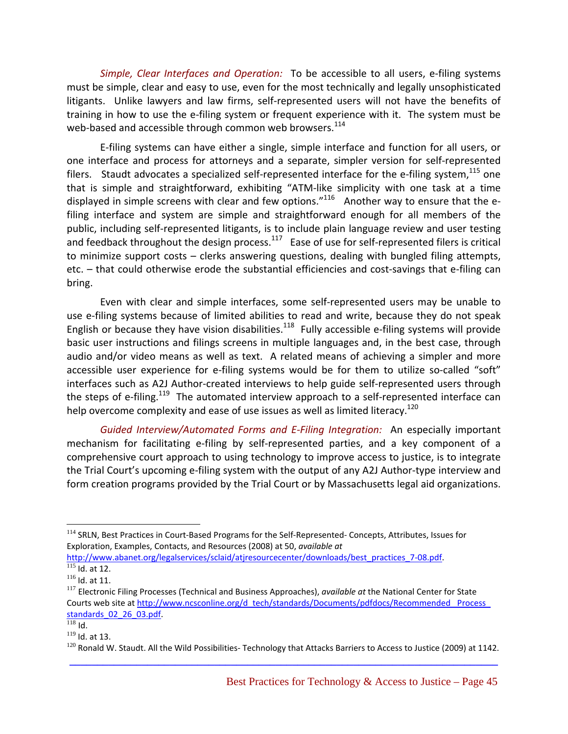*Simple, Clear Interfaces and Operation:* To be accessible to all users, e‐filing systems must be simple, clear and easy to use, even for the most technically and legally unsophisticated litigants. Unlike lawyers and law firms, self-represented users will not have the benefits of training in how to use the e‐filing system or frequent experience with it. The system must be web-based and accessible through common web browsers.<sup>114</sup>

E‐filing systems can have either a single, simple interface and function for all users, or one interface and process for attorneys and a separate, simpler version for self‐represented filers. Staudt advocates a specialized self-represented interface for the e-filing system,  $^{115}$  one that is simple and straightforward, exhibiting "ATM‐like simplicity with one task at a time displayed in simple screens with clear and few options."<sup>116</sup> Another way to ensure that the efiling interface and system are simple and straightforward enough for all members of the public, including self‐represented litigants, is to include plain language review and user testing and feedback throughout the design process.<sup>117</sup> Ease of use for self-represented filers is critical to minimize support costs – clerks answering questions, dealing with bungled filing attempts, etc. – that could otherwise erode the substantial efficiencies and cost-savings that e-filing can bring.

Even with clear and simple interfaces, some self‐represented users may be unable to use e-filing systems because of limited abilities to read and write, because they do not speak English or because they have vision disabilities.<sup>118</sup> Fully accessible e-filing systems will provide basic user instructions and filings screens in multiple languages and, in the best case, through audio and/or video means as well as text. A related means of achieving a simpler and more accessible user experience for e-filing systems would be for them to utilize so-called "soft" interfaces such as A2J Author‐created interviews to help guide self‐represented users through the steps of e-filing.<sup>119</sup> The automated interview approach to a self-represented interface can help overcome complexity and ease of use issues as well as limited literacy.<sup>120</sup>

*Guided Interview/Automated Forms and E‐Filing Integration:* An especially important mechanism for facilitating e-filing by self-represented parties, and a key component of a comprehensive court approach to using technology to improve access to justice, is to integrate the Trial Court's upcoming e-filing system with the output of any A2J Author-type interview and form creation programs provided by the Trial Court or by Massachusetts legal aid organizations.

1

<sup>114</sup> SRLN, Best Practices in Court-Based Programs for the Self-Represented- Concepts, Attributes, Issues for Exploration, Examples, Contacts, and Resources (2008) at 50, *available at*

http://www.abanet.org/legalservices/sclaid/atjresourcecenter/downloads/best\_practices\_7-08.pdf.<br><sup>115</sup> Id. at 12.<br><sup>116</sup> Id. at 11.

<sup>&</sup>lt;sup>117</sup> Electronic Filing Processes (Technical and Business Approaches), *available at* the National Center for State Courts web site at http://www.ncsconline.org/d\_tech/standards/Documents/pdfdocs/Recommended\_ Process\_ standards  $02$  26  $03.pdf$ .<br><sup>118</sup> Id.<br><sup>119</sup> Id. at 13.

**\_\_\_\_\_\_\_\_\_\_\_\_\_\_\_\_\_\_\_\_\_\_\_\_\_\_\_\_\_\_\_\_\_\_\_\_\_\_\_\_\_\_\_\_\_\_\_\_\_\_\_\_\_\_\_\_\_\_\_\_\_\_\_\_\_\_\_\_\_\_\_\_\_\_\_\_\_**  $120$  Ronald W. Staudt. All the Wild Possibilities-Technology that Attacks Barriers to Access to Justice (2009) at 1142.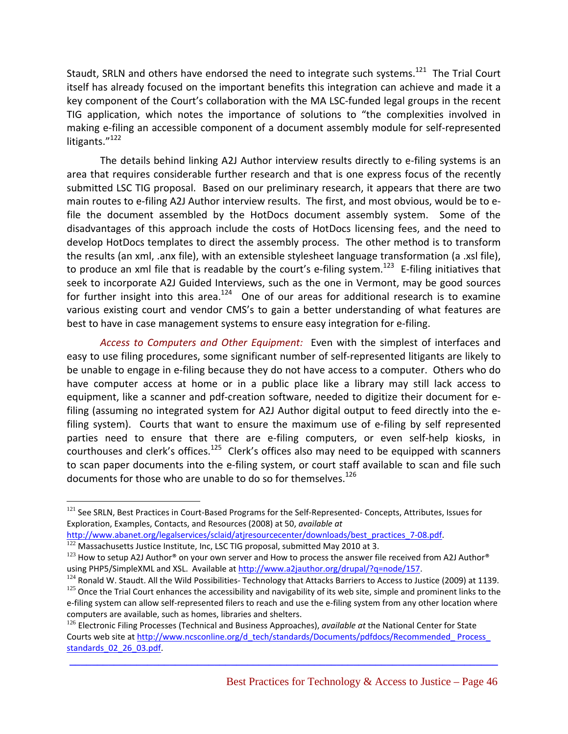Staudt, SRLN and others have endorsed the need to integrate such systems.<sup>121</sup> The Trial Court itself has already focused on the important benefits this integration can achieve and made it a key component of the Court's collaboration with the MA LSC-funded legal groups in the recent TIG application, which notes the importance of solutions to "the complexities involved in making e‐filing an accessible component of a document assembly module for self‐represented litigants."<sup>122</sup>

The details behind linking A2J Author interview results directly to e‐filing systems is an area that requires considerable further research and that is one express focus of the recently submitted LSC TIG proposal. Based on our preliminary research, it appears that there are two main routes to e-filing A2J Author interview results. The first, and most obvious, would be to efile the document assembled by the HotDocs document assembly system. Some of the disadvantages of this approach include the costs of HotDocs licensing fees, and the need to develop HotDocs templates to direct the assembly process. The other method is to transform the results (an xml, .anx file), with an extensible stylesheet language transformation (a .xsl file), to produce an xml file that is readable by the court's e-filing system.<sup>123</sup> E-filing initiatives that seek to incorporate A2J Guided Interviews, such as the one in Vermont, may be good sources for further insight into this area.<sup>124</sup> One of our areas for additional research is to examine various existing court and vendor CMS's to gain a better understanding of what features are best to have in case management systems to ensure easy integration for e-filing.

*Access to Computers and Other Equipment:* Even with the simplest of interfaces and easy to use filing procedures, some significant number of self-represented litigants are likely to be unable to engage in e-filing because they do not have access to a computer. Others who do have computer access at home or in a public place like a library may still lack access to equipment, like a scanner and pdf‐creation software, needed to digitize their document for e‐ filing (assuming no integrated system for A2J Author digital output to feed directly into the e‐ filing system). Courts that want to ensure the maximum use of e-filing by self represented parties need to ensure that there are e-filing computers, or even self-help kiosks, in courthouses and clerk's offices.<sup>125</sup> Clerk's offices also may need to be equipped with scanners to scan paper documents into the e-filing system, or court staff available to scan and file such documents for those who are unable to do so for themselves.<sup>126</sup>

1

<sup>121</sup> See SRLN, Best Practices in Court-Based Programs for the Self-Represented-Concepts, Attributes, Issues for Exploration, Examples, Contacts, and Resources (2008) at 50, *available at*<br>http://www.abanet.org/legalservices/sclaid/atjresourcecenter/downloads/best\_practices\_7-08.pdf.

 $\frac{122}{122}$  Massachusetts Justice Institute, Inc, LSC TIG proposal, submitted May 2010 at 3.

<sup>&</sup>lt;sup>123</sup> How to setup A2J Author® on your own server and How to process the answer file received from A2J Author® using PHP5/SimpleXML and XSL. Available at http://www.a2jauthor.org/drupal/?q=node/157.

 $^{124}$  Ronald W. Staudt. All the Wild Possibilities- Technology that Attacks Barriers to Access to Justice (2009) at 1139.<br> $^{125}$  Once the Trial Court enhances the accessibility and navigability of its web site, simple

e-filing system can allow self-represented filers to reach and use the e-filing system from any other location where computers are available, such as homes, libraries and shelters.<br><sup>126</sup> Electronic Filing Processes (Technical and Business Approaches), *available at* the National Center for State

Courts web site at http://www.ncsconline.org/d\_tech/standards/Documents/pdfdocs/Recommended\_ Process\_ standards\_02\_26\_03.pdf.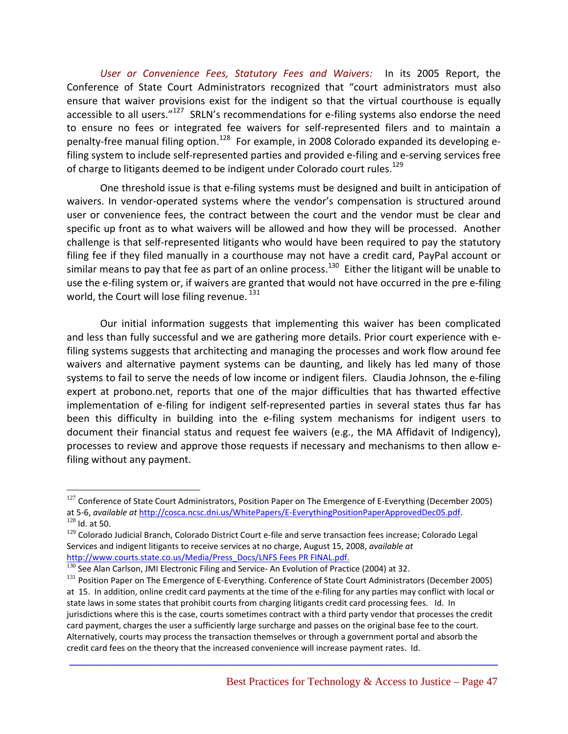*User or Convenience Fees, Statutory Fees and Waivers:* In its 2005 Report, the Conference of State Court Administrators recognized that "court administrators must also ensure that waiver provisions exist for the indigent so that the virtual courthouse is equally accessible to all users."<sup>127</sup> SRLN's recommendations for e-filing systems also endorse the need to ensure no fees or integrated fee waivers for self-represented filers and to maintain a penalty-free manual filing option.<sup>128</sup> For example, in 2008 Colorado expanded its developing efiling system to include self‐represented parties and provided e‐filing and e‐serving services free of charge to litigants deemed to be indigent under Colorado court rules.<sup>129</sup>

One threshold issue is that e‐filing systems must be designed and built in anticipation of waivers. In vendor-operated systems where the vendor's compensation is structured around user or convenience fees, the contract between the court and the vendor must be clear and specific up front as to what waivers will be allowed and how they will be processed. Another challenge is that self‐represented litigants who would have been required to pay the statutory filing fee if they filed manually in a courthouse may not have a credit card, PayPal account or similar means to pay that fee as part of an online process.<sup>130</sup> Either the litigant will be unable to use the e-filing system or, if waivers are granted that would not have occurred in the pre e-filing world, the Court will lose filing revenue.<sup>131</sup>

Our initial information suggests that implementing this waiver has been complicated and less than fully successful and we are gathering more details. Prior court experience with e‐ filing systems suggests that architecting and managing the processes and work flow around fee waivers and alternative payment systems can be daunting, and likely has led many of those systems to fail to serve the needs of low income or indigent filers. Claudia Johnson, the e-filing expert at probono.net, reports that one of the major difficulties that has thwarted effective implementation of e-filing for indigent self-represented parties in several states thus far has been this difficulty in building into the e-filing system mechanisms for indigent users to document their financial status and request fee waivers (e.g., the MA Affidavit of Indigency), processes to review and approve those requests if necessary and mechanisms to then allow e‐ filing without any payment.

 $\overline{a}$ 

<sup>&</sup>lt;sup>127</sup> Conference of State Court Administrators, Position Paper on The Emergence of E-Everything (December 2005) at <sup>5</sup>‐6, *available at* http://cosca.ncsc.dni.us/WhitePapers/E‐EverythingPositionPaperApprovedDec05.pdf. <sup>128</sup> Id. at 50.

<sup>&</sup>lt;sup>129</sup> Colorado Judicial Branch, Colorado District Court e-file and serve transaction fees increase; Colorado Legal Services and indigent litigants to receive services at no charge, August 15, 2008, *available at*

http://www.courts.state.co.us/Media/Press\_Docs/LNFS Fees PR FINAL.pdf. 130 See Alan Carlson, JMI Electronic Filing and Service- An Evolution of Practice (2004) at 32.

<sup>131</sup> Position Paper on The Emergence of E-Everything. Conference of State Court Administrators (December 2005) at 15. In addition, online credit card payments at the time of the e‐filing for any parties may conflict with local or state laws in some states that prohibit courts from charging litigants credit card processing fees. Id. In jurisdictions where this is the case, courts sometimes contract with a third party vendor that processes the credit card payment, charges the user a sufficiently large surcharge and passes on the original base fee to the court. Alternatively, courts may process the transaction themselves or through a government portal and absorb the credit card fees on the theory that the increased convenience will increase payment rates. Id.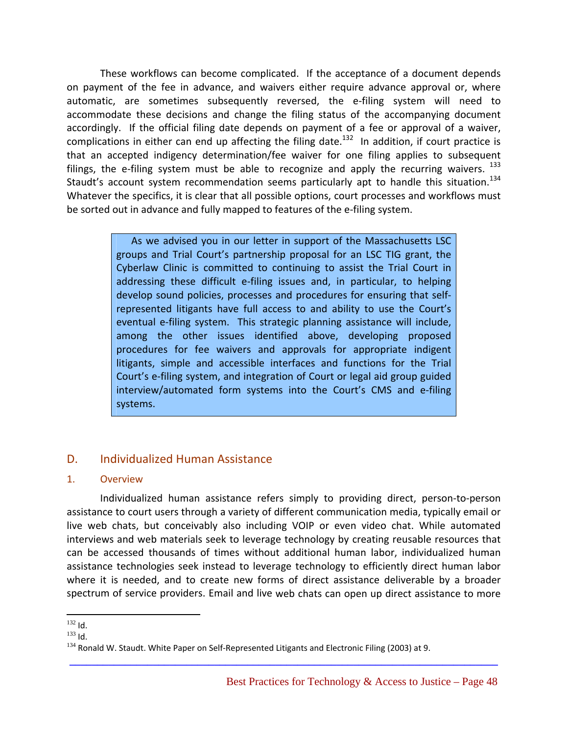These workflows can become complicated. If the acceptance of a document depends on payment of the fee in advance, and waivers either require advance approval or, where automatic, are sometimes subsequently reversed, the e-filing system will need to accommodate these decisions and change the filing status of the accompanying document accordingly. If the official filing date depends on payment of a fee or approval of a waiver, complications in either can end up affecting the filing date.<sup>132</sup> In addition, if court practice is that an accepted indigency determination/fee waiver for one filing applies to subsequent filings, the e-filing system must be able to recognize and apply the recurring waivers.  $^{133}$ Staudt's account system recommendation seems particularly apt to handle this situation.<sup>134</sup> Whatever the specifics, it is clear that all possible options, court processes and workflows must be sorted out in advance and fully mapped to features of the e-filing system.

> As we advised you in our letter in support of the Massachusetts LSC groups and Trial Court's partnership proposal for an LSC TIG grant, the Cyberlaw Clinic is committed to continuing to assist the Trial Court in addressing these difficult e-filing issues and, in particular, to helping develop sound policies, processes and procedures for ensuring that self‐ represented litigants have full access to and ability to use the Court's eventual e-filing system. This strategic planning assistance will include, among the other issues identified above, developing proposed procedures for fee waivers and approvals for appropriate indigent litigants, simple and accessible interfaces and functions for the Trial Court's e‐filing system, and integration of Court or legal aid group guided interview/automated form systems into the Court's CMS and e-filing systems.

### D. Individualized Human Assistance

#### 1. Overview

Individualized human assistance refers simply to providing direct, person‐to‐person assistance to court users through a variety of different communication media, typically email or live web chats, but conceivably also including VOIP or even video chat. While automated interviews and web materials seek to leverage technology by creating reusable resources that can be accessed thousands of times without additional human labor, individualized human assistance technologies seek instead to leverage technology to efficiently direct human labor where it is needed, and to create new forms of direct assistance deliverable by a broader spectrum of service providers. Email and live web chats can open up direct assistance to more

 $\overline{a}$  $132$  Id.

<sup>&</sup>lt;sup>133</sup> Id.<br><sup>134</sup> Ronald W. Staudt. White Paper on Self-Represented Litigants and Electronic Filing (2003) at 9.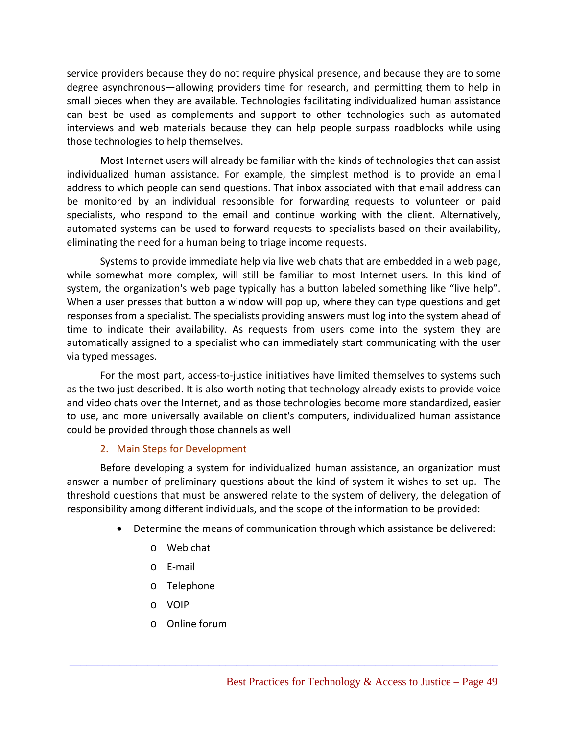service providers because they do not require physical presence, and because they are to some degree asynchronous—allowing providers time for research, and permitting them to help in small pieces when they are available. Technologies facilitating individualized human assistance can best be used as complements and support to other technologies such as automated interviews and web materials because they can help people surpass roadblocks while using those technologies to help themselves.

Most Internet users will already be familiar with the kinds of technologies that can assist individualized human assistance. For example, the simplest method is to provide an email address to which people can send questions. That inbox associated with that email address can be monitored by an individual responsible for forwarding requests to volunteer or paid specialists, who respond to the email and continue working with the client. Alternatively, automated systems can be used to forward requests to specialists based on their availability, eliminating the need for a human being to triage income requests.

Systems to provide immediate help via live web chats that are embedded in a web page, while somewhat more complex, will still be familiar to most Internet users. In this kind of system, the organization's web page typically has a button labeled something like "live help". When a user presses that button a window will pop up, where they can type questions and get responses from a specialist. The specialists providing answers must log into the system ahead of time to indicate their availability. As requests from users come into the system they are automatically assigned to a specialist who can immediately start communicating with the user via typed messages.

For the most part, access-to-justice initiatives have limited themselves to systems such as the two just described. It is also worth noting that technology already exists to provide voice and video chats over the Internet, and as those technologies become more standardized, easier to use, and more universally available on client's computers, individualized human assistance could be provided through those channels as well

#### 2. Main Steps for Development

Before developing a system for individualized human assistance, an organization must answer a number of preliminary questions about the kind of system it wishes to set up. The threshold questions that must be answered relate to the system of delivery, the delegation of responsibility among different individuals, and the scope of the information to be provided:

- Determine the means of communication through which assistance be delivered:
	- o Web chat
	- o E‐mail
	- o Telephone
	- o VOIP
	- o Online forum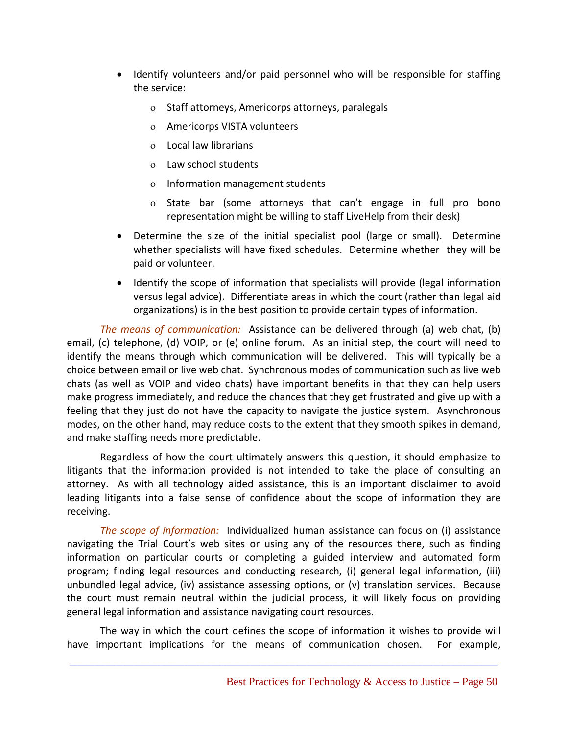- Identify volunteers and/or paid personnel who will be responsible for staffing the service:
	- ο Staff attorneys, Americorps attorneys, paralegals
	- ο Americorps VISTA volunteers
	- ο Local law librarians
	- ο Law school students
	- ο Information management students
	- ο State bar (some attorneys that can't engage in full pro bono representation might be willing to staff LiveHelp from their desk)
- Determine the size of the initial specialist pool (large or small). Determine whether specialists will have fixed schedules. Determine whether they will be paid or volunteer.
- Identify the scope of information that specialists will provide (legal information versus legal advice). Differentiate areas in which the court (rather than legal aid organizations) is in the best position to provide certain types of information.

*The means of communication:* Assistance can be delivered through (a) web chat, (b) email, (c) telephone, (d) VOIP, or (e) online forum. As an initial step, the court will need to identify the means through which communication will be delivered. This will typically be a choice between email or live web chat. Synchronous modes of communication such as live web chats (as well as VOIP and video chats) have important benefits in that they can help users make progress immediately, and reduce the chances that they get frustrated and give up with a feeling that they just do not have the capacity to navigate the justice system. Asynchronous modes, on the other hand, may reduce costs to the extent that they smooth spikes in demand, and make staffing needs more predictable.

Regardless of how the court ultimately answers this question, it should emphasize to litigants that the information provided is not intended to take the place of consulting an attorney. As with all technology aided assistance, this is an important disclaimer to avoid leading litigants into a false sense of confidence about the scope of information they are receiving.

*The scope of information:* Individualized human assistance can focus on (i) assistance navigating the Trial Court's web sites or using any of the resources there, such as finding information on particular courts or completing a guided interview and automated form program; finding legal resources and conducting research, (i) general legal information, (iii) unbundled legal advice, (iv) assistance assessing options, or (v) translation services. Because the court must remain neutral within the judicial process, it will likely focus on providing general legal information and assistance navigating court resources.

The way in which the court defines the scope of information it wishes to provide will have important implications for the means of communication chosen. For example,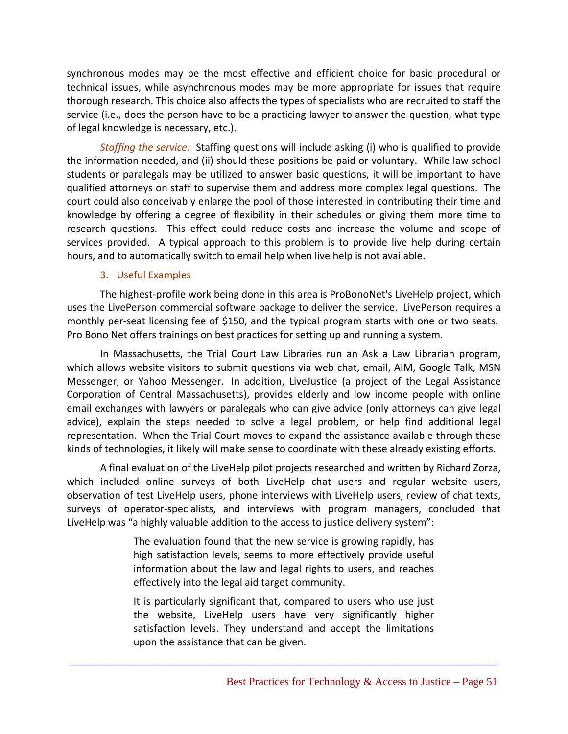synchronous modes may be the most effective and efficient choice for basic procedural or technical issues, while asynchronous modes may be more appropriate for issues that require thorough research. This choice also affects the types of specialists who are recruited to staff the service (i.e., does the person have to be a practicing lawyer to answer the question, what type of legal knowledge is necessary, etc.).

*Staffing the service:* Staffing questions will include asking (i) who is qualified to provide the information needed, and (ii) should these positions be paid or voluntary. While law school students or paralegals may be utilized to answer basic questions, it will be important to have qualified attorneys on staff to supervise them and address more complex legal questions. The court could also conceivably enlarge the pool of those interested in contributing their time and knowledge by offering a degree of flexibility in their schedules or giving them more time to research questions. This effect could reduce costs and increase the volume and scope of services provided. A typical approach to this problem is to provide live help during certain hours, and to automatically switch to email help when live help is not available.

#### 3. Useful Examples

The highest‐profile work being done in this area is ProBonoNet's LiveHelp project, which uses the LivePerson commercial software package to deliver the service. LivePerson requires a monthly per-seat licensing fee of \$150, and the typical program starts with one or two seats. Pro Bono Net offers trainings on best practices for setting up and running a system.

In Massachusetts, the Trial Court Law Libraries run an Ask a Law Librarian program, which allows website visitors to submit questions via web chat, email, AIM, Google Talk, MSN Messenger, or Yahoo Messenger. In addition, LiveJustice (a project of the Legal Assistance Corporation of Central Massachusetts), provides elderly and low income people with online email exchanges with lawyers or paralegals who can give advice (only attorneys can give legal advice), explain the steps needed to solve a legal problem, or help find additional legal representation. When the Trial Court moves to expand the assistance available through these kinds of technologies, it likely will make sense to coordinate with these already existing efforts.

A final evaluation of the LiveHelp pilot projects researched and written by Richard Zorza, which included online surveys of both LiveHelp chat users and regular website users, observation of test LiveHelp users, phone interviews with LiveHelp users, review of chat texts, surveys of operator‐specialists, and interviews with program managers, concluded that LiveHelp was "a highly valuable addition to the access to justice delivery system":

> The evaluation found that the new service is growing rapidly, has high satisfaction levels, seems to more effectively provide useful information about the law and legal rights to users, and reaches effectively into the legal aid target community.

> It is particularly significant that, compared to users who use just the website, LiveHelp users have very significantly higher satisfaction levels. They understand and accept the limitations upon the assistance that can be given.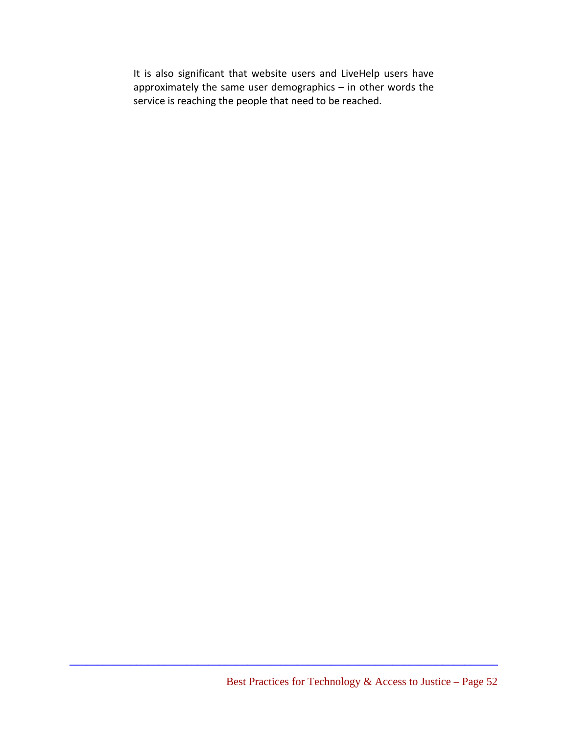It is also significant that website users and LiveHelp users have approximately the same user demographics – in other words the service is reaching the people that need to be reached.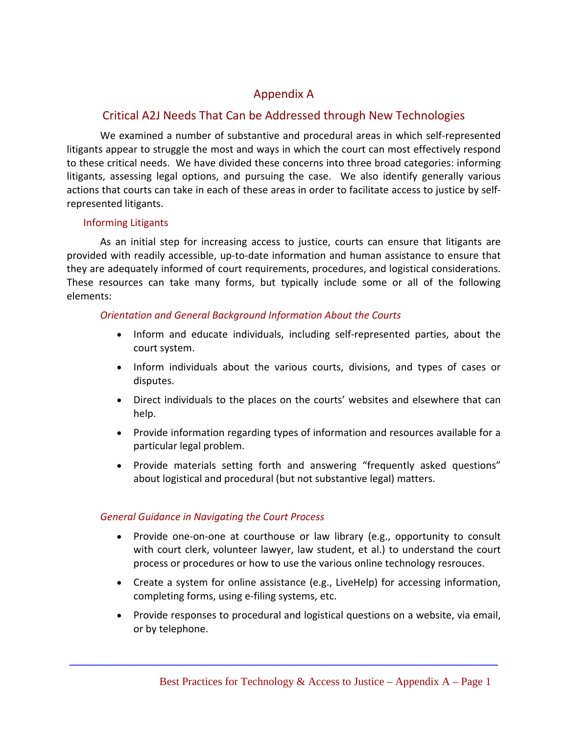# Appendix A

# Critical A2J Needs That Can be Addressed through New Technologies

We examined a number of substantive and procedural areas in which self-represented litigants appear to struggle the most and ways in which the court can most effectively respond to these critical needs. We have divided these concerns into three broad categories: informing litigants, assessing legal options, and pursuing the case. We also identify generally various actions that courts can take in each of these areas in order to facilitate access to justice by self‐ represented litigants.

#### Informing Litigants

As an initial step for increasing access to justice, courts can ensure that litigants are provided with readily accessible, up‐to‐date information and human assistance to ensure that they are adequately informed of court requirements, procedures, and logistical considerations. These resources can take many forms, but typically include some or all of the following elements:

#### *Orientation and General Background Information About the Courts*

- Inform and educate individuals, including self-represented parties, about the court system.
- Inform individuals about the various courts, divisions, and types of cases or disputes.
- Direct individuals to the places on the courts' websites and elsewhere that can help.
- Provide information regarding types of information and resources available for a particular legal problem.
- Provide materials setting forth and answering "frequently asked questions" about logistical and procedural (but not substantive legal) matters.

#### *General Guidance in Navigating the Court Process*

- Provide one-on-one at courthouse or law library (e.g., opportunity to consult with court clerk, volunteer lawyer, law student, et al.) to understand the court process or procedures or how to use the various online technology resrouces.
- Create a system for online assistance (e.g., LiveHelp) for accessing information, completing forms, using e‐filing systems, etc.
- Provide responses to procedural and logistical questions on a website, via email, or by telephone.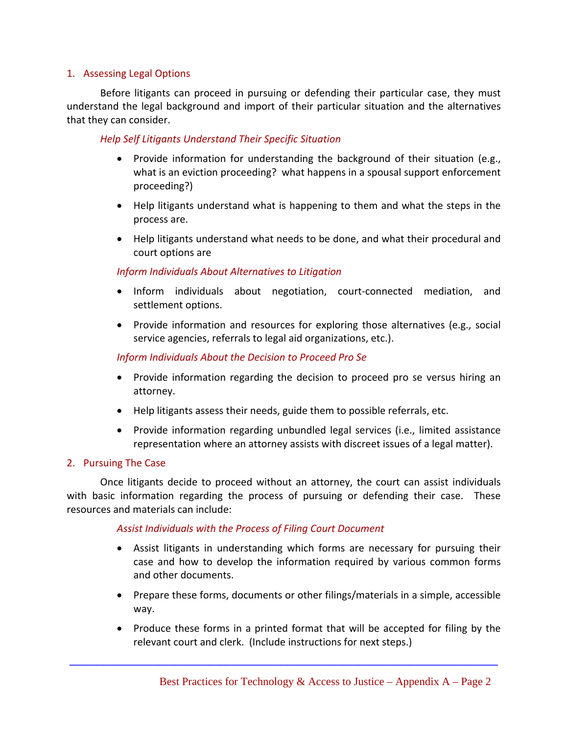#### 1. Assessing Legal Options

Before litigants can proceed in pursuing or defending their particular case, they must understand the legal background and import of their particular situation and the alternatives that they can consider.

#### *Help Self Litigants Understand Their Specific Situation*

- Provide information for understanding the background of their situation (e.g., what is an eviction proceeding? what happens in a spousal support enforcement proceeding?)
- Help litigants understand what is happening to them and what the steps in the process are.
- Help litigants understand what needs to be done, and what their procedural and court options are

#### *Inform Individuals About Alternatives to Litigation*

- Inform individuals about negotiation, court‐connected mediation, and settlement options.
- Provide information and resources for exploring those alternatives (e.g., social service agencies, referrals to legal aid organizations, etc.).

#### *Inform Individuals About the Decision to Proceed Pro Se*

- Provide information regarding the decision to proceed pro se versus hiring an attorney.
- Help litigants assess their needs, guide them to possible referrals, etc.
- Provide information regarding unbundled legal services (i.e., limited assistance representation where an attorney assists with discreet issues of a legal matter).

#### 2. Pursuing The Case

Once litigants decide to proceed without an attorney, the court can assist individuals with basic information regarding the process of pursuing or defending their case. These resources and materials can include:

#### *Assist Individuals with the Process of Filing Court Document*

- Assist litigants in understanding which forms are necessary for pursuing their case and how to develop the information required by various common forms and other documents.
- Prepare these forms, documents or other filings/materials in a simple, accessible way.
- Produce these forms in a printed format that will be accepted for filing by the relevant court and clerk. (Include instructions for next steps.)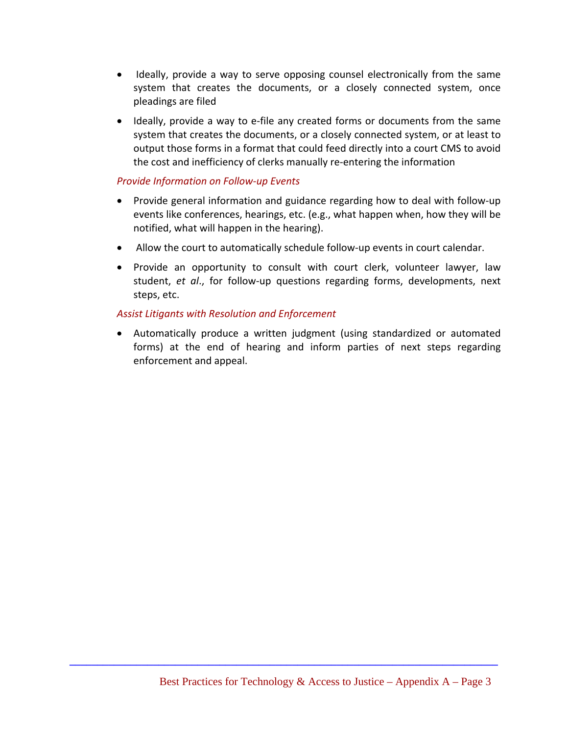- Ideally, provide a way to serve opposing counsel electronically from the same system that creates the documents, or a closely connected system, once pleadings are filed
- Ideally, provide a way to e-file any created forms or documents from the same system that creates the documents, or a closely connected system, or at least to output those forms in a format that could feed directly into a court CMS to avoid the cost and inefficiency of clerks manually re‐entering the information

#### *Provide Information on Follow‐up Events*

- Provide general information and guidance regarding how to deal with follow‐up events like conferences, hearings, etc. (e.g., what happen when, how they will be notified, what will happen in the hearing).
- Allow the court to automatically schedule follow-up events in court calendar.
- Provide an opportunity to consult with court clerk, volunteer lawyer, law student, *et al*., for follow‐up questions regarding forms, developments, next steps, etc.

#### *Assist Litigants with Resolution and Enforcement*

• Automatically produce a written judgment (using standardized or automated forms) at the end of hearing and inform parties of next steps regarding enforcement and appeal.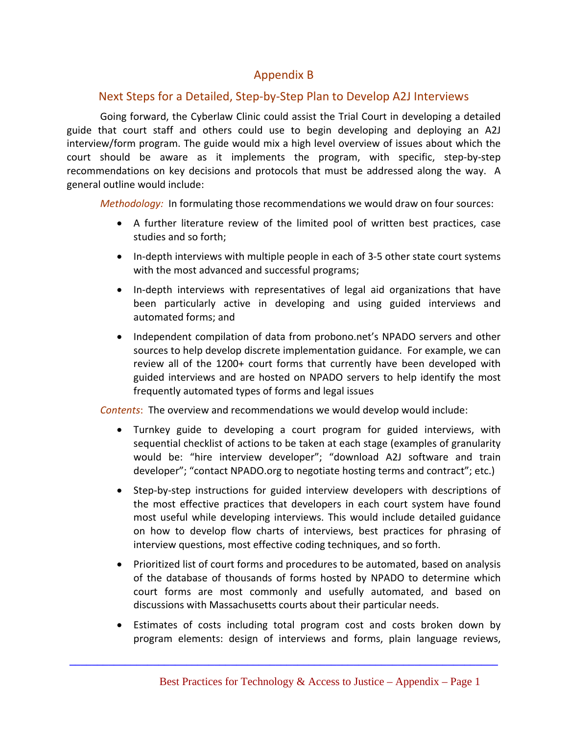# Appendix B

# Next Steps for a Detailed, Step‐by‐Step Plan to Develop A2J Interviews

Going forward, the Cyberlaw Clinic could assist the Trial Court in developing a detailed guide that court staff and others could use to begin developing and deploying an A2J interview/form program. The guide would mix a high level overview of issues about which the court should be aware as it implements the program, with specific, step-by-step recommendations on key decisions and protocols that must be addressed along the way. A general outline would include:

*Methodology:* In formulating those recommendations we would draw on four sources:

- A further literature review of the limited pool of written best practices, case studies and so forth;
- In-depth interviews with multiple people in each of 3-5 other state court systems with the most advanced and successful programs;
- In‐depth interviews with representatives of legal aid organizations that have been particularly active in developing and using guided interviews and automated forms; and
- Independent compilation of data from probono.net's NPADO servers and other sources to help develop discrete implementation guidance. For example, we can review all of the 1200+ court forms that currently have been developed with guided interviews and are hosted on NPADO servers to help identify the most frequently automated types of forms and legal issues

*Contents*: The overview and recommendations we would develop would include:

- Turnkey guide to developing a court program for guided interviews, with sequential checklist of actions to be taken at each stage (examples of granularity would be: "hire interview developer"; "download A2J software and train developer"; "contact NPADO.org to negotiate hosting terms and contract"; etc.)
- Step-by-step instructions for guided interview developers with descriptions of the most effective practices that developers in each court system have found most useful while developing interviews. This would include detailed guidance on how to develop flow charts of interviews, best practices for phrasing of interview questions, most effective coding techniques, and so forth.
- Prioritized list of court forms and procedures to be automated, based on analysis of the database of thousands of forms hosted by NPADO to determine which court forms are most commonly and usefully automated, and based on discussions with Massachusetts courts about their particular needs.
- Estimates of costs including total program cost and costs broken down by program elements: design of interviews and forms, plain language reviews,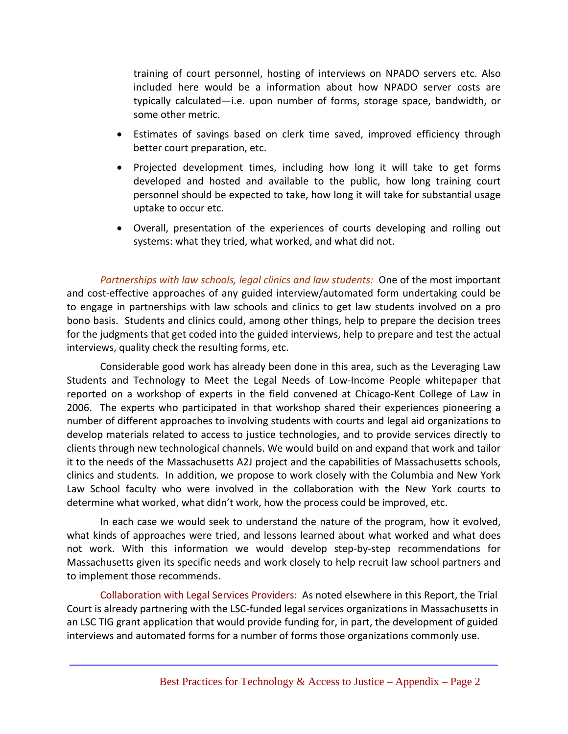training of court personnel, hosting of interviews on NPADO servers etc. Also included here would be a information about how NPADO server costs are typically calculated—i.e. upon number of forms, storage space, bandwidth, or some other metric.

- Estimates of savings based on clerk time saved, improved efficiency through better court preparation, etc.
- Projected development times, including how long it will take to get forms developed and hosted and available to the public, how long training court personnel should be expected to take, how long it will take for substantial usage uptake to occur etc.
- Overall, presentation of the experiences of courts developing and rolling out systems: what they tried, what worked, and what did not.

*Partnerships with law schools, legal clinics and law students:* One of the most important and cost-effective approaches of any guided interview/automated form undertaking could be to engage in partnerships with law schools and clinics to get law students involved on a pro bono basis. Students and clinics could, among other things, help to prepare the decision trees for the judgments that get coded into the guided interviews, help to prepare and test the actual interviews, quality check the resulting forms, etc.

Considerable good work has already been done in this area, such as the Leveraging Law Students and Technology to Meet the Legal Needs of Low‐Income People whitepaper that reported on a workshop of experts in the field convened at Chicago‐Kent College of Law in 2006. The experts who participated in that workshop shared their experiences pioneering a number of different approaches to involving students with courts and legal aid organizations to develop materials related to access to justice technologies, and to provide services directly to clients through new technological channels. We would build on and expand that work and tailor it to the needs of the Massachusetts A2J project and the capabilities of Massachusetts schools, clinics and students. In addition, we propose to work closely with the Columbia and New York Law School faculty who were involved in the collaboration with the New York courts to determine what worked, what didn't work, how the process could be improved, etc.

In each case we would seek to understand the nature of the program, how it evolved, what kinds of approaches were tried, and lessons learned about what worked and what does not work. With this information we would develop step‐by‐step recommendations for Massachusetts given its specific needs and work closely to help recruit law school partners and to implement those recommends.

Collaboration with Legal Services Providers: As noted elsewhere in this Report, the Trial Court is already partnering with the LSC‐funded legal services organizations in Massachusetts in an LSC TIG grant application that would provide funding for, in part, the development of guided interviews and automated forms for a number of forms those organizations commonly use.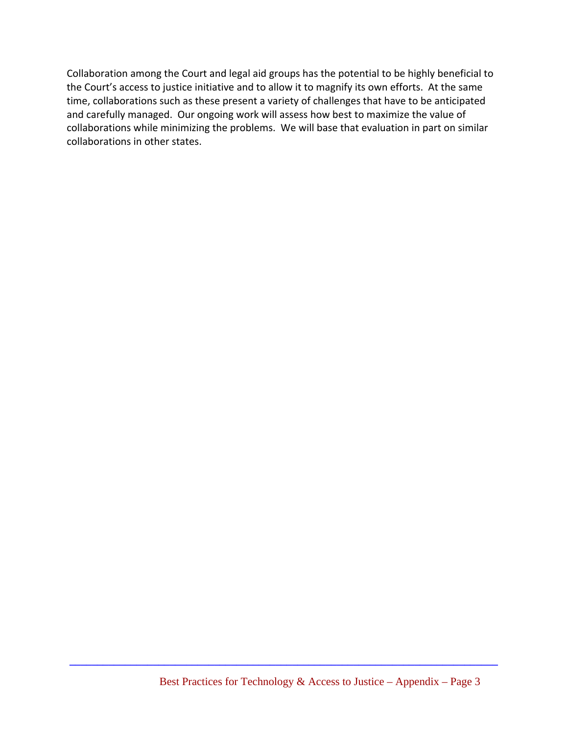Collaboration among the Court and legal aid groups has the potential to be highly beneficial to the Court's access to justice initiative and to allow it to magnify its own efforts. At the same time, collaborations such as these present a variety of challenges that have to be anticipated and carefully managed. Our ongoing work will assess how best to maximize the value of collaborations while minimizing the problems. We will base that evaluation in part on similar collaborations in other states.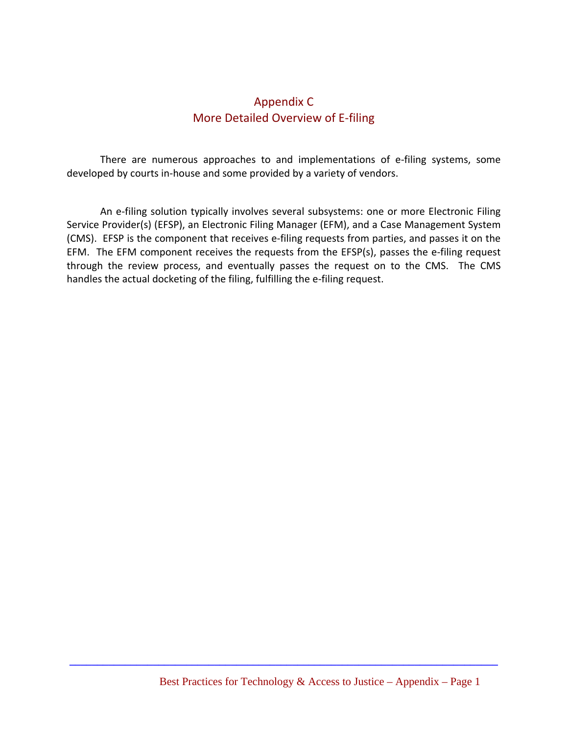# Appendix C More Detailed Overview of E‐filing

There are numerous approaches to and implementations of e-filing systems, some developed by courts in‐house and some provided by a variety of vendors.

An e-filing solution typically involves several subsystems: one or more Electronic Filing Service Provider(s) (EFSP), an Electronic Filing Manager (EFM), and a Case Management System (CMS). EFSP is the component that receives e‐filing requests from parties, and passes it on the EFM. The EFM component receives the requests from the EFSP(s), passes the e-filing request through the review process, and eventually passes the request on to the CMS. The CMS handles the actual docketing of the filing, fulfilling the e-filing request.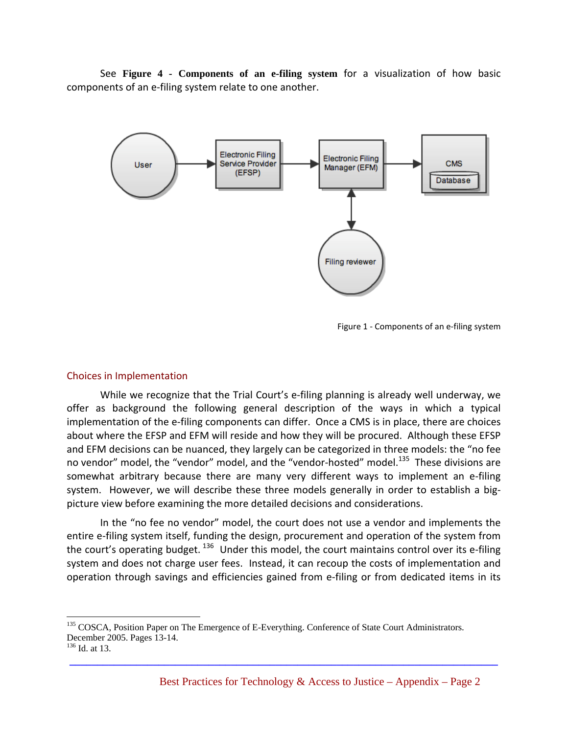See **Figure 4 - Components of an e-filing system** for a visualization of how basic components of an e‐filing system relate to one another.



Figure 1 - Components of an e-filing system

#### Choices in Implementation

While we recognize that the Trial Court's e-filing planning is already well underway, we offer as background the following general description of the ways in which a typical implementation of the e-filing components can differ. Once a CMS is in place, there are choices about where the EFSP and EFM will reside and how they will be procured. Although these EFSP and EFM decisions can be nuanced, they largely can be categorized in three models: the "no fee no vendor" model, the "vendor" model, and the "vendor-hosted" model.<sup>135</sup> These divisions are somewhat arbitrary because there are many very different ways to implement an e-filing system. However, we will describe these three models generally in order to establish a bigpicture view before examining the more detailed decisions and considerations.

In the "no fee no vendor" model, the court does not use a vendor and implements the entire e-filing system itself, funding the design, procurement and operation of the system from the court's operating budget.  $136$  Under this model, the court maintains control over its e-filing system and does not charge user fees. Instead, it can recoup the costs of implementation and operation through savings and efficiencies gained from e‐filing or from dedicated items in its

**\_\_\_\_\_\_\_\_\_\_\_\_\_\_\_\_\_\_\_\_\_\_\_\_\_\_\_\_\_\_\_\_\_\_\_\_\_\_\_\_\_\_\_\_\_\_\_\_\_\_\_\_\_\_\_\_\_\_\_\_\_\_\_\_\_\_\_\_\_\_\_\_\_\_\_\_\_**

<u>.</u>

<sup>&</sup>lt;sup>135</sup> COSCA, Position Paper on The Emergence of E-Everything. Conference of State Court Administrators. December 2005. Pages 13-14.

 $136$  Id. at 13.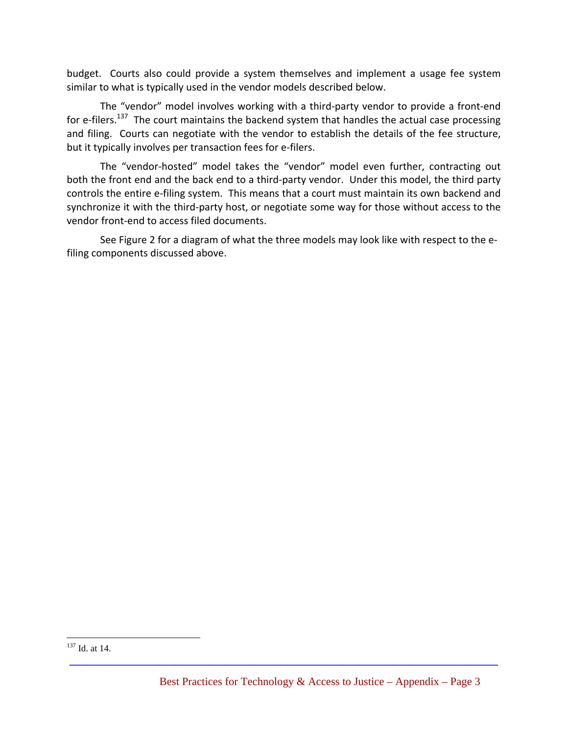budget. Courts also could provide a system themselves and implement a usage fee system similar to what is typically used in the vendor models described below.

The "vendor" model involves working with a third-party vendor to provide a front-end for e-filers.<sup>137</sup> The court maintains the backend system that handles the actual case processing and filing. Courts can negotiate with the vendor to establish the details of the fee structure, but it typically involves per transaction fees for e‐filers.

The "vendor-hosted" model takes the "vendor" model even further, contracting out both the front end and the back end to a third‐party vendor. Under this model, the third party controls the entire e-filing system. This means that a court must maintain its own backend and synchronize it with the third-party host, or negotiate some way for those without access to the vendor front‐end to access filed documents.

See Figure 2 for a diagram of what the three models may look like with respect to the e‐ filing components discussed above.

 $\overline{a}$ <sup>137</sup> Id. at 14.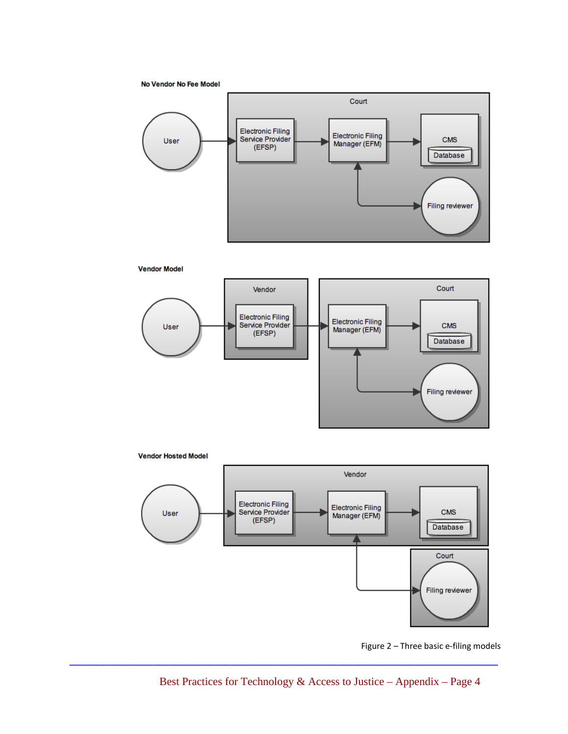No Vendor No Fee Model







**Vendor Hosted Model** 



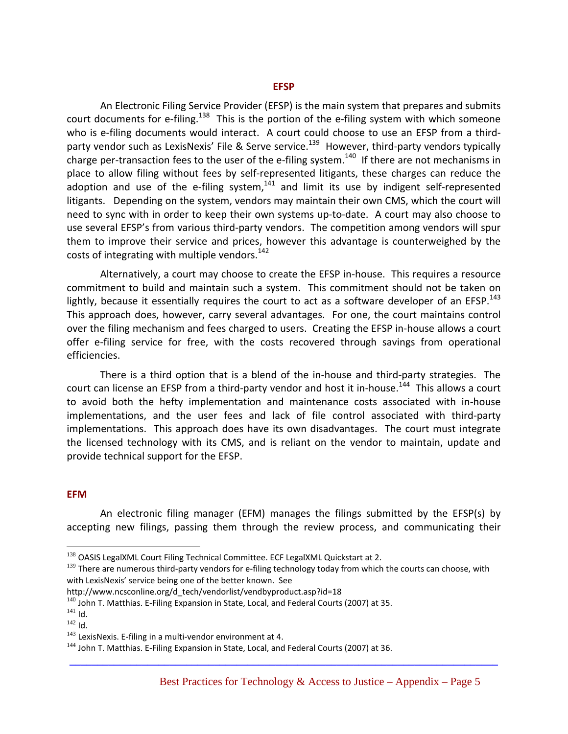An Electronic Filing Service Provider (EFSP) is the main system that prepares and submits court documents for e-filing.<sup>138</sup> This is the portion of the e-filing system with which someone who is e-filing documents would interact. A court could choose to use an EFSP from a thirdparty vendor such as LexisNexis' File & Serve service.<sup>139</sup> However, third-party vendors typically charge per-transaction fees to the user of the e-filing system.<sup>140</sup> If there are not mechanisms in place to allow filing without fees by self-represented litigants, these charges can reduce the adoption and use of the e-filing system, $141$  and limit its use by indigent self-represented litigants. Depending on the system, vendors may maintain their own CMS, which the court will need to sync with in order to keep their own systems up-to-date. A court may also choose to use several EFSP's from various third‐party vendors. The competition among vendors will spur them to improve their service and prices, however this advantage is counterweighed by the costs of integrating with multiple vendors.<sup>142</sup>

Alternatively, a court may choose to create the EFSP in‐house. This requires a resource commitment to build and maintain such a system. This commitment should not be taken on lightly, because it essentially requires the court to act as a software developer of an EFSP.<sup>143</sup> This approach does, however, carry several advantages. For one, the court maintains control over the filing mechanism and fees charged to users. Creating the EFSP in‐house allows a court offer e‐filing service for free, with the costs recovered through savings from operational efficiencies.

There is a third option that is a blend of the in-house and third-party strategies. The court can license an EFSP from a third-party vendor and host it in-house.<sup>144</sup> This allows a court to avoid both the hefty implementation and maintenance costs associated with in‐house implementations, and the user fees and lack of file control associated with third-party implementations. This approach does have its own disadvantages. The court must integrate the licensed technology with its CMS, and is reliant on the vendor to maintain, update and provide technical support for the EFSP.

#### **EFM**

 $\overline{a}$ 

An electronic filing manager (EFM) manages the filings submitted by the EFSP(s) by accepting new filings, passing them through the review process, and communicating their

<sup>&</sup>lt;sup>138</sup> OASIS LegalXML Court Filing Technical Committee. ECF LegalXML Quickstart at 2.

<sup>139</sup> There are numerous third-party vendors for e-filing technology today from which the courts can choose, with with LexisNexis' service being one of the better known. See

http://www.ncsconline.org/d\_tech/vendorlist/vendbyproduct.asp?id=18 140 John T. Matthias. E-Filing Expansion in State, Local, and Federal Courts (2007) at 35.<br><sup>141</sup> Id

 $142$  Id.<br> $143$  LexisNexis. E-filing in a multi-vendor environment at 4.

 $144$  John T. Matthias. E-Filing Expansion in State, Local, and Federal Courts (2007) at 36.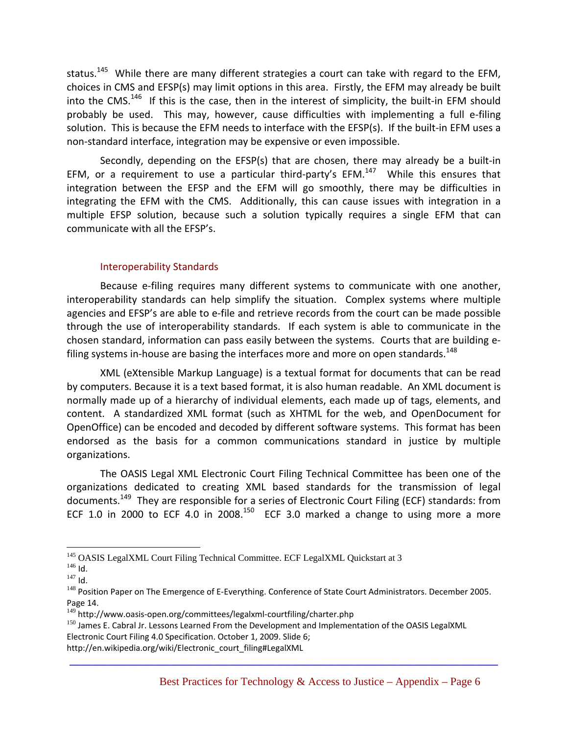status.<sup>145</sup> While there are many different strategies a court can take with regard to the EFM, choices in CMS and EFSP(s) may limit options in this area. Firstly, the EFM may already be built into the CMS.<sup>146</sup> If this is the case, then in the interest of simplicity, the built-in EFM should probably be used. This may, however, cause difficulties with implementing a full e-filing solution. This is because the EFM needs to interface with the EFSP(s). If the built-in EFM uses a non‐standard interface, integration may be expensive or even impossible.

Secondly, depending on the EFSP(s) that are chosen, there may already be a built-in EFM, or a requirement to use a particular third-party's EFM. $147$  While this ensures that integration between the EFSP and the EFM will go smoothly, there may be difficulties in integrating the EFM with the CMS. Additionally, this can cause issues with integration in a multiple EFSP solution, because such a solution typically requires a single EFM that can communicate with all the EFSP's.

#### Interoperability Standards

Because e-filing requires many different systems to communicate with one another, interoperability standards can help simplify the situation. Complex systems where multiple agencies and EFSP's are able to e‐file and retrieve records from the court can be made possible through the use of interoperability standards. If each system is able to communicate in the chosen standard, information can pass easily between the systems. Courts that are building e‐ filing systems in-house are basing the interfaces more and more on open standards. $^{148}$ 

XML (eXtensible Markup Language) is a textual format for documents that can be read by computers. Because it is a text based format, it is also human readable. An XML document is normally made up of a hierarchy of individual elements, each made up of tags, elements, and content. A standardized XML format (such as XHTML for the web, and OpenDocument for OpenOffice) can be encoded and decoded by different software systems. This format has been endorsed as the basis for a common communications standard in justice by multiple organizations.

The OASIS Legal XML Electronic Court Filing Technical Committee has been one of the organizations dedicated to creating XML based standards for the transmission of legal documents.<sup>149</sup> They are responsible for a series of Electronic Court Filing (ECF) standards: from ECF 1.0 in 2000 to ECF 4.0 in 2008.<sup>150</sup> ECF 3.0 marked a change to using more a more

<sup>1</sup> <sup>145</sup> OASIS LegalXML Court Filing Technical Committee. ECF LegalXML Quickstart at 3 <sup>146</sup> Id.

<sup>148</sup> Position Paper on The Emergence of E-Everything. Conference of State Court Administrators. December 2005. Page 14.<br><sup>149</sup> http://www.oasis-open.org/committees/legalxml-courtfiling/charter.php

 $150$  James E. Cabral Jr. Lessons Learned From the Development and Implementation of the OASIS LegalXML Electronic Court Filing 4.0 Specification. October 1, 2009. Slide 6;

http://en.wikipedia.org/wiki/Electronic\_court\_filing#LegalXML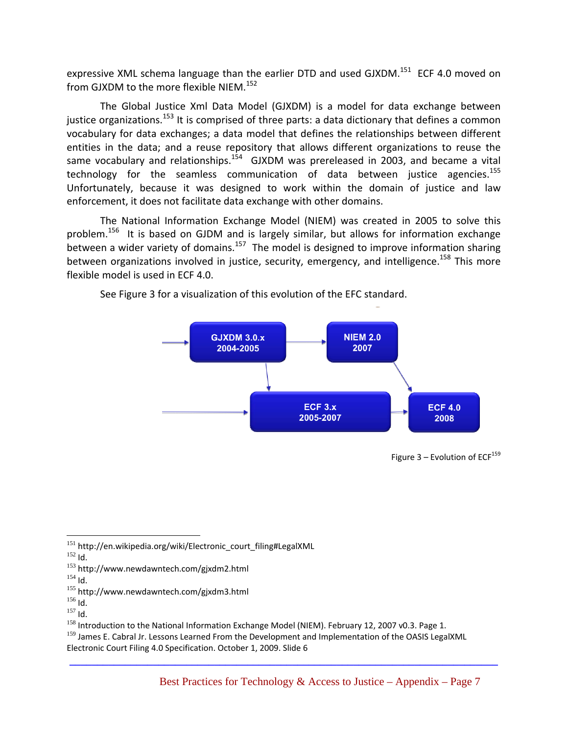expressive XML schema language than the earlier DTD and used GJXDM.<sup>151</sup> ECF 4.0 moved on from GJXDM to the more flexible NIEM.<sup>152</sup>

The Global Justice Xml Data Model (GJXDM) is a model for data exchange between justice organizations.<sup>153</sup> It is comprised of three parts: a data dictionary that defines a common vocabulary for data exchanges; a data model that defines the relationships between different entities in the data; and a reuse repository that allows different organizations to reuse the same vocabulary and relationships.<sup>154</sup>  $\,$  GJXDM was prereleased in 2003, and became a vital technology for the seamless communication of data between justice agencies.<sup>155</sup> Unfortunately, because it was designed to work within the domain of justice and law enforcement, it does not facilitate data exchange with other domains.

The National Information Exchange Model (NIEM) was created in 2005 to solve this problem.<sup>156</sup> It is based on GJDM and is largely similar, but allows for information exchange between a wider variety of domains.<sup>157</sup> The model is designed to improve information sharing between organizations involved in justice, security, emergency, and intelligence.<sup>158</sup> This more flexible model is used in ECF 4.0.



See Figure 3 for a visualization of this evolution of the EFC standard.

- 
- 

Figure  $3$  – Evolution of ECF<sup>159</sup>

 $\overline{a}$ <sup>151</sup> http://en.wikipedia.org/wiki/Electronic\_court\_filing#LegalXML<br><sup>152</sup> ld.

 $153$  http://www.newdawntech.com/gjxdm2.html<br> $154$  Id

<sup>&</sup>lt;sup>155</sup> http://www.newdawntech.com/gjxdm3.html<br><sup>156</sup> ld.<br><sup>157</sup> ld

<sup>&</sup>lt;sup>158</sup> Introduction to the National Information Exchange Model (NIEM). February 12, 2007 v0.3. Page 1.

<sup>&</sup>lt;sup>159</sup> James E. Cabral Jr. Lessons Learned From the Development and Implementation of the OASIS LegalXML Electronic Court Filing 4.0 Specification. October 1, 2009. Slide 6